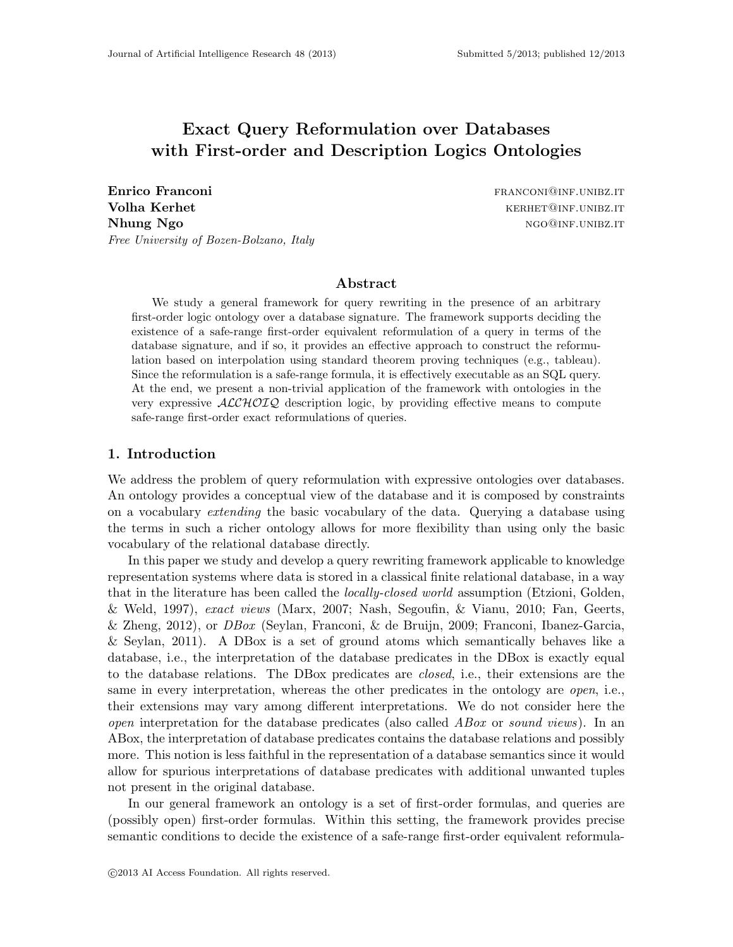# Exact Query Reformulation over Databases with First-order and Description Logics Ontologies

Enrico Franconi **franconi** franconi and the settlement of the settlement of the settlement of the settlement of the settlement of the settlement of the settlement of the settlement of the settlement of the settlement of th **Volha Kerhet kerhet kerhet kerhet kerhet kerhet kerhet kerhet kerhet kerhet kerhet kerhet kerhet kerhet kerhet** Nhung Ngo ngombarang ngombarang ngombarang ngombarang ngombarang ngombarang ngombarang ngombarang ngombarang ngombarang ngombarang ngombarang ngombarang ngombarang ngombarang ngombarang ngombarang ngombarang ngombarang ngo Free University of Bozen-Bolzano, Italy

## Abstract

We study a general framework for query rewriting in the presence of an arbitrary first-order logic ontology over a database signature. The framework supports deciding the existence of a safe-range first-order equivalent reformulation of a query in terms of the database signature, and if so, it provides an effective approach to construct the reformulation based on interpolation using standard theorem proving techniques (e.g., tableau). Since the reformulation is a safe-range formula, it is effectively executable as an SQL query. At the end, we present a non-trivial application of the framework with ontologies in the very expressive  $\mathcal{ALCHOLQ}$  description logic, by providing effective means to compute safe-range first-order exact reformulations of queries.

# 1. Introduction

We address the problem of query reformulation with expressive ontologies over databases. An ontology provides a conceptual view of the database and it is composed by constraints on a vocabulary extending the basic vocabulary of the data. Querying a database using the terms in such a richer ontology allows for more flexibility than using only the basic vocabulary of the relational database directly.

In this paper we study and develop a query rewriting framework applicable to knowledge representation systems where data is stored in a classical finite relational database, in a way that in the literature has been called the *locally-closed world* assumption (Etzioni, Golden, & Weld, 1997), exact views (Marx, 2007; Nash, Segoufin, & Vianu, 2010; Fan, Geerts, & Zheng, 2012), or DBox (Seylan, Franconi, & de Bruijn, 2009; Franconi, Ibanez-Garcia, & Seylan, 2011). A DBox is a set of ground atoms which semantically behaves like a database, i.e., the interpretation of the database predicates in the DBox is exactly equal to the database relations. The DBox predicates are closed, i.e., their extensions are the same in every interpretation, whereas the other predicates in the ontology are *open*, i.e., their extensions may vary among different interpretations. We do not consider here the *open* interpretation for the database predicates (also called  $ABox$  or sound views). In an ABox, the interpretation of database predicates contains the database relations and possibly more. This notion is less faithful in the representation of a database semantics since it would allow for spurious interpretations of database predicates with additional unwanted tuples not present in the original database.

In our general framework an ontology is a set of first-order formulas, and queries are (possibly open) first-order formulas. Within this setting, the framework provides precise semantic conditions to decide the existence of a safe-range first-order equivalent reformula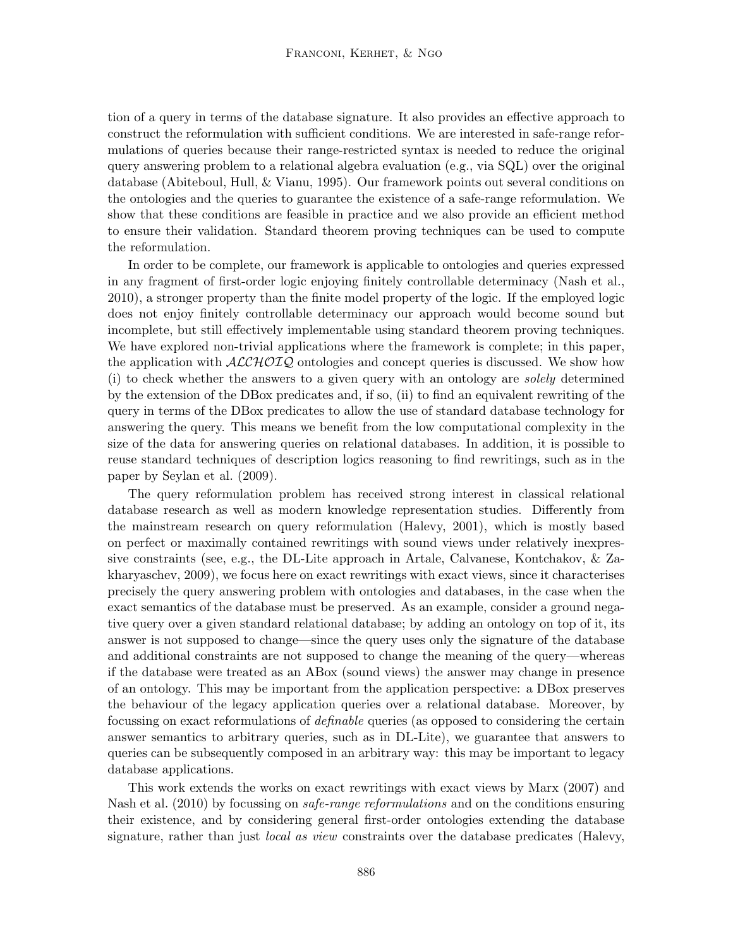tion of a query in terms of the database signature. It also provides an effective approach to construct the reformulation with sufficient conditions. We are interested in safe-range reformulations of queries because their range-restricted syntax is needed to reduce the original query answering problem to a relational algebra evaluation (e.g., via  $SQL$ ) over the original database (Abiteboul, Hull, & Vianu, 1995). Our framework points out several conditions on the ontologies and the queries to guarantee the existence of a safe-range reformulation. We show that these conditions are feasible in practice and we also provide an efficient method to ensure their validation. Standard theorem proving techniques can be used to compute the reformulation.

In order to be complete, our framework is applicable to ontologies and queries expressed in any fragment of first-order logic enjoying finitely controllable determinacy (Nash et al., 2010), a stronger property than the finite model property of the logic. If the employed logic does not enjoy finitely controllable determinacy our approach would become sound but incomplete, but still effectively implementable using standard theorem proving techniques. We have explored non-trivial applications where the framework is complete; in this paper, the application with  $ALCHOTQ$  ontologies and concept queries is discussed. We show how (i) to check whether the answers to a given query with an ontology are solely determined by the extension of the DBox predicates and, if so, (ii) to find an equivalent rewriting of the query in terms of the DBox predicates to allow the use of standard database technology for answering the query. This means we benefit from the low computational complexity in the size of the data for answering queries on relational databases. In addition, it is possible to reuse standard techniques of description logics reasoning to find rewritings, such as in the paper by Seylan et al. (2009).

The query reformulation problem has received strong interest in classical relational database research as well as modern knowledge representation studies. Differently from the mainstream research on query reformulation (Halevy, 2001), which is mostly based on perfect or maximally contained rewritings with sound views under relatively inexpressive constraints (see, e.g., the DL-Lite approach in Artale, Calvanese, Kontchakov, & Zakharyaschev, 2009), we focus here on exact rewritings with exact views, since it characterises precisely the query answering problem with ontologies and databases, in the case when the exact semantics of the database must be preserved. As an example, consider a ground negative query over a given standard relational database; by adding an ontology on top of it, its answer is not supposed to change—since the query uses only the signature of the database and additional constraints are not supposed to change the meaning of the query—whereas if the database were treated as an ABox (sound views) the answer may change in presence of an ontology. This may be important from the application perspective: a DBox preserves the behaviour of the legacy application queries over a relational database. Moreover, by focussing on exact reformulations of definable queries (as opposed to considering the certain answer semantics to arbitrary queries, such as in DL-Lite), we guarantee that answers to queries can be subsequently composed in an arbitrary way: this may be important to legacy database applications.

This work extends the works on exact rewritings with exact views by Marx (2007) and Nash et al. (2010) by focussing on *safe-range reformulations* and on the conditions ensuring their existence, and by considering general first-order ontologies extending the database signature, rather than just *local as view* constraints over the database predicates (Halevy,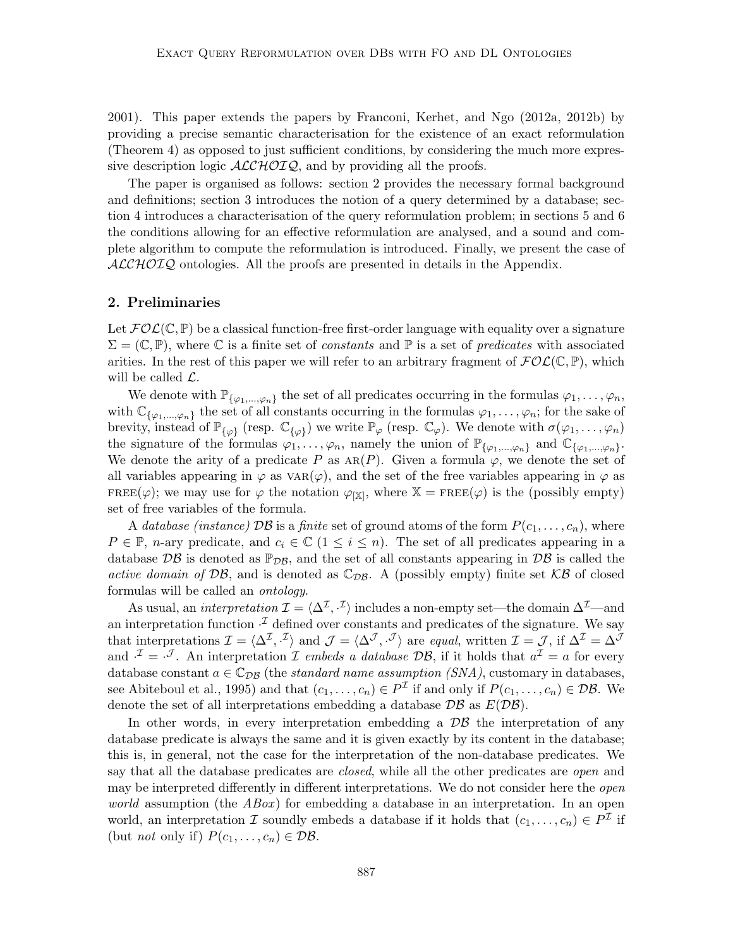2001). This paper extends the papers by Franconi, Kerhet, and Ngo (2012a, 2012b) by providing a precise semantic characterisation for the existence of an exact reformulation (Theorem 4) as opposed to just sufficient conditions, by considering the much more expressive description logic  $ALCHOTQ$ , and by providing all the proofs.

The paper is organised as follows: section 2 provides the necessary formal background and definitions; section 3 introduces the notion of a query determined by a database; section 4 introduces a characterisation of the query reformulation problem; in sections 5 and 6 the conditions allowing for an effective reformulation are analysed, and a sound and complete algorithm to compute the reformulation is introduced. Finally, we present the case of  $ALCHOTQ$  ontologies. All the proofs are presented in details in the Appendix.

### 2. Preliminaries

Let  $FOL(\mathbb{C}, \mathbb{P})$  be a classical function-free first-order language with equality over a signature  $\Sigma = (\mathbb{C}, \mathbb{P})$ , where  $\mathbb C$  is a finite set of constants and  $\mathbb P$  is a set of predicates with associated arities. In the rest of this paper we will refer to an arbitrary fragment of  $\mathcal{FOL}(\mathbb{C}, \mathbb{P})$ , which will be called  $\mathcal{L}$ .

We denote with  $\mathbb{P}_{\{\varphi_1,\dots,\varphi_n\}}$  the set of all predicates occurring in the formulas  $\varphi_1,\dots,\varphi_n$ , with  $\mathbb{C}_{\{\varphi_1,\ldots,\varphi_n\}}$  the set of all constants occurring in the formulas  $\varphi_1,\ldots,\varphi_n$ ; for the sake of brevity, instead of  $\mathbb{P}_{\{\varphi\}}$  (resp.  $\mathbb{C}_{\{\varphi\}}$ ) we write  $\mathbb{P}_{\varphi}$  (resp.  $\mathbb{C}_{\varphi}$ ). We denote with  $\sigma(\varphi_1,\ldots,\varphi_n)$ the signature of the formulas  $\varphi_1, \ldots, \varphi_n$ , namely the union of  $\mathbb{P}_{\{\varphi_1, \ldots, \varphi_n\}}$  and  $\mathbb{C}_{\{\varphi_1, \ldots, \varphi_n\}}$ . We denote the arity of a predicate P as  $AR(P)$ . Given a formula  $\varphi$ , we denote the set of all variables appearing in  $\varphi$  as  $VAR(\varphi)$ , and the set of the free variables appearing in  $\varphi$  as FREE( $\varphi$ ); we may use for  $\varphi$  the notation  $\varphi_{\vert \mathbb{X}\vert}$ , where  $\mathbb{X} = \text{FREE}(\varphi)$  is the (possibly empty) set of free variables of the formula.

A database (instance)  $\mathcal{DB}$  is a finite set of ground atoms of the form  $P(c_1, \ldots, c_n)$ , where  $P \in \mathbb{P}$ , *n*-ary predicate, and  $c_i \in \mathbb{C}$  ( $1 \leq i \leq n$ ). The set of all predicates appearing in a database  $\mathcal{DB}$  is denoted as  $\mathbb{P}_{\mathcal{DB}}$ , and the set of all constants appearing in  $\mathcal{DB}$  is called the active domain of DB, and is denoted as  $\mathbb{C}_{DB}$ . A (possibly empty) finite set KB of closed formulas will be called an ontology.

As usual, an *interpretation*  $\mathcal{I} = \langle \Delta^{\mathcal{I}}, \cdot^{\mathcal{I}} \rangle$  includes a non-empty set—the domain  $\Delta^{\mathcal{I}}$ —and an interpretation function  $\cdot^{\mathcal{I}}$  defined over constants and predicates of the signature. We say that interpretations  $\mathcal{I} = \langle \Delta^{\mathcal{I}}, \cdot^{\mathcal{I}} \rangle$  and  $\mathcal{J} = \langle \Delta^{\mathcal{J}}, \cdot^{\mathcal{J}} \rangle$  are equal, written  $\mathcal{I} = \mathcal{J}$ , if  $\Delta^{\mathcal{I}} = \Delta^{\mathcal{J}}$ and  $\mathcal{I} = \mathcal{I}$ . An interpretation  $\mathcal I$  embeds a database  $\mathcal{DB}$ , if it holds that  $a^{\mathcal{I}} = a$  for every database constant  $a \in \mathbb{C}_{DB}$  (the *standard name assumption (SNA)*, customary in databases, see Abiteboul et al., 1995) and that  $(c_1, \ldots, c_n) \in P^{\mathcal{I}}$  if and only if  $P(c_1, \ldots, c_n) \in \mathcal{DB}$ . We denote the set of all interpretations embedding a database  $\mathcal{DB}$  as  $E(D\mathcal{B})$ .

In other words, in every interpretation embedding a  $\mathcal{DB}$  the interpretation of any database predicate is always the same and it is given exactly by its content in the database; this is, in general, not the case for the interpretation of the non-database predicates. We say that all the database predicates are *closed*, while all the other predicates are *open* and may be interpreted differently in different interpretations. We do not consider here the *open world* assumption (the  $ABox$ ) for embedding a database in an interpretation. In an open world, an interpretation  $\mathcal I$  soundly embeds a database if it holds that  $(c_1, \ldots, c_n) \in P^{\mathcal I}$  if (but *not* only if)  $P(c_1, \ldots, c_n) \in \mathcal{DB}$ .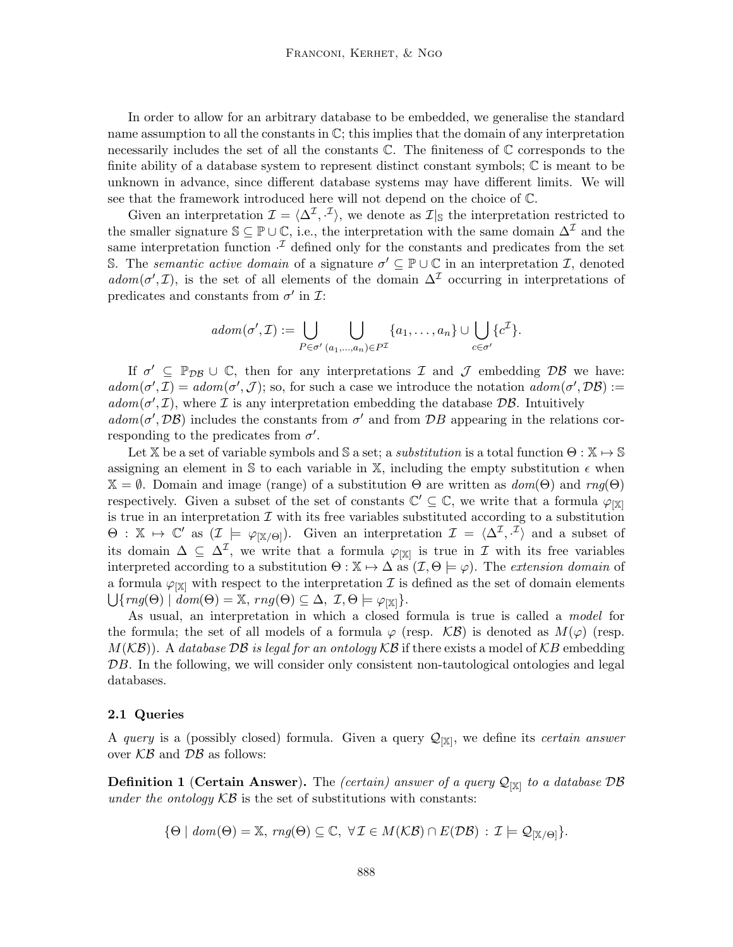In order to allow for an arbitrary database to be embedded, we generalise the standard name assumption to all the constants in  $\mathbb{C}$ ; this implies that the domain of any interpretation necessarily includes the set of all the constants  $\mathbb C$ . The finiteness of  $\mathbb C$  corresponds to the finite ability of a database system to represent distinct constant symbols; C is meant to be unknown in advance, since different database systems may have different limits. We will see that the framework introduced here will not depend on the choice of C.

Given an interpretation  $\mathcal{I} = \langle \Delta^{\mathcal{I}}, \cdot^{\mathcal{I}} \rangle$ , we denote as  $\mathcal{I}|_S$  the interpretation restricted to the smaller signature  $\mathbb{S} \subseteq \mathbb{P} \cup \mathbb{C}$ , i.e., the interpretation with the same domain  $\Delta^{\mathcal{I}}$  and the same interpretation function  $\cdot^{\mathcal{I}}$  defined only for the constants and predicates from the set S. The *semantic active domain* of a signature  $\sigma' \subseteq \mathbb{P} \cup \mathbb{C}$  in an interpretation *I*, denoted adom( $\sigma'$ , I), is the set of all elements of the domain  $\Delta^{\mathcal{I}}$  occurring in interpretations of predicates and constants from  $\sigma'$  in  $\mathcal{I}$ :

$$
adom(\sigma', \mathcal{I}) := \bigcup_{P \in \sigma'} \bigcup_{(a_1, \ldots, a_n) \in P^{\mathcal{I}}} \{a_1, \ldots, a_n\} \cup \bigcup_{c \in \sigma'} \{c^{\mathcal{I}}\}.
$$

If  $\sigma' \subseteq \mathbb{P}_{\mathcal{DB}} \cup \mathbb{C}$ , then for any interpretations  $\mathcal I$  and  $\mathcal J$  embedding  $\mathcal{DB}$  we have:  $adom(\sigma', \mathcal{I}) = adom(\sigma', \mathcal{J})$ ; so, for such a case we introduce the notation  $adom(\sigma', \mathcal{D}\mathcal{B}) :=$  $adom(\sigma', \mathcal{I})$ , where  $\mathcal I$  is any interpretation embedding the database  $\mathcal{DB}$ . Intuitively  $adom(\sigma', \mathcal{DB})$  includes the constants from  $\sigma'$  and from  $\mathcal{DB}$  appearing in the relations corresponding to the predicates from  $\sigma'$ .

Let X be a set of variable symbols and S a set; a *substitution* is a total function  $\Theta: \mathbb{X} \to \mathbb{S}$ assigning an element in S to each variable in X, including the empty substitution  $\epsilon$  when  $\mathbb{X} = \emptyset$ . Domain and image (range) of a substitution  $\Theta$  are written as  $dom(\Theta)$  and  $rng(\Theta)$ respectively. Given a subset of the set of constants  $\mathbb{C}' \subseteq \mathbb{C}$ , we write that a formula  $\varphi_{[\mathbb{X}]}$ is true in an interpretation  $\mathcal I$  with its free variables substituted according to a substitution  $\Theta: \mathbb{X} \mapsto \mathbb{C}'$  as  $(\mathcal{I} \models \varphi_{[\mathbb{X}/\Theta]})$ . Given an interpretation  $\mathcal{I} = \langle \Delta^{\mathcal{I}}, \cdot^{\mathcal{I}} \rangle$  and a subset of its domain  $\Delta \subseteq \Delta^{\mathcal{I}}$ , we write that a formula  $\varphi_{[\mathbb{X}]}$  is true in  $\mathcal{I}$  with its free variables interpreted according to a substitution  $\Theta : \mathbb{X} \to \Delta$  as  $(\mathcal{I}, \Theta \models \varphi)$ . The extension domain of a formula  $\varphi_{\text{[X]}}$  with respect to the interpretation  $\mathcal I$  is defined as the set of domain elements  $\bigcup \{ rng(\Theta) \mid \overline{dom}(\Theta) = \mathbb{X}, rng(\Theta) \subseteq \Delta, \mathcal{I}, \Theta \models \varphi_{[\mathbb{X}]} \}.$ 

As usual, an interpretation in which a closed formula is true is called a model for the formula; the set of all models of a formula  $\varphi$  (resp.  $\mathcal{KB}$ ) is denoted as  $M(\varphi)$  (resp.  $M(\mathcal{KB})$ ). A database DB is legal for an ontology  $\mathcal{KB}$  if there exists a model of  $\mathcal{KB}$  embedding DB. In the following, we will consider only consistent non-tautological ontologies and legal databases.

#### 2.1 Queries

A query is a (possibly closed) formula. Given a query  $\mathcal{Q}_{[\mathbb{X}]}$ , we define its *certain answer* over  $KB$  and  $DB$  as follows:

**Definition 1** (Certain Answer). The *(certain)* answer of a query  $\mathcal{Q}_{[\mathbb{X}]}$  to a database DB under the ontology  $KB$  is the set of substitutions with constants:

$$
\{\Theta \mid \text{dom}(\Theta) = \mathbb{X}, \text{ rng}(\Theta) \subseteq \mathbb{C}, \ \forall \mathcal{I} \in M(\mathcal{KB}) \cap E(\mathcal{DB}) : \mathcal{I} \models \mathcal{Q}_{|\mathbb{X}/\Theta|} \}.
$$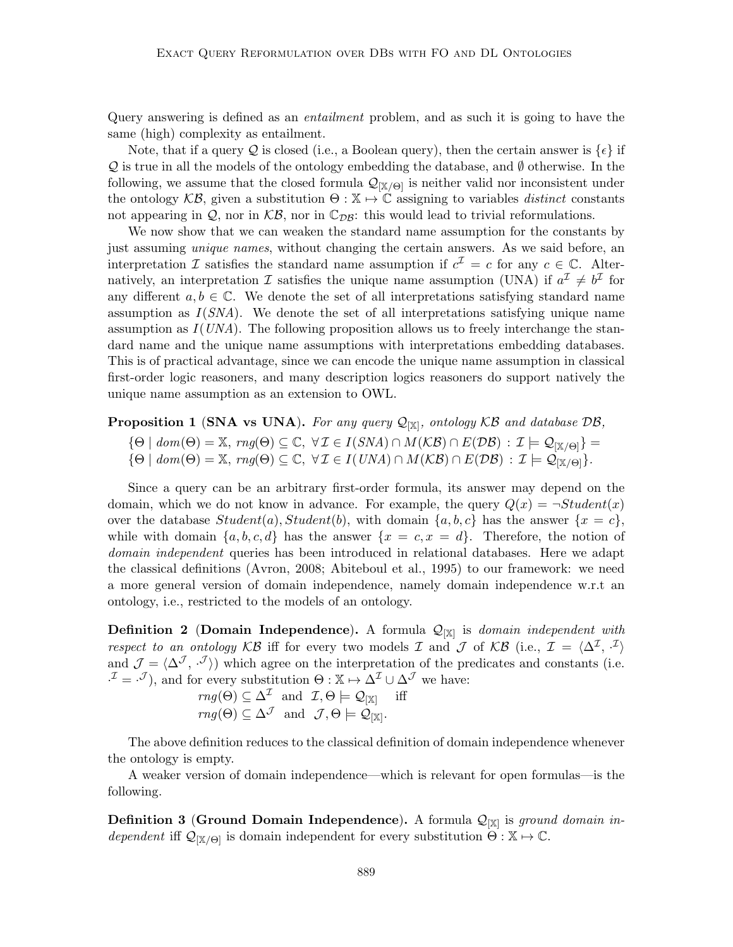Query answering is defined as an entailment problem, and as such it is going to have the same (high) complexity as entailment.

Note, that if a query Q is closed (i.e., a Boolean query), then the certain answer is  $\{\epsilon\}$  if  $\mathcal Q$  is true in all the models of the ontology embedding the database, and  $\emptyset$  otherwise. In the following, we assume that the closed formula  $\mathcal{Q}_{[\mathbb{X}/\Theta]}$  is neither valid nor inconsistent under the ontology  $\mathcal{KB}$ , given a substitution  $\Theta : \mathbb{X} \to \mathbb{C}$  assigning to variables *distinct* constants not appearing in  $\mathcal{Q}$ , nor in  $\mathcal{KB}$ , nor in  $\mathbb{C}_{\mathcal{DB}}$ : this would lead to trivial reformulations.

We now show that we can weaken the standard name assumption for the constants by just assuming *unique names*, without changing the certain answers. As we said before, an interpretation  $\mathcal I$  satisfies the standard name assumption if  $c^{\mathcal I} = c$  for any  $c \in \mathbb C$ . Alternatively, an interpretation  $\mathcal I$  satisfies the unique name assumption (UNA) if  $a^{\mathcal I} \neq b^{\mathcal I}$  for any different  $a, b \in \mathbb{C}$ . We denote the set of all interpretations satisfying standard name assumption as  $I(SNA)$ . We denote the set of all interpretations satisfying unique name assumption as  $I(UNA)$ . The following proposition allows us to freely interchange the standard name and the unique name assumptions with interpretations embedding databases. This is of practical advantage, since we can encode the unique name assumption in classical first-order logic reasoners, and many description logics reasoners do support natively the unique name assumption as an extension to OWL.

# **Proposition 1** (SNA vs UNA). For any query  $\mathcal{Q}_{[\mathbb{X}]}$ , ontology KB and database DB,

- ${\Theta \mid dom(\Theta) = \mathbb{X}, rng(\Theta) \subseteq \mathbb{C}, \ \forall \mathcal{I} \in I(SNA) \cap M(\mathcal{KB}) \cap E(\mathcal{DB}) : \mathcal{I} \models \mathcal{Q}_{[\mathbb{X}/\Theta]}$
- $\{\Theta \mid \text{dom}(\Theta) = \mathbb{X}, \text{rng}(\Theta) \subseteq \mathbb{C}, \forall \mathcal{I} \in I(\text{UNA}) \cap M(\mathcal{KB}) \cap E(\mathcal{DB}) : \mathcal{I} \models \mathcal{Q}_{[\mathbb{X}/\Theta]}\}.$

Since a query can be an arbitrary first-order formula, its answer may depend on the domain, which we do not know in advance. For example, the query  $Q(x) = \neg Student(x)$ over the database  $Student(a), Student(b),$  with domain  $\{a, b, c\}$  has the answer  $\{x = c\}$ , while with domain  $\{a, b, c, d\}$  has the answer  $\{x = c, x = d\}$ . Therefore, the notion of domain independent queries has been introduced in relational databases. Here we adapt the classical definitions (Avron, 2008; Abiteboul et al., 1995) to our framework: we need a more general version of domain independence, namely domain independence w.r.t an ontology, i.e., restricted to the models of an ontology.

**Definition 2** (Domain Independence). A formula  $\mathcal{Q}_{[\mathbb{X}]}$  is domain independent with respect to an ontology KB iff for every two models I and J of KB (i.e.,  $\mathcal{I} = \langle \Delta^{\mathcal{I}}, \cdot^{\mathcal{I}} \rangle$ and  $\mathcal{J} = \langle \Delta^{\mathcal{J}}, \cdot^{\mathcal{J}} \rangle$  which agree on the interpretation of the predicates and constants (i.e.  $\mathcal{I} = \mathcal{I}$ , and for every substitution  $\Theta : \mathbb{X} \mapsto \Delta^{\mathcal{I}} \cup \Delta^{\mathcal{J}}$  we have:

$$
rng(\Theta) \subseteq \Delta^{\mathcal{I}} \text{ and } \mathcal{I}, \Theta \models \mathcal{Q}_{[\mathbb{X}]} \text{ iff } rng(\Theta) \subseteq \Delta^{\mathcal{J}} \text{ and } \mathcal{J}, \Theta \models \mathcal{Q}_{[\mathbb{X}]}.
$$

The above definition reduces to the classical definition of domain independence whenever the ontology is empty.

A weaker version of domain independence—which is relevant for open formulas—is the following.

**Definition 3 (Ground Domain Independence).** A formula  $\mathcal{Q}_{[\mathbb{X}]}$  is ground domain independent iff  $\mathcal{Q}_{[\mathbb{X}/\Theta]}$  is domain independent for every substitution  $\Theta : \mathbb{X} \mapsto \mathbb{C}$ .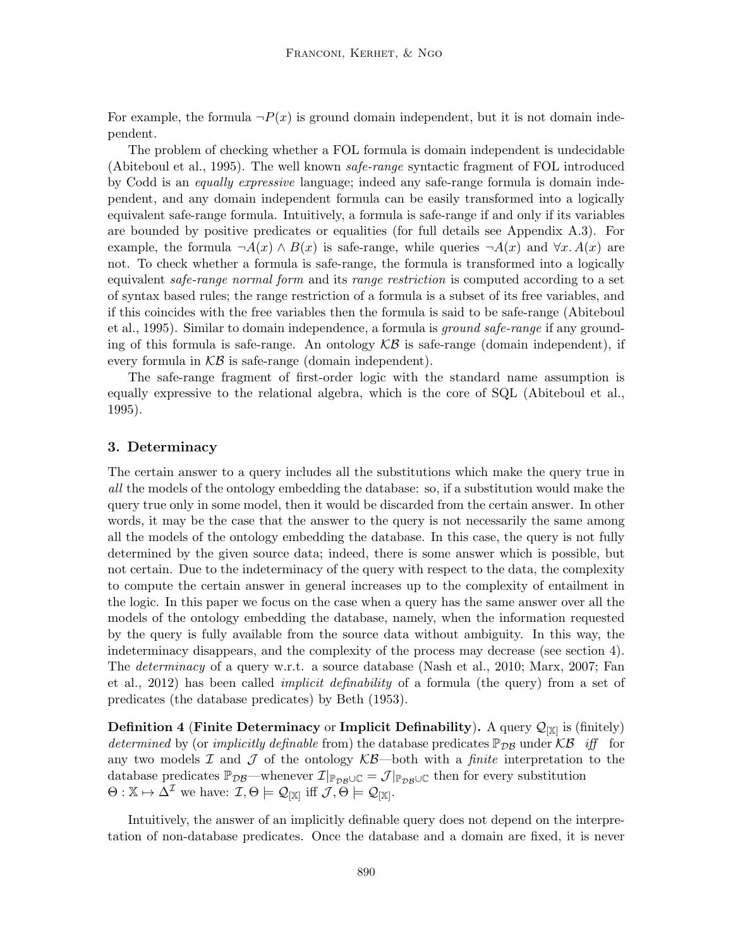For example, the formula  $\neg P(x)$  is ground domain independent, but it is not domain independent.

The problem of checking whether a FOL formula is domain independent is undecidable (Abiteboul et al., 1995). The well known safe-range syntactic fragment of FOL introduced by Codd is an equally expressive language; indeed any safe-range formula is domain independent, and any domain independent formula can be easily transformed into a logically equivalent safe-range formula. Intuitively, a formula is safe-range if and only if its variables are bounded by positive predicates or equalities (for full details see Appendix A.3). For example, the formula  $\neg A(x) \wedge B(x)$  is safe-range, while queries  $\neg A(x)$  and  $\forall x. A(x)$  are not. To check whether a formula is safe-range, the formula is transformed into a logically equivalent *safe-range normal form* and its *range restriction* is computed according to a set of syntax based rules; the range restriction of a formula is a subset of its free variables, and if this coincides with the free variables then the formula is said to be safe-range (Abiteboul et al., 1995). Similar to domain independence, a formula is *ground safe-range* if any grounding of this formula is safe-range. An ontology  $KB$  is safe-range (domain independent), if every formula in  $KB$  is safe-range (domain independent).

The safe-range fragment of first-order logic with the standard name assumption is equally expressive to the relational algebra, which is the core of SQL (Abiteboul et al., 1995).

# 3. Determinacy

The certain answer to a query includes all the substitutions which make the query true in all the models of the ontology embedding the database: so, if a substitution would make the query true only in some model, then it would be discarded from the certain answer. In other words, it may be the case that the answer to the query is not necessarily the same among all the models of the ontology embedding the database. In this case, the query is not fully determined by the given source data; indeed, there is some answer which is possible, but not certain. Due to the indeterminacy of the query with respect to the data, the complexity to compute the certain answer in general increases up to the complexity of entailment in the logic. In this paper we focus on the case when a query has the same answer over all the models of the ontology embedding the database, namely, when the information requested by the query is fully available from the source data without ambiguity. In this way, the indeterminacy disappears, and the complexity of the process may decrease (see section 4). The determinacy of a query w.r.t. a source database (Nash et al., 2010; Marx, 2007; Fan et al., 2012) has been called implicit definability of a formula (the query) from a set of predicates (the database predicates) by Beth (1953).

**Definition 4 (Finite Determinacy** or Implicit Definability). A query  $\mathcal{Q}_{[\mathbb{X}]}$  is (finitely) determined by (or implicitly definable from) the database predicates  $\mathbb{P}_{DB}$  under KB iff for any two models  $\mathcal I$  and  $\mathcal J$  of the ontology  $\mathcal{KB}$ —both with a *finite* interpretation to the database predicates  $\mathbb{P}_{\mathcal{DB}}$ —whenever  $\mathcal{I}|_{\mathbb{P}_{\mathcal{DB}} \cup \mathbb{C}} = \mathcal{J}|_{\mathbb{P}_{\mathcal{DB}} \cup \mathbb{C}}$  then for every substitution  $\Theta: \mathbb{X} \mapsto \Delta^{\mathcal{I}}$  we have:  $\mathcal{I}, \Theta \models \mathcal{Q}_{|\mathbb{X}|}$  iff  $\mathcal{J}, \widetilde{\Theta} \models \mathcal{Q}_{|\mathbb{X}|}$ .

Intuitively, the answer of an implicitly definable query does not depend on the interpretation of non-database predicates. Once the database and a domain are fixed, it is never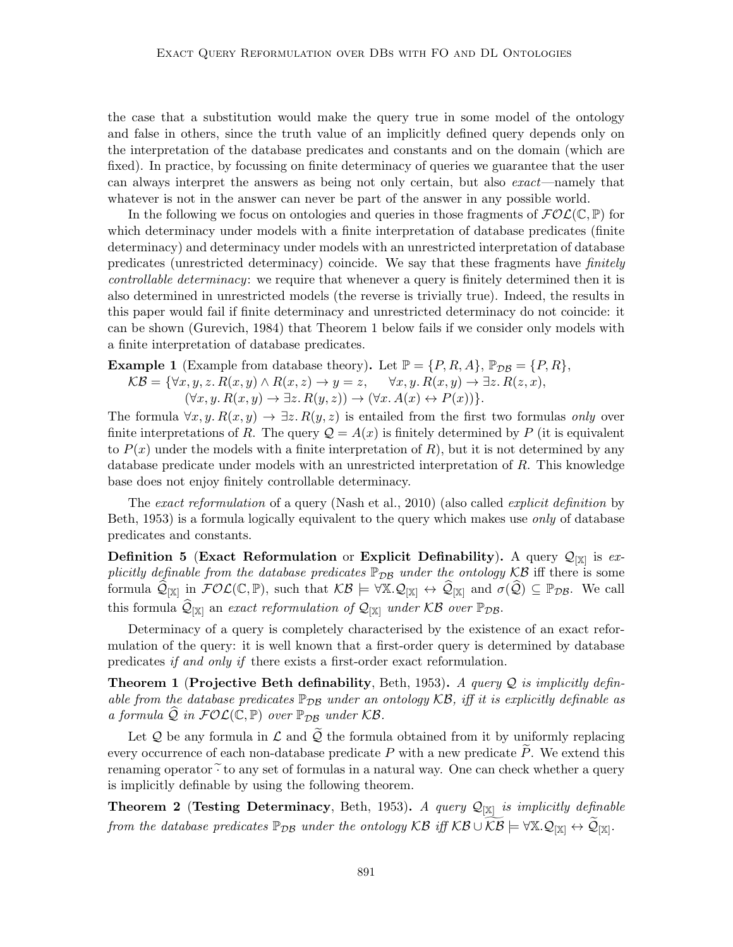the case that a substitution would make the query true in some model of the ontology and false in others, since the truth value of an implicitly defined query depends only on the interpretation of the database predicates and constants and on the domain (which are fixed). In practice, by focussing on finite determinacy of queries we guarantee that the user can always interpret the answers as being not only certain, but also exact—namely that whatever is not in the answer can never be part of the answer in any possible world.

In the following we focus on ontologies and queries in those fragments of  $\mathcal{FOL}(\mathbb{C}, \mathbb{P})$  for which determinacy under models with a finite interpretation of database predicates (finite determinacy) and determinacy under models with an unrestricted interpretation of database predicates (unrestricted determinacy) coincide. We say that these fragments have finitely controllable determinacy: we require that whenever a query is finitely determined then it is also determined in unrestricted models (the reverse is trivially true). Indeed, the results in this paper would fail if finite determinacy and unrestricted determinacy do not coincide: it can be shown (Gurevich, 1984) that Theorem 1 below fails if we consider only models with a finite interpretation of database predicates.

**Example 1** (Example from database theory). Let  $\mathbb{P} = \{P, R, A\}$ ,  $\mathbb{P}_{\mathcal{DB}} = \{P, R\}$ ,

$$
\mathcal{KB} = \{ \forall x, y, z. R(x, y) \land R(x, z) \rightarrow y = z, \quad \forall x, y. R(x, y) \rightarrow \exists z. R(z, x),
$$

$$
(\forall x, y. R(x, y) \rightarrow \exists z. R(y, z)) \rightarrow (\forall x. A(x) \leftrightarrow P(x)) \}.
$$

The formula  $\forall x, y, R(x, y) \rightarrow \exists z, R(y, z)$  is entailed from the first two formulas only over finite interpretations of R. The query  $\mathcal{Q} = A(x)$  is finitely determined by P (it is equivalent to  $P(x)$  under the models with a finite interpretation of R), but it is not determined by any database predicate under models with an unrestricted interpretation of R. This knowledge base does not enjoy finitely controllable determinacy.

The exact reformulation of a query (Nash et al., 2010) (also called explicit definition by Beth, 1953) is a formula logically equivalent to the query which makes use *only* of database predicates and constants.

Definition 5 (Exact Reformulation or Explicit Definability). A query  $\mathcal{Q}_{[\mathbb{X}]}$  is explicitly definable from the database predicates  $\mathbb{P}_{DB}$  under the ontology KB iff there is some formula  $\widehat{\mathcal{Q}}_{[\mathbb{X}]}$  in  $\mathcal{FOL}(\mathbb{C}, \mathbb{P})$ , such that  $\mathcal{KB} \models \forall \mathbb{X}.\mathcal{Q}_{[\mathbb{X}]} \leftrightarrow \widehat{\mathcal{Q}}_{[\mathbb{X}]}$  and  $\sigma(\widehat{\mathcal{Q}}) \subseteq \mathbb{P}_{\mathcal{DB}}$ . We call this formula  $\widehat{\mathcal{Q}}_{[\mathbb{X}]}$  an exact reformulation of  $\mathcal{Q}_{[\mathbb{X}]}$  under KB over  $\mathbb{P}_{\mathcal{DB}}$ .

Determinacy of a query is completely characterised by the existence of an exact reformulation of the query: it is well known that a first-order query is determined by database predicates if and only if there exists a first-order exact reformulation.

**Theorem 1 (Projective Beth definability, Beth, 1953).** A query Q is implicitly definable from the database predicates  $\mathbb{P}_{\text{DB}}$  under an ontology KB, iff it is explicitly definable as a formula  $\mathcal Q$  in  $\mathcal{FOL}(\mathbb{C}, \mathbb{P})$  over  $\mathbb{P}_{\mathcal{DB}}$  under  $\mathcal{KB}$ .

Let  $Q$  be any formula in  $\mathcal L$  and  $\tilde Q$  the formula obtained from it by uniformly replacing every occurrence of each non-database predicate  $P$  with a new predicate  $P$ . We extend this renaming operator  $\widetilde{\cdot}$  to any set of formulas in a natural way. One can check whether a query is implicitly definable by using the following theorem.

**Theorem 2** (Testing Determinacy, Beth, 1953). A query  $\mathcal{Q}_{[\mathbb{X}]}$  is implicitly definable from the database predicates  $\mathbb{P}_{\mathcal{D}\mathcal{B}}$  under the ontology  $\mathcal{KB}$  iff  $\mathcal{KB} \cup \widetilde{\mathcal{KB}} \models \forall \mathbb{X} . \mathcal{Q}_{[\mathbb{X}]}\leftrightarrow \widetilde{\mathcal{Q}}_{[\mathbb{X}]}$ .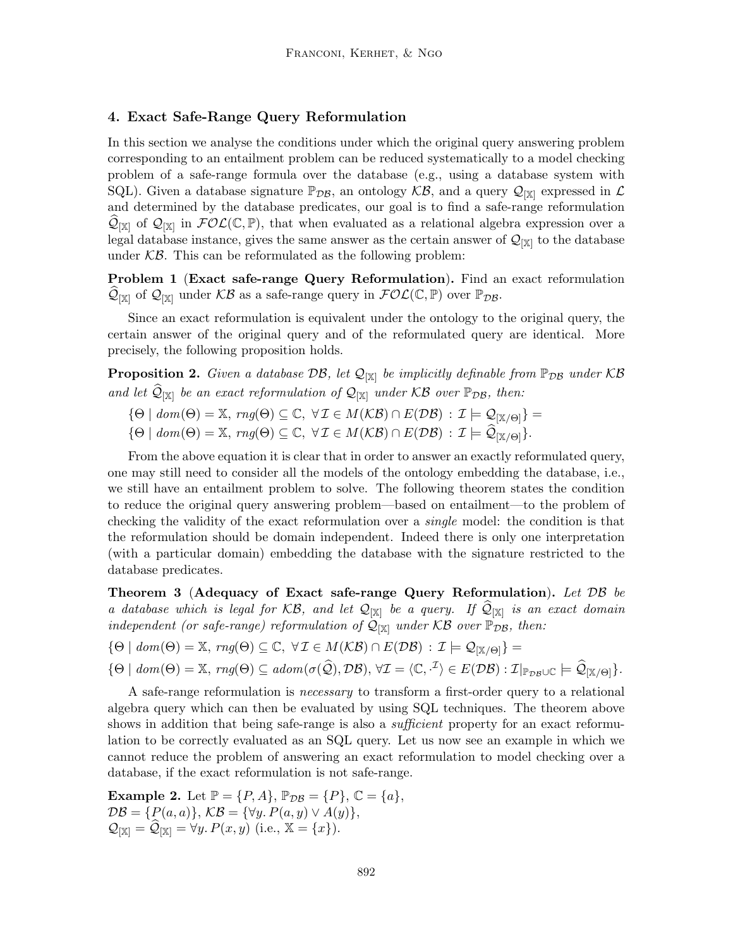## 4. Exact Safe-Range Query Reformulation

In this section we analyse the conditions under which the original query answering problem corresponding to an entailment problem can be reduced systematically to a model checking problem of a safe-range formula over the database (e.g., using a database system with SQL). Given a database signature  $\mathbb{P}_{\mathcal{DB}}$ , an ontology  $\mathcal{KB}$ , and a query  $\mathcal{Q}_{[\mathbb{X}]}$  expressed in  $\mathcal{L}$ and determined by the database predicates, our goal is to find a safe-range reformulation  $\widehat{\mathcal{Q}}_{\left[\mathbb{X}\right]}$  of  $\mathcal{Q}_{\left[\mathbb{X}\right]}$  in  $\mathcal{FOL}(\mathbb{C}, \mathbb{P})$ , that when evaluated as a relational algebra expression over a legal database instance, gives the same answer as the certain answer of  $\mathcal{Q}_{[X]}$  to the database under  $\mathcal{KB}$ . This can be reformulated as the following problem:

Problem 1 (Exact safe-range Query Reformulation). Find an exact reformulation  $\widehat{\mathcal{Q}}_{\left[\mathbb{X}\right]}$  of  $\mathcal{Q}_{\left[\mathbb{X}\right]}$  under  $\mathcal{KB}$  as a safe-range query in  $\mathcal{FOL}(\mathbb{C}, \mathbb{P})$  over  $\mathbb{P}_{\mathcal{DB}}$ .

Since an exact reformulation is equivalent under the ontology to the original query, the certain answer of the original query and of the reformulated query are identical. More precisely, the following proposition holds.

**Proposition 2.** Given a database  $\mathcal{DB}$ , let  $\mathcal{Q}_{[\mathbb{X}]}$  be implicitly definable from  $\mathbb{P}_{\mathcal{DB}}$  under  $\mathcal{KB}$ and let  $\widehat{\mathcal{Q}}_{[\mathbb{X}]}$  be an exact reformulation of  $\mathcal{Q}_{[\mathbb{X}]}$  under KB over  $\mathbb{P}_{\mathcal{DB}}$ , then:

- ${\Theta \mid dom(\Theta) = \mathbb{X}, rng(\Theta) \subseteq \mathbb{C}, \ \forall \mathcal{I} \in M(\mathcal{KB}) \cap E(\mathcal{DB}) : \mathcal{I} \models \mathcal{Q}_{[\mathbb{X}/\Theta]}\} =$
- $\{\Theta \mid \text{dom}(\Theta) = \mathbb{X}, \text{ rng}(\Theta) \subseteq \mathbb{C}, \ \forall \mathcal{I} \in M(\mathcal{KB}) \cap E(\mathcal{DB}) : \mathcal{I} \models \widehat{\mathcal{Q}}_{[\mathbb{X}/\Theta]}\}.$

From the above equation it is clear that in order to answer an exactly reformulated query, one may still need to consider all the models of the ontology embedding the database, i.e., we still have an entailment problem to solve. The following theorem states the condition to reduce the original query answering problem—based on entailment—to the problem of checking the validity of the exact reformulation over a single model: the condition is that the reformulation should be domain independent. Indeed there is only one interpretation (with a particular domain) embedding the database with the signature restricted to the database predicates.

Theorem 3 (Adequacy of Exact safe-range Query Reformulation). Let  $\mathcal{DB}$  be a database which is legal for  $KB$ , and let  $\mathcal{Q}_{[\mathbb{X}]}$  be a query. If  $\mathcal{Q}_{[\mathbb{X}]}$  is an exact domain independent (or safe-range) reformulation of  $\mathcal{Q}_{[\mathbb{X}]}$  under KB over  $\mathbb{P}_{\mathcal{DB}}$ , then:

 ${\Theta \mid dom(\Theta) = \mathbb{X}, rng(\Theta) \subseteq \mathbb{C}, \ \forall \mathcal{I} \in M(\mathcal{KB}) \cap E(\mathcal{DB}) : \mathcal{I} \models \mathcal{Q}_{[\mathbb{X}/\Theta]}$  =

$$
\{\Theta \mid \text{dom}(\Theta) = \mathbb{X}, \text{ rng}(\Theta) \subseteq \text{adom}(\sigma(\widehat{\mathcal{Q}}), \mathcal{DB}), \forall \mathcal{I} = \langle \mathbb{C}, \cdot^{\mathcal{I}} \rangle \in E(\mathcal{DB}) : \mathcal{I}|_{\mathbb{P}_{\mathcal{DB}} \cup \mathbb{C}} \models \widehat{\mathcal{Q}}_{[\mathbb{X}/\Theta]} \}.
$$

A safe-range reformulation is necessary to transform a first-order query to a relational algebra query which can then be evaluated by using SQL techniques. The theorem above shows in addition that being safe-range is also a *sufficient* property for an exact reformulation to be correctly evaluated as an SQL query. Let us now see an example in which we cannot reduce the problem of answering an exact reformulation to model checking over a database, if the exact reformulation is not safe-range.

**Example 2.** Let  $\mathbb{P} = \{P, A\}$ ,  $\mathbb{P}_{\mathcal{DB}} = \{P\}$ ,  $\mathbb{C} = \{a\}$ ,  $\mathcal{DB} = \{P(a, a)\}, \mathcal{KB} = \{\forall y. P(a, y) \lor A(y)\},\$  $\mathcal{Q}_{[\mathbb{X}]} = \widehat{\mathcal{Q}}_{[\mathbb{X}]} = \forall y. P(x, y) \text{ (i.e., } \mathbb{X} = \{x\}).$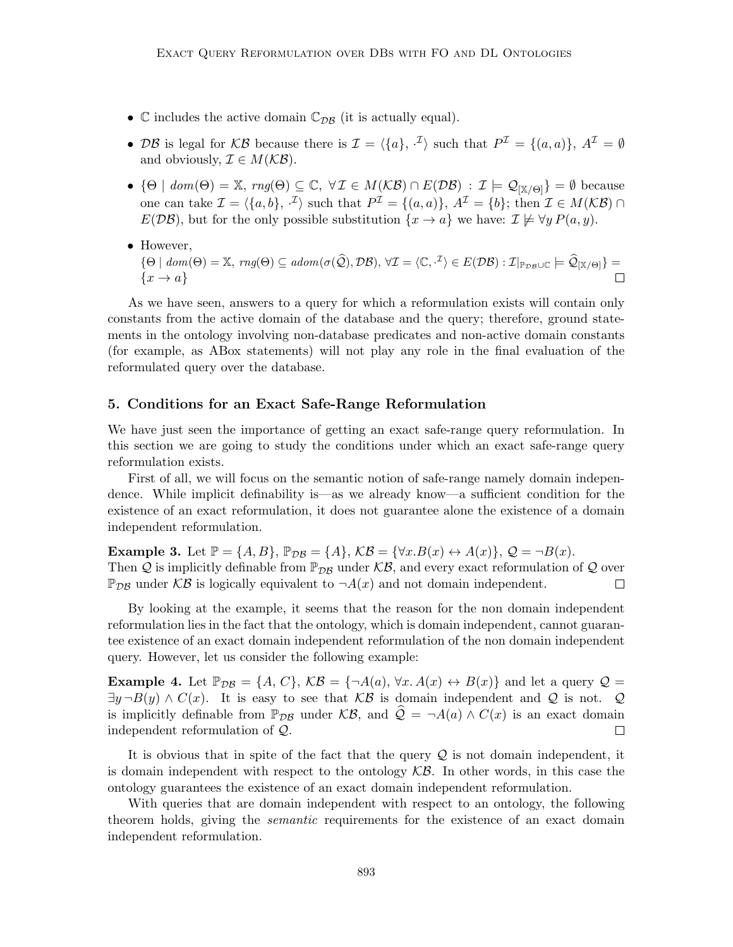- $\mathbb C$  includes the active domain  $\mathbb C_{\mathcal{DB}}$  (it is actually equal).
- DB is legal for KB because there is  $\mathcal{I} = \langle \{a\}, \cdot^{\mathcal{I}} \rangle$  such that  $P^{\mathcal{I}} = \{(a, a)\}, A^{\mathcal{I}} = \emptyset$ and obviously,  $\mathcal{I} \in M(\mathcal{KB})$ .
- ${\Theta \mid dom(\Theta) = \mathbb{X}, rng(\Theta) \subseteq \mathbb{C}, \forall \mathcal{I} \in M(\mathcal{KB}) \cap E(\mathcal{DB}) : \mathcal{I} \models \mathcal{Q}_{|\mathbb{X}/\Theta|} = \emptyset$  because one can take  $\mathcal{I} = \langle \{a, b\}, \cdot^{\mathcal{I}} \rangle$  such that  $P^{\mathcal{I}} = \{(a, a)\}, A^{\mathcal{I}} = \{b\};$  then  $\mathcal{I} \in M(\mathcal{KB}) \cap \mathcal{I}$  $E(D\mathcal{B})$ , but for the only possible substitution  $\{x \to a\}$  we have:  $\mathcal{I} \not\models \forall y P(a, y)$ .
- However,

$$
\{\Theta \mid \text{dom}(\Theta) = \mathbb{X}, \text{ rng}(\Theta) \subseteq \text{adom}(\sigma(\widehat{\mathcal{Q}}), \mathcal{DB}), \forall \mathcal{I} = \langle \mathbb{C}, \cdot^{\mathcal{I}} \rangle \in E(\mathcal{DB}) : \mathcal{I}|_{\mathbb{P}_{\mathcal{DB}} \cup \mathbb{C}} \models \widehat{\mathcal{Q}}_{[\mathbb{X}/\Theta]} \} = \{x \to a\}
$$

As we have seen, answers to a query for which a reformulation exists will contain only constants from the active domain of the database and the query; therefore, ground statements in the ontology involving non-database predicates and non-active domain constants (for example, as ABox statements) will not play any role in the final evaluation of the reformulated query over the database.

#### 5. Conditions for an Exact Safe-Range Reformulation

We have just seen the importance of getting an exact safe-range query reformulation. In this section we are going to study the conditions under which an exact safe-range query reformulation exists.

First of all, we will focus on the semantic notion of safe-range namely domain independence. While implicit definability is—as we already know—a sufficient condition for the existence of an exact reformulation, it does not guarantee alone the existence of a domain independent reformulation.

**Example 3.** Let  $\mathbb{P} = \{A, B\}$ ,  $\mathbb{P}_{\mathcal{DB}} = \{A\}$ ,  $\mathcal{KB} = \{\forall x . B(x) \leftrightarrow A(x)\}$ ,  $\mathcal{Q} = \neg B(x)$ . Then Q is implicitly definable from  $\mathbb{P}_{\mathcal{D}\mathcal{B}}$  under  $\mathcal{KB},$  and every exact reformulation of Q over  $\mathbb{P}_{\mathcal{DB}}$  under  $\mathcal{KB}$  is logically equivalent to  $\neg A(x)$  and not domain independent.  $\Box$ 

By looking at the example, it seems that the reason for the non domain independent reformulation lies in the fact that the ontology, which is domain independent, cannot guarantee existence of an exact domain independent reformulation of the non domain independent query. However, let us consider the following example:

**Example 4.** Let  $\mathbb{P}_{\mathcal{DB}} = \{A, C\}, \mathcal{KB} = \{\neg A(a), \forall x. A(x) \leftrightarrow B(x)\}\$ and let a query  $\mathcal{Q} =$  $\exists y \neg B(y) \land C(x)$ . It is easy to see that KB is domain independent and Q is not. Q is implicitly definable from  $\mathbb{P}_{\mathcal{D}\mathcal{B}}$  under  $\mathcal{KB}$ , and  $\mathcal{Q} = \neg A(a) \wedge C(x)$  is an exact domain independent reformulation of  $\mathcal{Q}$ . independent reformulation of Q.

It is obvious that in spite of the fact that the query  $\mathcal Q$  is not domain independent, it is domain independent with respect to the ontology  $\mathcal{KB}$ . In other words, in this case the ontology guarantees the existence of an exact domain independent reformulation.

With queries that are domain independent with respect to an ontology, the following theorem holds, giving the semantic requirements for the existence of an exact domain independent reformulation.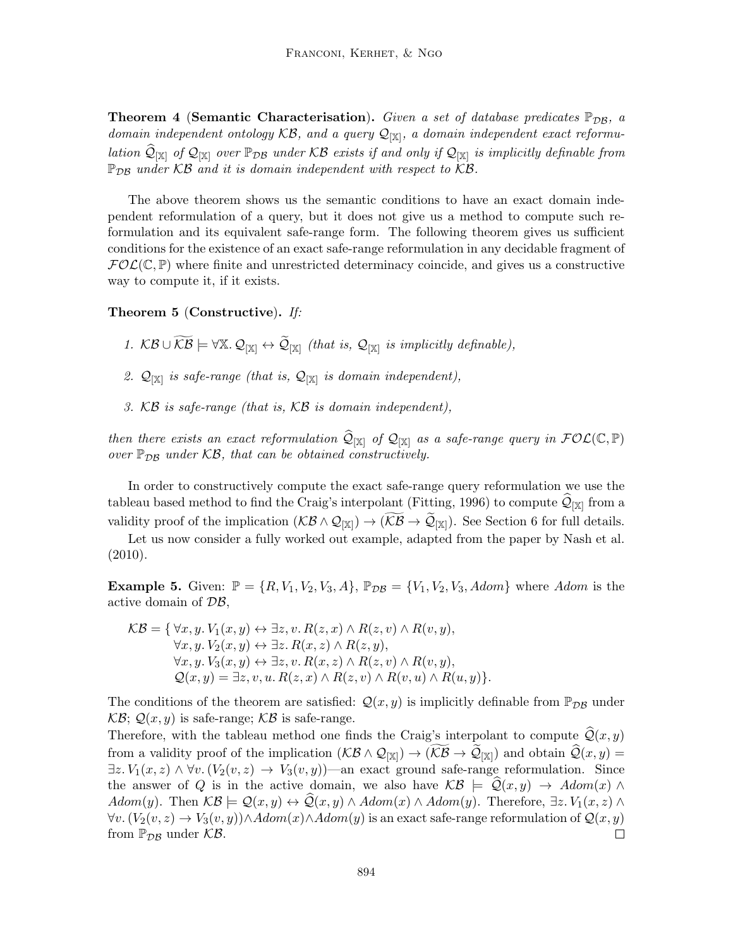**Theorem 4 (Semantic Characterisation).** Given a set of database predicates  $\mathbb{P}_{DB}$ , a domain independent ontology  $KB$ , and a query  $\mathcal{Q}_{[\mathbb{X}]}$ , a domain independent exact reformulation  $\widehat{\mathcal{Q}}_{[X]}$  of  $\mathcal{Q}_{[X]}$  over  $\mathbb{P}_{\mathcal{D}\mathcal{B}}$  under KB exists if and only if  $\mathcal{Q}_{[X]}$  is implicitly definable from  $\mathbb{P}_{\mathcal{D}\mathcal{B}}$  under KB and it is domain independent with respect to KB.

The above theorem shows us the semantic conditions to have an exact domain independent reformulation of a query, but it does not give us a method to compute such reformulation and its equivalent safe-range form. The following theorem gives us sufficient conditions for the existence of an exact safe-range reformulation in any decidable fragment of  $FOL(\mathbb{C}, \mathbb{P})$  where finite and unrestricted determinacy coincide, and gives us a constructive way to compute it, if it exists.

#### Theorem 5 (Constructive). If:

- 1.  $KB \cup \widetilde{KB} \models \forall \mathbb{X}.\ Q_{[\mathbb{X}]} \leftrightarrow \widetilde{Q}_{[\mathbb{X}]}$  (that is,  $Q_{[\mathbb{X}]}$  is implicitly definable),
- 2.  $\mathcal{Q}_{[\mathbb{X}]}$  is safe-range (that is,  $\mathcal{Q}_{[\mathbb{X}]}$  is domain independent),
- 3. KB is safe-range (that is, KB is domain independent),

then there exists an exact reformulation  $\widehat{\mathcal{Q}}_{[X]}$  of  $\mathcal{Q}_{[X]}$  as a safe-range query in  $\mathcal{FOL}(\mathbb{C}, \mathbb{P})$ over  $\mathbb{P}_{\mathcal{DB}}$  under KB, that can be obtained constructively.

In order to constructively compute the exact safe-range query reformulation we use the tableau based method to find the Craig's interpolant (Fitting, 1996) to compute  $\mathcal{Q}_{[\mathbb{X}]}$  from a validity proof of the implication  $(K\mathcal{B} \wedge \mathcal{Q}_{[\mathbb{X}]}) \to (K\mathcal{B} \to \mathcal{Q}_{[\mathbb{X}]})$ . See Section 6 for full details.

Let us now consider a fully worked out example, adapted from the paper by Nash et al. (2010).

**Example 5.** Given:  $\mathbb{P} = \{R, V_1, V_2, V_3, A\}$ ,  $\mathbb{P}_{\mathcal{DB}} = \{V_1, V_2, V_3, Adom\}$  where Adom is the active domain of DB,

$$
\mathcal{KB} = \{ \forall x, y. V_1(x, y) \leftrightarrow \exists z, v. R(z, x) \land R(z, v) \land R(v, y),
$$
  
\n
$$
\forall x, y. V_2(x, y) \leftrightarrow \exists z. R(x, z) \land R(z, y),
$$
  
\n
$$
\forall x, y. V_3(x, y) \leftrightarrow \exists z, v. R(x, z) \land R(z, v) \land R(v, y),
$$
  
\n
$$
\mathcal{Q}(x, y) = \exists z, v, u. R(z, x) \land R(z, v) \land R(v, u) \land R(u, y) \}.
$$

The conditions of the theorem are satisfied:  $\mathcal{Q}(x, y)$  is implicitly definable from  $\mathbb{P}_{\mathcal{DB}}$  under  $\mathcal{KB}; \mathcal{Q}(x, y)$  is safe-range;  $\mathcal{KB}$  is safe-range.

Therefore, with the tableau method one finds the Craig's interpolant to compute  $\mathcal{Q}(x, y)$ from a validity proof of the implication  $(K\mathcal{B} \wedge \mathcal{Q}_{[\mathbb{X}]}) \rightarrow (K\mathcal{B} \rightarrow \mathcal{Q}_{[\mathbb{X}]})$  and obtain  $\mathcal{Q}(x, y) =$  $\exists z.\, V_1(x,z) \land \forall v.\,(V_2(v,z) \rightarrow V_3(v,y))$ —an exact ground safe-range reformulation. Since the answer of Q is in the active domain, we also have  $\mathcal{KB} \models \mathcal{Q}(x, y) \rightarrow Adom(x) \land$ Adom(y). Then  $\mathcal{KB} \models \mathcal{Q}(x, y) \leftrightarrow \mathcal{Q}(x, y) \wedge Adom(x) \wedge Adom(y)$ . Therefore,  $\exists z. V_1(x, z) \wedge$  $\forall v. (V_2(v, z) \rightarrow V_3(v, y)) \land Adom(x) \land Adom(y)$  is an exact safe-range reformulation of  $\mathcal{Q}(x, y)$ from  $\mathbb{P}_{\mathcal{DB}}$  under  $\mathcal{KB}$ .  $\Box$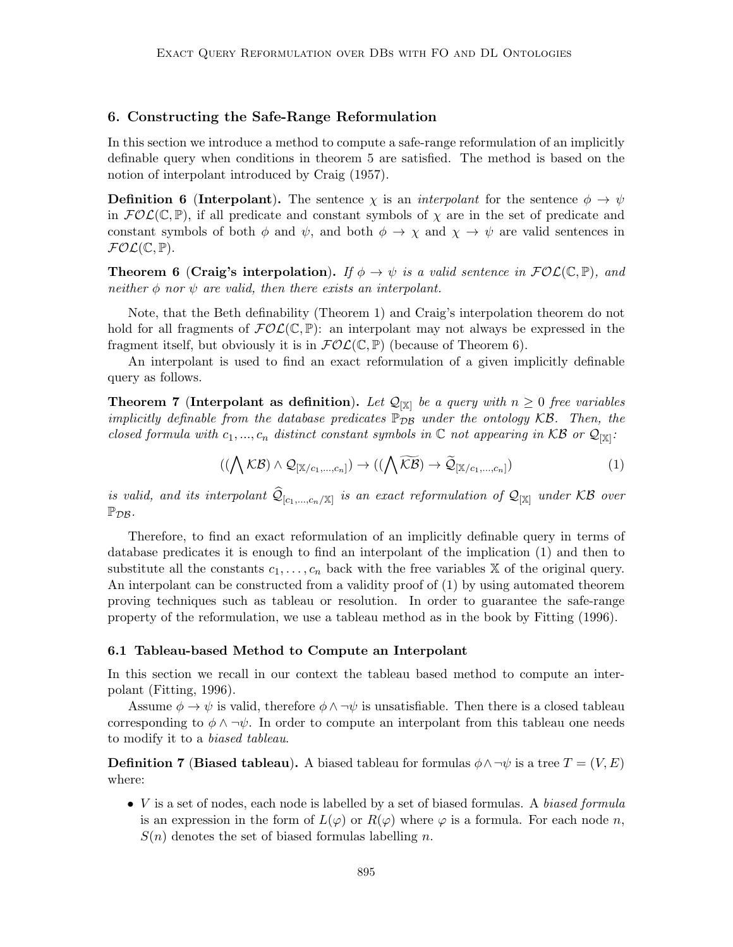#### 6. Constructing the Safe-Range Reformulation

In this section we introduce a method to compute a safe-range reformulation of an implicitly definable query when conditions in theorem 5 are satisfied. The method is based on the notion of interpolant introduced by Craig (1957).

**Definition 6 (Interpolant).** The sentence  $\chi$  is an *interpolant* for the sentence  $\phi \to \psi$ in  $FOL(\mathbb{C}, \mathbb{P})$ , if all predicate and constant symbols of  $\chi$  are in the set of predicate and constant symbols of both  $\phi$  and  $\psi$ , and both  $\phi \to \chi$  and  $\chi \to \psi$  are valid sentences in  $\mathcal{FOL}(\mathbb{C}, \mathbb{P}).$ 

**Theorem 6 (Craig's interpolation).** If  $\phi \to \psi$  is a valid sentence in  $\mathcal{FOL}(\mathbb{C}, \mathbb{P})$ , and neither  $\phi$  nor  $\psi$  are valid, then there exists an interpolant.

Note, that the Beth definability (Theorem 1) and Craig's interpolation theorem do not hold for all fragments of  $FOL(\mathbb{C}, \mathbb{P})$ : an interpolant may not always be expressed in the fragment itself, but obviously it is in  $\mathcal{FOL}(\mathbb{C}, \mathbb{P})$  (because of Theorem 6).

An interpolant is used to find an exact reformulation of a given implicitly definable query as follows.

**Theorem 7** (Interpolant as definition). Let  $\mathcal{Q}_{[\mathbb{X}]}$  be a query with  $n \geq 0$  free variables implicitly definable from the database predicates  $\mathbb{P}_{DB}$  under the ontology KB. Then, the closed formula with  $c_1, ..., c_n$  distinct constant symbols in  $\mathbb C$  not appearing in KB or  $\mathcal Q_{[\mathbb X]}$ :

$$
((\bigwedge \mathcal{KB}) \land \mathcal{Q}_{[\mathbb{X}/c_1,\dots,c_n]}) \rightarrow ((\bigwedge \widetilde{\mathcal{KB}}) \rightarrow \widetilde{\mathcal{Q}}_{[\mathbb{X}/c_1,\dots,c_n]})
$$
(1)

is valid, and its interpolant  $\mathcal{Q}_{[c_1,...,c_n/\mathbb{X}]}$  is an exact reformulation of  $\mathcal{Q}_{[\mathbb{X}]}$  under KB over  $\mathbb{P}_{\mathcal{DB}}$ .

Therefore, to find an exact reformulation of an implicitly definable query in terms of database predicates it is enough to find an interpolant of the implication (1) and then to substitute all the constants  $c_1, \ldots, c_n$  back with the free variables X of the original query. An interpolant can be constructed from a validity proof of (1) by using automated theorem proving techniques such as tableau or resolution. In order to guarantee the safe-range property of the reformulation, we use a tableau method as in the book by Fitting (1996).

#### 6.1 Tableau-based Method to Compute an Interpolant

In this section we recall in our context the tableau based method to compute an interpolant (Fitting, 1996).

Assume  $\phi \to \psi$  is valid, therefore  $\phi \land \neg \psi$  is unsatisfiable. Then there is a closed tableau corresponding to  $\phi \wedge \neg \psi$ . In order to compute an interpolant from this tableau one needs to modify it to a biased tableau.

**Definition 7** (Biased tableau). A biased tableau for formulas  $\phi \land \neg \psi$  is a tree  $T = (V, E)$ where:

• *V* is a set of nodes, each node is labelled by a set of biased formulas. A biased formula is an expression in the form of  $L(\varphi)$  or  $R(\varphi)$  where  $\varphi$  is a formula. For each node n,  $S(n)$  denotes the set of biased formulas labelling n.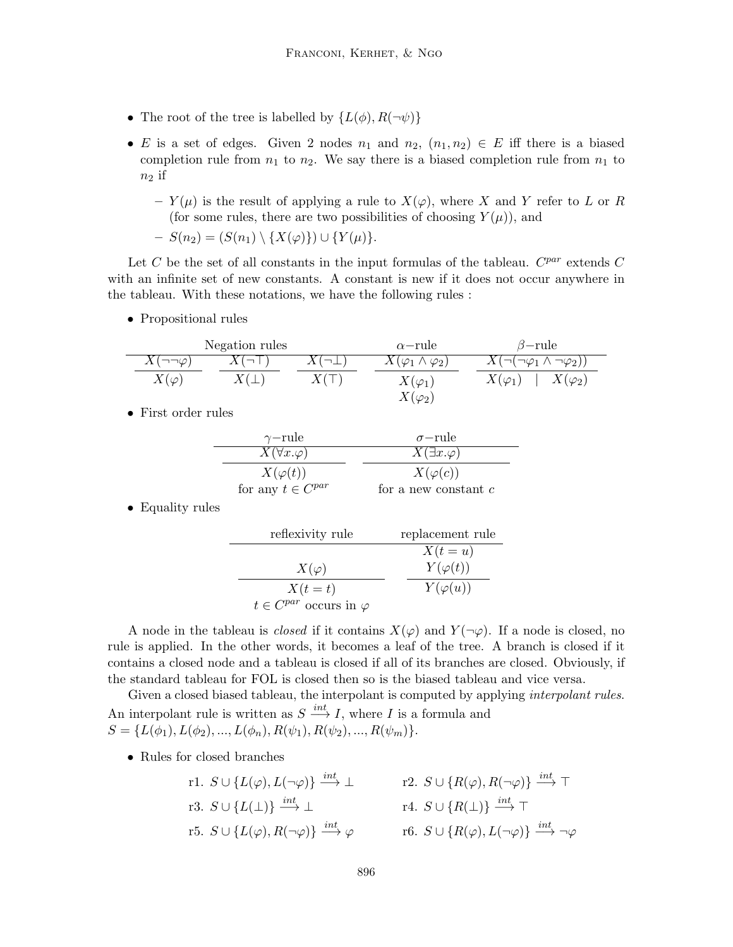- The root of the tree is labelled by  $\{L(\phi), R(\neg \psi)\}\$
- E is a set of edges. Given 2 nodes  $n_1$  and  $n_2$ ,  $(n_1, n_2) \in E$  iff there is a biased completion rule from  $n_1$  to  $n_2$ . We say there is a biased completion rule from  $n_1$  to  $n_2$  if
	- $Y(\mu)$  is the result of applying a rule to  $X(\varphi)$ , where X and Y refer to L or R (for some rules, there are two possibilities of choosing  $Y(\mu)$ ), and

$$
-S(n_2)=(S(n_1)\setminus\{X(\varphi)\})\cup\{Y(\mu)\}.
$$

Let C be the set of all constants in the input formulas of the tableau.  $C^{par}$  extends C with an infinite set of new constants. A constant is new if it does not occur anywhere in the tableau. With these notations, we have the following rules :

• Propositional rules

| Negation rules       |  |  | $\alpha$ -rule                  | $\beta$ -rule                                   |
|----------------------|--|--|---------------------------------|-------------------------------------------------|
| $X(\neg\neg\varphi)$ |  |  | $X(\varphi_1 \wedge \varphi_2)$ | $( \neg(\neg \varphi_1 \wedge \neg \varphi_2))$ |
| $X(\varphi)$         |  |  | $X(\varphi_1)$                  | $X(\varphi_1)$<br>$X(\varphi_2)$                |
|                      |  |  | $X(\varphi_2)$                  |                                                 |

• First order rules

| $\gamma$ -rule          | $\sigma$ -rule                    |
|-------------------------|-----------------------------------|
| $X(\forall x.\varphi)$  | $\overline{X(\exists x.\varphi)}$ |
| $X(\varphi(t))$         | $X(\varphi(c))$                   |
| for any $t \in C^{par}$ | for a new constant $c$            |

• Equality rules

reflexivity rule replacement rule  
\n
$$
X(\varphi)
$$
\n
$$
X(t = u)
$$
\n
$$
X(t = t)
$$
\n
$$
Y(\varphi(t))
$$
\n
$$
t \in C^{par} \text{ occurs in } \varphi
$$

A node in the tableau is *closed* if it contains  $X(\varphi)$  and  $Y(\neg \varphi)$ . If a node is closed, no rule is applied. In the other words, it becomes a leaf of the tree. A branch is closed if it contains a closed node and a tableau is closed if all of its branches are closed. Obviously, if the standard tableau for FOL is closed then so is the biased tableau and vice versa.

Given a closed biased tableau, the interpolant is computed by applying *interpolant rules*. An interpolant rule is written as  $S \xrightarrow{int} I$ , where I is a formula and  $S = \{L(\phi_1), L(\phi_2), ..., L(\phi_n), R(\psi_1), R(\psi_2), ..., R(\psi_m)\}.$ 

• Rules for closed branches

r1. 
$$
S \cup \{L(\varphi), L(\neg \varphi)\} \xrightarrow{int} \bot
$$
  
\nr2.  $S \cup \{R(\varphi), R(\neg \varphi)\} \xrightarrow{int} \top$   
\nr3.  $S \cup \{L(\bot)\} \xrightarrow{int} \bot$   
\nr4.  $S \cup \{R(\bot)\} \xrightarrow{int} \top$   
\nr5.  $S \cup \{L(\varphi), R(\neg \varphi)\} \xrightarrow{int} \varphi$   
\nr6.  $S \cup \{R(\varphi), L(\neg \varphi)\} \xrightarrow{int} \neg \varphi$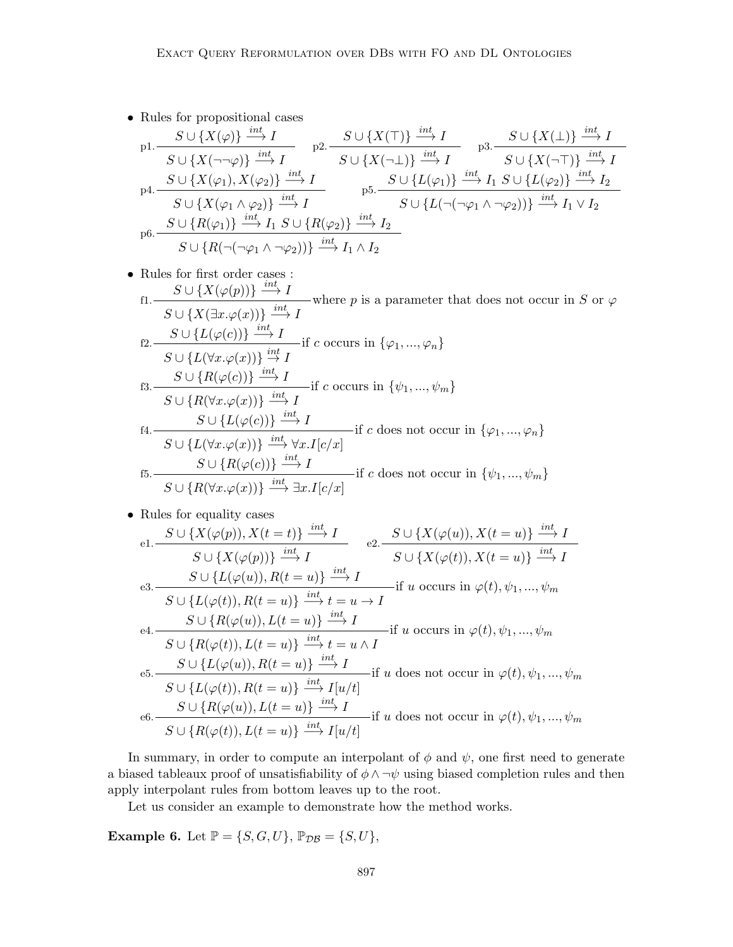• Rules for propositional cases

$$
\begin{array}{ll}\np1. & S \cup \{X(\varphi)\} \xrightarrow{int} I & p2. \xrightarrow{S \cup \{X(\top)\} \xrightarrow{int} I} p3. \xrightarrow{S \cup \{X(\bot)\} \xrightarrow{int} I} p4. \xrightarrow{S \cup \{X(\varphi_1), X(\varphi_2)\} \xrightarrow{int} I} p5. \xrightarrow{S \cup \{L(\varphi_1)\} \xrightarrow{int} I} p6. \xrightarrow{S \cup \{X(\varphi_1), X(\varphi_2)\} \xrightarrow{int} I} p6. \xrightarrow{S \cup \{L(\varphi_1)\} \xrightarrow{int} I} p7. \xrightarrow{S \cup \{L(\varphi_1)\} \xrightarrow{int} I} p8. \xrightarrow{S \cup \{L(\varphi_2)\} \xrightarrow{int} I} p5. \xrightarrow{S \cup \{L(\varphi_1), X(\varphi_2)\} \xrightarrow{int} I} p7. \xrightarrow{S \cup \{L(\varphi_1), X(\varphi_2)\} \xrightarrow{int} I} p8. \xrightarrow{S \cup \{L(\varphi_1), X(\varphi_2)\} \xrightarrow{int} I} p7. \xrightarrow{S \cup \{L(\varphi_1), X(\varphi_2)\} \xrightarrow{int} I} p6. \xrightarrow{S \cup \{R(\varphi_1), X(\varphi_2)\} \xrightarrow{int} I} p7. \xrightarrow{S \cup \{L(\varphi_1), X(\varphi_2)\} \xrightarrow{int} I} p8. \xrightarrow{S \cup \{L(\varphi_1), X(\varphi_2)\} \xrightarrow{int} I} p7. \xrightarrow{S \cup \{L(\varphi_1), X(\varphi_2)\} \xrightarrow{int} I} p9. \xrightarrow{int} p1. \xrightarrow{int} p1. \xrightarrow{int} p1. \xrightarrow{int} p1. \xrightarrow{int} p1. \xrightarrow{int} p2. \xrightarrow{int} p1. \xrightarrow{int} p1. \xrightarrow{int} p1. \xrightarrow{int} p1. \xrightarrow{int} p1. \xrightarrow{int} p1. \xrightarrow{int} p2. \xrightarrow{int} p3. \xrightarrow{int} p1. \xrightarrow{int} p3. \xrightarrow{int} p4. \xrightarrow{int} p5. \xrightarrow{int} p5. \xrightarrow{int} p1. \xrightarrow{int} p2. \xrightarrow{int} p3. \xrightarrow{int} p1. \xrightarrow{
$$

• Rules for first order cases : f1.  $S \cup \{X(\varphi(p))\} \stackrel{int}{\longrightarrow} I$  $S \cup \{X(\exists x.\varphi(x))\} \stackrel{int}{\longrightarrow} I$ where p is a parameter that does not occur in S or  $\varphi$ f2.  $S \cup \{L(\varphi(c))\} \stackrel{int}{\longrightarrow} I$  $S \cup \{L(\forall x.\varphi(x))\} \stackrel{int}{\rightarrow} I$  $\frac{1}{int}$  if c occurs in  $\{\varphi_1, ..., \varphi_n\}$ f3.  $S \cup \{R(\varphi(c))\} \xrightarrow{int} I$  $S \cup \{R(\forall x.\varphi(x))\} \stackrel{int}{\longrightarrow} I$ if c occurs in  $\{\psi_1, ..., \psi_m\}$ f4.  $S \cup \{L(\varphi(c))\} \xrightarrow{int} I$  $S \cup \{L(\forall x. \varphi(x))\} \stackrel{int}{\longrightarrow} \forall x. I[c/x]$ if c does not occur in  $\{\varphi_1, ..., \varphi_n\}$ f5.  $S \cup \{R(\varphi(c))\} \xrightarrow{int} I$  $S \cup \{R(\forall x \cdot \varphi(x))\} \stackrel{int}{\longrightarrow} \exists x \cdot I[c/x]$ if c does not occur in  $\{\psi_1, ..., \psi_m\}$ 

• Rules for equality cases

e1. 
$$
\frac{S \cup \{X(\varphi(p)), X(t=t)\} \stackrel{int}{\longrightarrow} I}{S \cup \{X(\varphi(p))\} \stackrel{int}{\longrightarrow} I} \qquad e2. \frac{S \cup \{X(\varphi(u)), X(t=u)\} \stackrel{int}{\longrightarrow} I}{S \cup \{X(\varphi(t)), X(t=u)\} \stackrel{int}{\longrightarrow} I}
$$
  
e3. 
$$
\frac{S \cup \{L(\varphi(u)), R(t=u)\} \stackrel{int}{\longrightarrow} I}{S \cup \{L(\varphi(t)), R(t=u)\} \stackrel{int}{\longrightarrow} I} \text{if } u \text{ occurs in } \varphi(t), \psi_1, ..., \psi_m
$$
  
f4. 
$$
\frac{S \cup \{R(\varphi(u)), L(t=u)\} \stackrel{int}{\longrightarrow} I}{S \cup \{R(\varphi(t)), L(t=u)\} \stackrel{int}{\longrightarrow} I} \text{if } u \text{ occurs in } \varphi(t), \psi_1, ..., \psi_m
$$
  
f5. 
$$
\frac{S \cup \{L(\varphi(u)), R(t=u)\} \stackrel{int}{\longrightarrow} I}{S \cup \{L(\varphi(t)), R(t=u)\} \stackrel{int}{\longrightarrow} I} \text{if } u \text{ does not occur in } \varphi(t), \psi_1, ..., \psi_m
$$
  
g6. 
$$
\frac{S \cup \{R(\varphi(u)), L(t=u)\} \stackrel{int}{\longrightarrow} I}{S \cup \{R(\varphi(u)), L(t=u)\} \stackrel{int}{\longrightarrow} I} \text{if } u \text{ does not occur in } \varphi(t), \psi_1, ..., \psi_m
$$
  
f6. 
$$
\frac{S \cup \{R(\varphi(u)), L(t=u)\} \stackrel{int}{\longrightarrow} I}{S \cup \{R(\varphi(t)), L(t=u)\} \stackrel{int}{\longrightarrow} I} \text{if } u \text{ does not occur in } \varphi(t), \psi_1, ..., \psi_m
$$

In summary, in order to compute an interpolant of  $\phi$  and  $\psi$ , one first need to generate a biased tableaux proof of unsatisfiability of  $\phi \land \neg \psi$  using biased completion rules and then apply interpolant rules from bottom leaves up to the root.

Let us consider an example to demonstrate how the method works.

**Example 6.** Let  $\mathbb{P} = \{S, G, U\}$ ,  $\mathbb{P}_{\mathcal{DB}} = \{S, U\}$ ,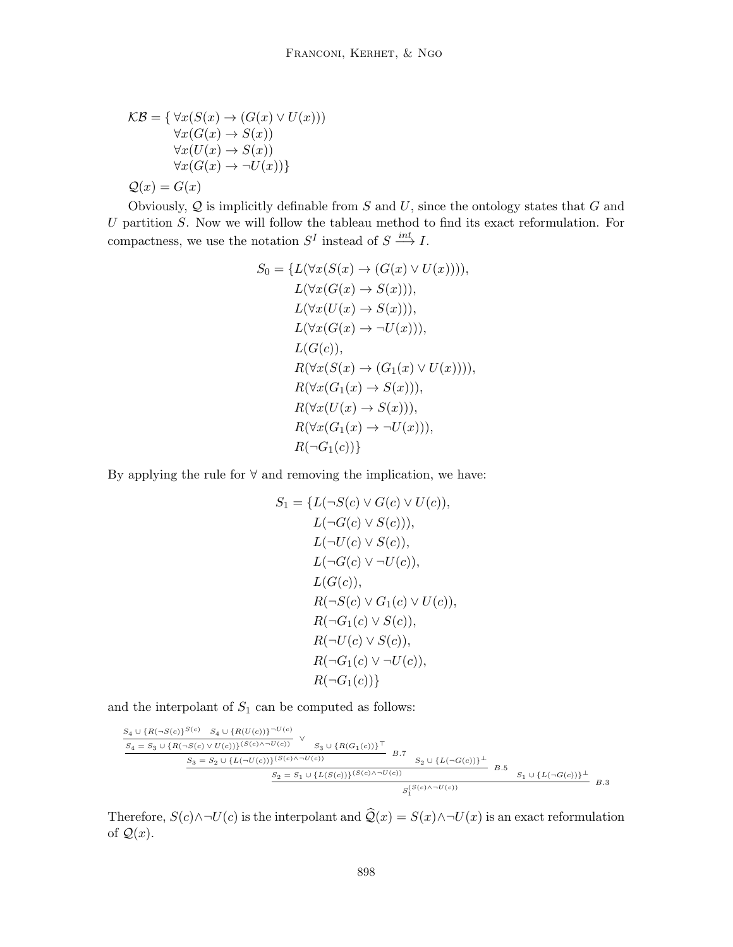$$
\mathcal{KB} = \{ \forall x (S(x) \to (G(x) \lor U(x)))
$$
  
\n
$$
\forall x (G(x) \to S(x))
$$
  
\n
$$
\forall x (U(x) \to S(x))
$$
  
\n
$$
\forall x (G(x) \to \neg U(x)) \}
$$
  
\n
$$
\mathcal{Q}(x) = G(x)
$$

Obviously,  $Q$  is implicitly definable from  $S$  and  $U$ , since the ontology states that  $G$  and  $U$  partition  $S$ . Now we will follow the tableau method to find its exact reformulation. For compactness, we use the notation  $S^I$  instead of  $S \stackrel{int}{\longrightarrow} I$ .

$$
S_0 = \{L(\forall x(S(x) \to (G(x) \lor U(x)))),
$$
  
\n
$$
L(\forall x(G(x) \to S(x))),
$$
  
\n
$$
L(\forall x(U(x) \to S(x))),
$$
  
\n
$$
L(\forall x(G(x) \to \neg U(x))),
$$
  
\n
$$
L(G(c)),
$$
  
\n
$$
R(\forall x(S(x) \to (G_1(x) \lor U(x)))),
$$
  
\n
$$
R(\forall x(G_1(x) \to S(x))),
$$
  
\n
$$
R(\forall x(U(x) \to S(x))),
$$
  
\n
$$
R(\forall x(G_1(x) \to \neg U(x))),
$$
  
\n
$$
R(\neg G_1(c))\}
$$

By applying the rule for  $\forall$  and removing the implication, we have:

$$
S_1 = \{L(\neg S(c) \lor G(c) \lor U(c)),
$$
  
\n
$$
L(\neg G(c) \lor S(c))),
$$
  
\n
$$
L(\neg U(c) \lor S(c)),
$$
  
\n
$$
L(\neg G(c) \lor \neg U(c)),
$$
  
\n
$$
L(G(c)),
$$
  
\n
$$
R(\neg S(c) \lor G_1(c) \lor U(c)),
$$
  
\n
$$
R(\neg G_1(c) \lor S(c)),
$$
  
\n
$$
R(\neg G_1(c) \lor \neg U(c)),
$$
  
\n
$$
R(\neg G_1(c) \lor \neg U(c)),
$$

and the interpolant of  $S_1$  can be computed as follows:

$$
\begin{array}{l} \begin{array}{lll} S_4 \cup \{R (\neg S(c))^{S(c)} & S_4 \cup \{R (U(c))\}^{-U(c)} \\ \hline \\ S_4 = S_3 \cup \{R (\neg S(c) \vee U(c))\}^{(S(c) \wedge \neg U(c))} & \vee \\ S_3 = S_2 \cup \{L (\neg U(c))\}^{(S(c) \wedge \neg U(c))} & & \\ \hline \\ S_2 = S_1 \cup \{L (S(c))\}^{(S(c) \wedge \neg U(c))} & & \\ \hline \\ S_2 = S_1 \cup \{L (S(c))\}^{(S(c) \wedge \neg U(c))} & & \\ \hline \\ S_1^{(S(c) \wedge \neg U(c))} & & \\ \hline \end{array} \end{array} \quad B.5 \quad S_1 \cup \{L (\neg G(c))\}^{\perp} \quad B.6 \quad S_2 \cup \{L (\neg G(c))\}^{\perp} \quad B.7 \quad S_3 \cup \{L (\neg G(c))\}^{\perp} \quad B.8 \quad S_4 \cup \{L (\neg G(c))\}^{\perp} \quad B.9 \quad S_5 \cup \{L (\neg G(c))\}^{\perp} \quad B.1 \quad S_6 \cup \{L (\neg G(c))\}^{\perp} \quad B.1 \quad S_7 \cup \{L (\neg G(c))\}^{\perp} \quad B.2 \quad S_8 \cup \{L (\neg G(c))\}^{\perp} \quad B.3 \quad S_9 \cup \{L (\neg G(c))\}^{\perp} \quad B.4 \quad S_{10} \cup \{L (\neg G(c))\}^{\perp} \quad B.5 \quad S_{11} \cup \{L (\neg G(c))\}^{\perp} \quad B.5 \quad S_{12} \cup \{L (\neg G(c))\}^{\perp} \quad B.5 \quad S_{13} \cup \{L (\neg G(c))\}^{\perp} \quad B.5 \quad S_{14} \cup \{L (\neg G(c))\}^{\perp} \quad B.5 \quad S_{15} \cup \{L (\neg G(c))\}^{\perp} \quad B.5 \quad S_{16} \cup \{L (\neg G(c))\}^{\perp} \quad B.5 \quad S_{17} \cup \{L (\neg G(c))\}^{\perp} \quad B.5 \quad S_{18} \cup \{L (\neg G(c))\}^{\perp} \quad S_{1
$$

Therefore,  $S(c) \wedge \neg U(c)$  is the interpolant and  $\hat{Q}(x) = S(x) \wedge \neg U(x)$  is an exact reformulation of  $\mathcal{Q}(x)$ .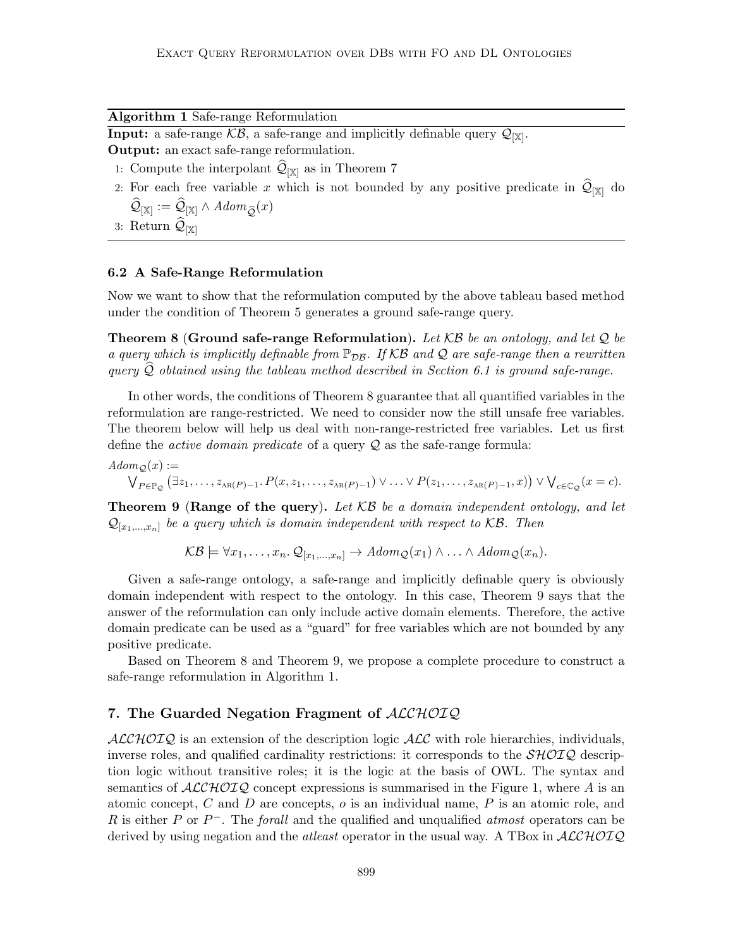Algorithm 1 Safe-range Reformulation

**Input:** a safe-range  $KB$ , a safe-range and implicitly definable query  $\mathcal{Q}_{[\mathbb{X}]}$ . Output: an exact safe-range reformulation.

- 1: Compute the interpolant  $\mathcal{Q}_{[\mathbb{X}]}$  as in Theorem 7
- 2: For each free variable x which is not bounded by any positive predicate in  $\mathcal{Q}_{[\mathbb{X}]}$  do  $\mathcal{Q}_{[\mathbb{X}]} := \mathcal{Q}_{[\mathbb{X}]} \wedge Adom_{\widehat{\mathcal{Q}}}(x)$
- 3: Return  $\mathcal{Q}_{[\mathbb{X}]}$

# 6.2 A Safe-Range Reformulation

Now we want to show that the reformulation computed by the above tableau based method under the condition of Theorem 5 generates a ground safe-range query.

**Theorem 8 (Ground safe-range Reformulation).** Let  $KB$  be an ontology, and let Q be a query which is implicitly definable from  $\mathbb{P}_{DB}$ . If KB and Q are safe-range then a rewritten query  $Q$  obtained using the tableau method described in Section 6.1 is ground safe-range.

In other words, the conditions of Theorem 8 guarantee that all quantified variables in the reformulation are range-restricted. We need to consider now the still unsafe free variables. The theorem below will help us deal with non-range-restricted free variables. Let us first define the *active domain predicate* of a query  $Q$  as the safe-range formula:

 $Adom_{\mathcal{Q}}(x) :=$ 

 $\bigvee_{P \in \mathbb{P}_{\mathcal{Q}}} (\exists z_1, \ldots, z_{\text{AR}(P)-1}, P(x, z_1, \ldots, z_{\text{AR}(P)-1}) \vee \ldots \vee P(z_1, \ldots, z_{\text{AR}(P)-1}, x)) \vee \bigvee_{c \in \mathbb{C}_{\mathcal{Q}}}(x = c).$ 

**Theorem 9 (Range of the query).** Let  $KB$  be a domain independent ontology, and let  $\mathcal{Q}_{[x_1,...,x_n]}$  be a query which is domain independent with respect to KB. Then

 $\mathcal{KB} \models \forall x_1, \ldots, x_n \ldotp \mathcal{Q}_{[x_1,\ldots,x_n]} \rightarrow Adom_{\mathcal{Q}}(x_1) \wedge \ldots \wedge Adom_{\mathcal{Q}}(x_n).$ 

Given a safe-range ontology, a safe-range and implicitly definable query is obviously domain independent with respect to the ontology. In this case, Theorem 9 says that the answer of the reformulation can only include active domain elements. Therefore, the active domain predicate can be used as a "guard" for free variables which are not bounded by any positive predicate.

Based on Theorem 8 and Theorem 9, we propose a complete procedure to construct a safe-range reformulation in Algorithm 1.

# 7. The Guarded Negation Fragment of ALCHOIQ

 $ALCHOTQ$  is an extension of the description logic  $ALC$  with role hierarchies, individuals, inverse roles, and qualified cardinality restrictions: it corresponds to the  $\mathcal{SHOLQ}$  description logic without transitive roles; it is the logic at the basis of OWL. The syntax and semantics of  $\mathcal{ALCHOLQ}$  concept expressions is summarised in the Figure 1, where A is an atomic concept, C and D are concepts,  $o$  is an individual name, P is an atomic role, and R is either P or  $P^-$ . The forall and the qualified and unqualified atmost operators can be derived by using negation and the *atleast* operator in the usual way. A TBox in  $ALCHOTQ$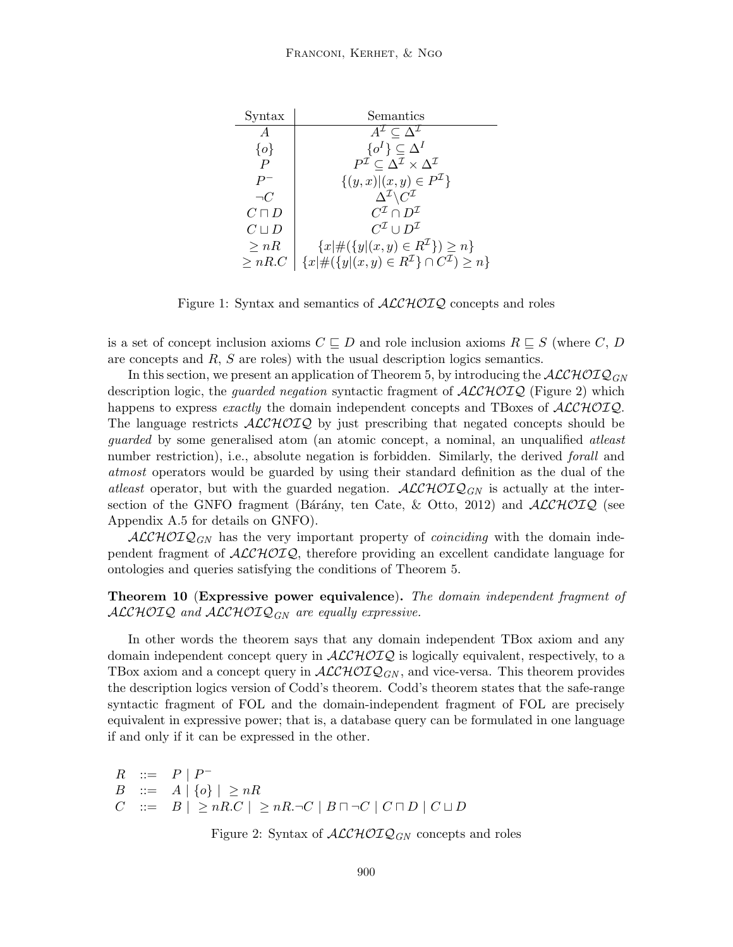| Syntax           | Semantics                                                                                 |
|------------------|-------------------------------------------------------------------------------------------|
| $\overline{A}$   | $A^{\mathcal{I}} \subseteq \Delta^{\mathcal{I}}$                                          |
| $\{o\}$          | $\{o^I\} \subset \Delta^I$                                                                |
| $\boldsymbol{P}$ | $P^{\mathcal{I}} \subset \Delta^{\mathcal{I}} \times \Delta^{\mathcal{I}}$                |
| $P^-$            | $\{(y,x)\vert (x,y)\in P^{\mathcal{I}}\}\$                                                |
| $\neg C$         | $\Delta^{\mathcal{I}}\backslash C^{\mathcal{I}}$                                          |
| $C\sqcap D$      | $C^{\mathcal{I}} \cap D^{\mathcal{I}}$                                                    |
| $C \sqcup D$     | $C^{\mathcal{I}} \cup D^{\mathcal{I}}$                                                    |
| $\geq nR$        | ${x \mid \#(\{y   (x, y) \in R^{\mathcal{I}}\}) \geq n}$                                  |
| > nR.C           | ${x \mid \#(\lbrace y   (x, y) \in R^{\mathcal{I}} \rbrace \cap C^{\mathcal{I}}) \geq n}$ |

Figure 1: Syntax and semantics of  $\text{ALCHOTQ}$  concepts and roles

is a set of concept inclusion axioms  $C \subseteq D$  and role inclusion axioms  $R \subseteq S$  (where C, D are concepts and R, S are roles) with the usual description logics semantics.

In this section, we present an application of Theorem 5, by introducing the  $\mathcal{ALCHOLQ}_{GN}$ description logic, the *guarded negation* syntactic fragment of  $\text{ALCHOLQ}$  (Figure 2) which happens to express exactly the domain independent concepts and TBoxes of  $\mathcal{ALCHOLQ}$ . The language restricts  $ALCHOTQ$  by just prescribing that negated concepts should be guarded by some generalised atom (an atomic concept, a nominal, an unqualified atleast number restriction), i.e., absolute negation is forbidden. Similarly, the derived *forall* and atmost operators would be guarded by using their standard definition as the dual of the atleast operator, but with the guarded negation.  $\mathcal{ALCHOLQ}_{GN}$  is actually at the intersection of the GNFO fragment (Bárány, ten Cate,  $\&$  Otto, 2012) and  $\mathcal{ALCHOLQ}$  (see Appendix A.5 for details on GNFO).

 $\mathcal{ALCHOLQ}_{GN}$  has the very important property of *coinciding* with the domain independent fragment of  $\text{ALCHOLQ}$ , therefore providing an excellent candidate language for ontologies and queries satisfying the conditions of Theorem 5.

# Theorem 10 (Expressive power equivalence). The domain independent fragment of  $ALCHOTQ$  and  $ALCHOTQ_{GN}$  are equally expressive.

In other words the theorem says that any domain independent TBox axiom and any domain independent concept query in  $\text{ALCHOLQ}$  is logically equivalent, respectively, to a TBox axiom and a concept query in  $\mathcal{ALCHOLQ}_{GN}$ , and vice-versa. This theorem provides the description logics version of Codd's theorem. Codd's theorem states that the safe-range syntactic fragment of FOL and the domain-independent fragment of FOL are precisely equivalent in expressive power; that is, a database query can be formulated in one language if and only if it can be expressed in the other.

 $R$  ::=  $P | P^-$ B ::=  $A | \{o\} | \geq nR$  $C \ ::= B \mid \geq nR.C \mid \geq nR.\neg C \mid B \sqcap \neg C \mid C \sqcap D \mid C \sqcup D$ 

Figure 2: Syntax of  $\mathcal{ALCHOLQ}_{GN}$  concepts and roles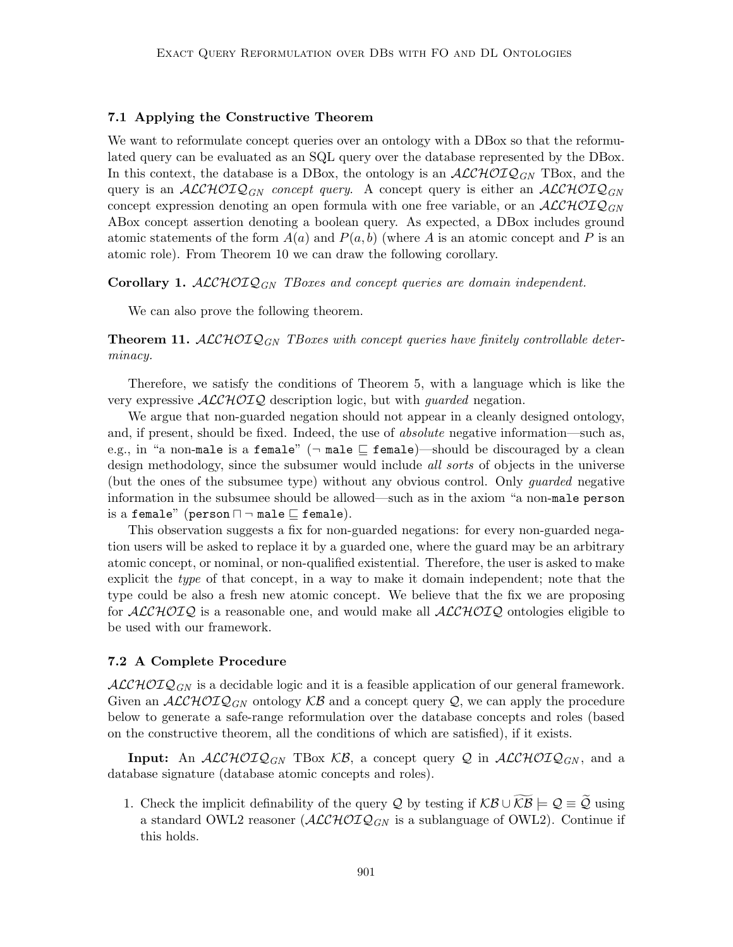#### 7.1 Applying the Constructive Theorem

We want to reformulate concept queries over an ontology with a DBox so that the reformulated query can be evaluated as an SQL query over the database represented by the DBox. In this context, the database is a DBox, the ontology is an  $\mathcal{ALCHOLQ}_{GN}$  TBox, and the query is an  $\mathcal{ALCHOLQ}_{GN}$  concept query. A concept query is either an  $\mathcal{ALCHOLQ}_{GN}$ concept expression denoting an open formula with one free variable, or an  $\mathcal{ALCHOLQ}_{GN}$ ABox concept assertion denoting a boolean query. As expected, a DBox includes ground atomic statements of the form  $A(a)$  and  $P(a, b)$  (where A is an atomic concept and P is an atomic role). From Theorem 10 we can draw the following corollary.

**Corollary 1.** ALCHOI $Q_{GN}$  TBoxes and concept queries are domain independent.

We can also prove the following theorem.

**Theorem 11.** ALCHOIQ<sub>GN</sub> TBoxes with concept queries have finitely controllable determinacy.

Therefore, we satisfy the conditions of Theorem 5, with a language which is like the very expressive  $ALCHOTQ$  description logic, but with *guarded* negation.

We argue that non-guarded negation should not appear in a cleanly designed ontology, and, if present, should be fixed. Indeed, the use of absolute negative information—such as, e.g., in "a non-male is a female" ( $\neg$  male  $\sqsubseteq$  female)—should be discouraged by a clean design methodology, since the subsumer would include *all sorts* of objects in the universe (but the ones of the subsumee type) without any obvious control. Only guarded negative information in the subsumee should be allowed—such as in the axiom "a non-male person is a female" (person  $\Box$   $\neg$  male  $\Box$  female).

This observation suggests a fix for non-guarded negations: for every non-guarded negation users will be asked to replace it by a guarded one, where the guard may be an arbitrary atomic concept, or nominal, or non-qualified existential. Therefore, the user is asked to make explicit the type of that concept, in a way to make it domain independent; note that the type could be also a fresh new atomic concept. We believe that the fix we are proposing for  $ALCHOTQ$  is a reasonable one, and would make all  $ALCHOTQ$  ontologies eligible to be used with our framework.

## 7.2 A Complete Procedure

 $ALCHOTQ_{GN}$  is a decidable logic and it is a feasible application of our general framework. Given an  $\mathcal{ALCHOLQ}_{GN}$  ontology  $\mathcal{KB}$  and a concept query Q, we can apply the procedure below to generate a safe-range reformulation over the database concepts and roles (based on the constructive theorem, all the conditions of which are satisfied), if it exists.

**Input:** An  $ALCHOTQ_{GN}$  TBox  $KB$ , a concept query Q in  $ALCHOTQ_{GN}$ , and a database signature (database atomic concepts and roles).

1. Check the implicit definability of the query Q by testing if  $KB \cup KB \models Q \equiv \tilde{Q}$  using a standard OWL2 reasoner  $(ALCHOTQ_{GN}$  is a sublanguage of OWL2). Continue if this holds.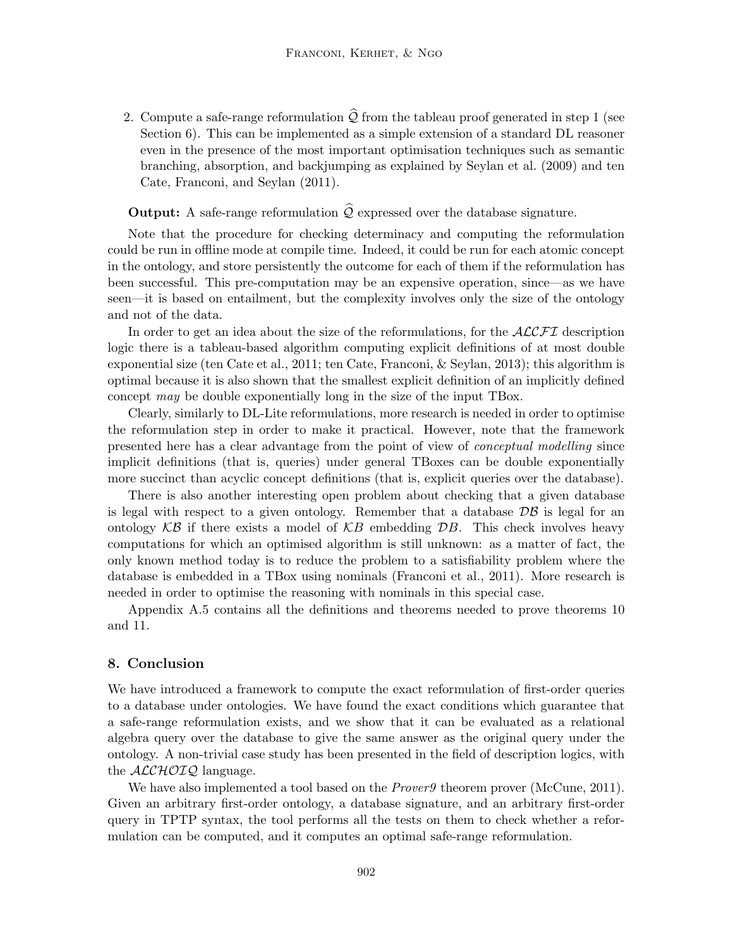2. Compute a safe-range reformulation  $\widehat{\mathcal{Q}}$  from the tableau proof generated in step 1 (see Section 6). This can be implemented as a simple extension of a standard DL reasoner even in the presence of the most important optimisation techniques such as semantic branching, absorption, and backjumping as explained by Seylan et al. (2009) and ten Cate, Franconi, and Seylan (2011).

# **Output:** A safe-range reformulation  $\hat{Q}$  expressed over the database signature.

Note that the procedure for checking determinacy and computing the reformulation could be run in offline mode at compile time. Indeed, it could be run for each atomic concept in the ontology, and store persistently the outcome for each of them if the reformulation has been successful. This pre-computation may be an expensive operation, since—as we have seen—it is based on entailment, but the complexity involves only the size of the ontology and not of the data.

In order to get an idea about the size of the reformulations, for the  $\mathcal{ALCFT}$  description logic there is a tableau-based algorithm computing explicit definitions of at most double exponential size (ten Cate et al., 2011; ten Cate, Franconi, & Seylan, 2013); this algorithm is optimal because it is also shown that the smallest explicit definition of an implicitly defined concept may be double exponentially long in the size of the input TBox.

Clearly, similarly to DL-Lite reformulations, more research is needed in order to optimise the reformulation step in order to make it practical. However, note that the framework presented here has a clear advantage from the point of view of conceptual modelling since implicit definitions (that is, queries) under general TBoxes can be double exponentially more succinct than acyclic concept definitions (that is, explicit queries over the database).

There is also another interesting open problem about checking that a given database is legal with respect to a given ontology. Remember that a database  $\mathcal{DB}$  is legal for an ontology  $K\mathcal{B}$  if there exists a model of  $KB$  embedding  $\mathcal{D}B$ . This check involves heavy computations for which an optimised algorithm is still unknown: as a matter of fact, the only known method today is to reduce the problem to a satisfiability problem where the database is embedded in a TBox using nominals (Franconi et al., 2011). More research is needed in order to optimise the reasoning with nominals in this special case.

Appendix A.5 contains all the definitions and theorems needed to prove theorems 10 and 11.

# 8. Conclusion

We have introduced a framework to compute the exact reformulation of first-order queries to a database under ontologies. We have found the exact conditions which guarantee that a safe-range reformulation exists, and we show that it can be evaluated as a relational algebra query over the database to give the same answer as the original query under the ontology. A non-trivial case study has been presented in the field of description logics, with the  $ALCHOIQ$  language.

We have also implemented a tool based on the *Prover9* theorem prover (McCune, 2011). Given an arbitrary first-order ontology, a database signature, and an arbitrary first-order query in TPTP syntax, the tool performs all the tests on them to check whether a reformulation can be computed, and it computes an optimal safe-range reformulation.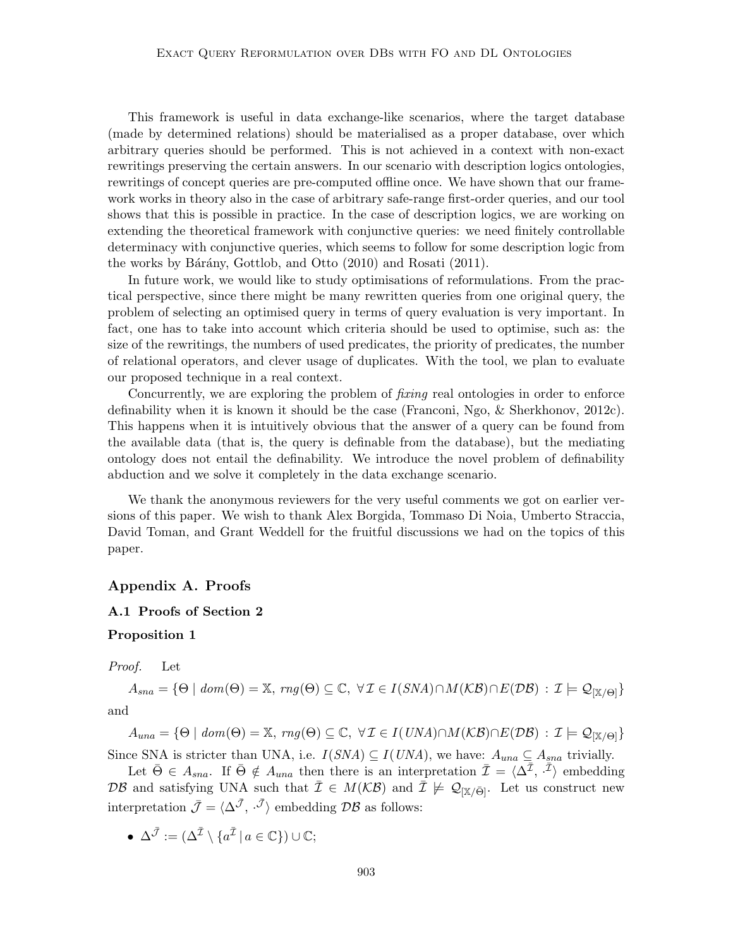This framework is useful in data exchange-like scenarios, where the target database (made by determined relations) should be materialised as a proper database, over which arbitrary queries should be performed. This is not achieved in a context with non-exact rewritings preserving the certain answers. In our scenario with description logics ontologies, rewritings of concept queries are pre-computed offline once. We have shown that our framework works in theory also in the case of arbitrary safe-range first-order queries, and our tool shows that this is possible in practice. In the case of description logics, we are working on extending the theoretical framework with conjunctive queries: we need finitely controllable determinacy with conjunctive queries, which seems to follow for some description logic from the works by Bárány, Gottlob, and Otto (2010) and Rosati (2011).

In future work, we would like to study optimisations of reformulations. From the practical perspective, since there might be many rewritten queries from one original query, the problem of selecting an optimised query in terms of query evaluation is very important. In fact, one has to take into account which criteria should be used to optimise, such as: the size of the rewritings, the numbers of used predicates, the priority of predicates, the number of relational operators, and clever usage of duplicates. With the tool, we plan to evaluate our proposed technique in a real context.

Concurrently, we are exploring the problem of fixing real ontologies in order to enforce definability when it is known it should be the case (Franconi, Ngo, & Sherkhonov, 2012c). This happens when it is intuitively obvious that the answer of a query can be found from the available data (that is, the query is definable from the database), but the mediating ontology does not entail the definability. We introduce the novel problem of definability abduction and we solve it completely in the data exchange scenario.

We thank the anonymous reviewers for the very useful comments we got on earlier versions of this paper. We wish to thank Alex Borgida, Tommaso Di Noia, Umberto Straccia, David Toman, and Grant Weddell for the fruitful discussions we had on the topics of this paper.

## Appendix A. Proofs

#### A.1 Proofs of Section 2

#### Proposition 1

Proof. Let

 $A_{sna} = \{\Theta \mid dom(\Theta) = \mathbb{X}, rng(\Theta) \subseteq \mathbb{C}, \ \forall \mathcal{I} \in I(SNA) \cap M(\mathcal{KB}) \cap E(\mathcal{DB}) : \mathcal{I} \models \mathcal{Q}_{[\mathbb{X}/\Theta]} \}$ and

 $A_{una} = \{ \Theta \mid dom(\Theta) = \mathbb{X}, rng(\Theta) \subseteq \mathbb{C}, \forall \mathcal{I} \in I(UNA) \cap M(KB) \cap E(DB) : \mathcal{I} \models \mathcal{Q}_{[\mathbb{X}/\Theta]} \}$ Since SNA is stricter than UNA, i.e.  $I(SNA) \subseteq I(UNA)$ , we have:  $A_{una} \subseteq A_{sna}$  trivially.

Let  $\bar{\Theta} \in A_{sna}$ . If  $\bar{\Theta} \notin A_{una}$  then there is an interpretation  $\bar{\mathcal{I}} = \langle \Delta^{\bar{\mathcal{I}}}, \bar{\mathcal{I}} \rangle$  embedding DB and satisfying UNA such that  $\overline{\mathcal{I}} \in M(\mathcal{KB})$  and  $\overline{\mathcal{I}} \not\models \mathcal{Q}_{|\mathbb{X}/\bar{\Theta}|}$ . Let us construct new interpretation  $\bar{\mathcal{J}} = \langle \Delta^{\bar{\mathcal{J}}}, \bar{\mathcal{J}} \rangle$  embedding  $\mathcal{DB}$  as follows:

•  $\Delta^{\bar{\mathcal{J}}} := (\Delta^{\bar{\mathcal{I}}} \setminus \{a^{\bar{\mathcal{I}}}\,|\, a \in \mathbb{C}\}) \cup \mathbb{C};$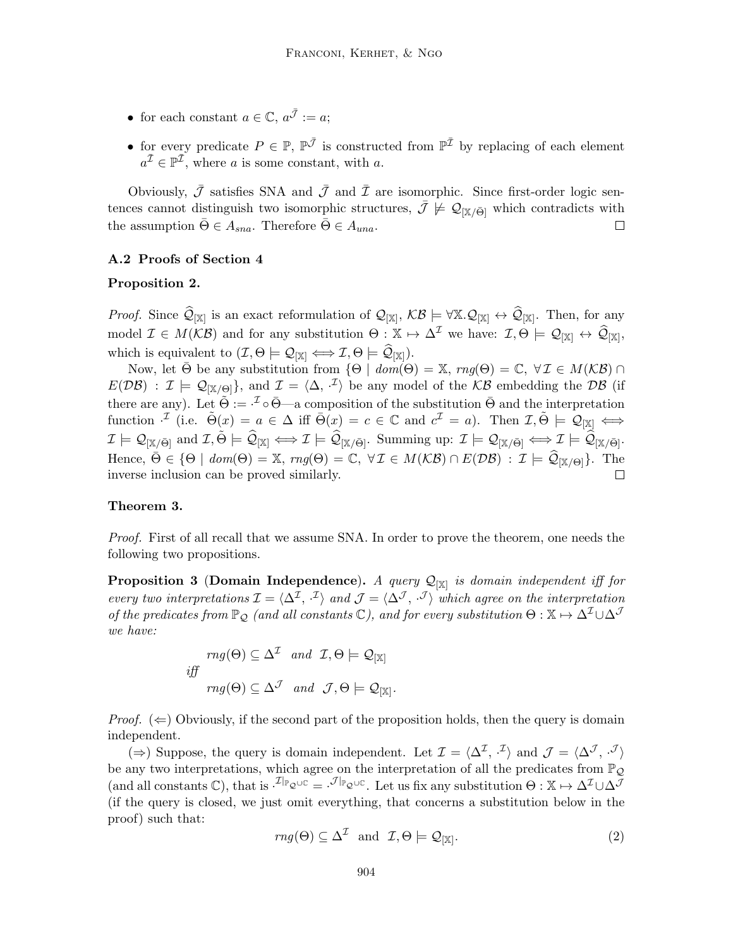- for each constant  $a \in \mathbb{C}$ ,  $a^{\bar{\mathcal{J}}} := a$ ;
- for every predicate  $P \in \mathbb{P}, \mathbb{P}^{\bar{\mathcal{J}}}$  is constructed from  $\mathbb{P}^{\bar{\mathcal{I}}}$  by replacing of each element  $a^{\overline{\mathcal{I}}} \in \mathbb{P}^{\overline{\mathcal{I}}}$ , where a is some constant, with a.

Obviously,  $\bar{\mathcal{J}}$  satisfies SNA and  $\bar{\mathcal{J}}$  and  $\bar{\mathcal{I}}$  are isomorphic. Since first-order logic sentences cannot distinguish two isomorphic structures,  $\bar{\mathcal{J}} \not\models \mathcal{Q}_{|\mathbb{X}/\bar{\Theta}|}$  which contradicts with the assumption  $\bar{\Theta} \in A_{sna}$ . Therefore  $\bar{\Theta} \in A_{una}$ .  $\Box$ 

## A.2 Proofs of Section 4

#### Proposition 2.

Proof. Since  $\widehat{\mathcal{Q}}_{[\mathbb{X}]}$  is an exact reformulation of  $\mathcal{Q}_{[\mathbb{X}]}, \mathcal{KB} \models \forall \mathbb{X}. \mathcal{Q}_{[\mathbb{X}]} \leftrightarrow \widehat{\mathcal{Q}}_{[\mathbb{X}]}$ . Then, for any model  $\mathcal{I} \in M(\mathcal{KB})$  and for any substitution  $\Theta : \mathbb{X} \mapsto \Delta^{\mathcal{I}}$  we have:  $\mathcal{I}, \Theta \models \mathcal{Q}_{[\mathbb{X}]}\leftrightarrow \widehat{\mathcal{Q}}_{[\mathbb{X}]},$ which is equivalent to  $(\mathcal{I}, \Theta \models \mathcal{Q}_{[\mathbb{X}]}\Longleftrightarrow \mathcal{I}, \Theta \models \mathcal{Q}_{[\mathbb{X}]})$ .

Now, let  $\bar{\Theta}$  be any substitution from  $\{\Theta \mid \text{dom}(\Theta) = \mathbb{X}, \text{rng}(\Theta) = \mathbb{C}, \forall \mathcal{I} \in M(\mathcal{KB}) \cap \mathcal{I}$  $E(D\mathcal{B})$ :  $\mathcal{I} \models \mathcal{Q}_{[\mathbb{X}/\Theta]}$ , and  $\mathcal{I} = \langle \Delta, \cdot^{\mathcal{I}} \rangle$  be any model of the KB embedding the DB (if there are any). Let  $\tilde{\Theta} := \tilde{\Theta}$  as composition of the substitution  $\bar{\Theta}$  and the interpretation function  $\mathcal{I}$  (i.e.  $\tilde{\Theta}(x) = a \in \Delta$  iff  $\bar{\Theta}(x) = c \in \mathbb{C}$  and  $c^{\mathcal{I}} = a$ ). Then  $\mathcal{I}, \tilde{\Theta} \models \mathcal{Q}_{[\mathbb{X}]} \iff$  $\mathcal{I} \models \mathcal{Q}_{[\mathbb{X}/\bar{\Theta}]} \text{ and } \mathcal{I}, \tilde{\Theta} \models \widehat{\mathcal{Q}}_{[\mathbb{X}]} \Longleftrightarrow \mathcal{I} \models \widehat{\mathcal{Q}}_{[\mathbb{X}/\bar{\Theta}]}. \text{ Summing up: } \mathcal{I} \models \mathcal{Q}_{[\mathbb{X}/\bar{\Theta}]} \Longleftrightarrow \mathcal{I} \models \widehat{\mathcal{Q}}_{[\mathbb{X}/\bar{\Theta}]}.$ Hence,  $\bar{\Theta} \in \{\Theta \mid \text{dom}(\Theta) = \mathbb{X}, \text{rng}(\Theta) = \mathbb{C}, \forall \mathcal{I} \in M(\mathcal{KB}) \cap E(\mathcal{DB}) : \mathcal{I} \models \widehat{\mathcal{Q}}_{[\mathbb{X}/\Theta]}\}.$  The inverse inclusion can be proved similarly.  $\Box$ 

# Theorem 3.

Proof. First of all recall that we assume SNA. In order to prove the theorem, one needs the following two propositions.

**Proposition 3 (Domain Independence).** A query  $\mathcal{Q}_{[\mathbb{X}]}$  is domain independent iff for every two interpretations  $\mathcal{I} = \langle \Delta^{\mathcal{I}}, \cdot^{\mathcal{I}} \rangle$  and  $\mathcal{J} = \langle \Delta^{\mathcal{J}}, \cdot^{\mathcal{J}} \rangle$  which agree on the interpretation of the predicates from  $\mathbb{P}_{\mathcal{Q}}$  (and all constants  $\mathbb{C}$ ), and for every substitution  $\Theta: \mathbb{X} \mapsto \Delta^{\mathcal{I}} \cup \Delta^{\mathcal{J}}$ we have:

$$
rng(\Theta) \subseteq \Delta^{\mathcal{I}} \quad and \quad \mathcal{I}, \Theta \models \mathcal{Q}_{[\mathbb{X}]}
$$
  

$$
iff
$$
  

$$
rng(\Theta) \subseteq \Delta^{\mathcal{J}} \quad and \quad \mathcal{J}, \Theta \models \mathcal{Q}_{[\mathbb{X}]}.
$$

*Proof.*  $(\Leftarrow)$  Obviously, if the second part of the proposition holds, then the query is domain independent.

(⇒) Suppose, the query is domain independent. Let  $\mathcal{I} = \langle \Delta^{\mathcal{I}}, \cdot^{\mathcal{I}} \rangle$  and  $\mathcal{J} = \langle \Delta^{\mathcal{J}}, \cdot^{\mathcal{J}} \rangle$ be any two interpretations, which agree on the interpretation of all the predicates from  $\mathbb{P}_{\mathcal{Q}}$ (and all constants  $\mathbb{C}$ ), that is  $\cdot^{\mathcal{I}|_{\mathbb{P}_{\mathcal{Q}}\cup\mathbb{C}}} = \cdot^{\mathcal{J}|_{\mathbb{P}_{\mathcal{Q}}\cup\mathbb{C}}}$ . Let us fix any substitution  $\Theta : \mathbb{X} \mapsto \Delta^{\mathcal{I}} \cup \Delta^{\mathcal{J}}$ (if the query is closed, we just omit everything, that concerns a substitution below in the proof) such that:

$$
rng(\Theta) \subseteq \Delta^{\mathcal{I}} \text{ and } \mathcal{I}, \Theta \models \mathcal{Q}_{[\mathbb{X}]}. \tag{2}
$$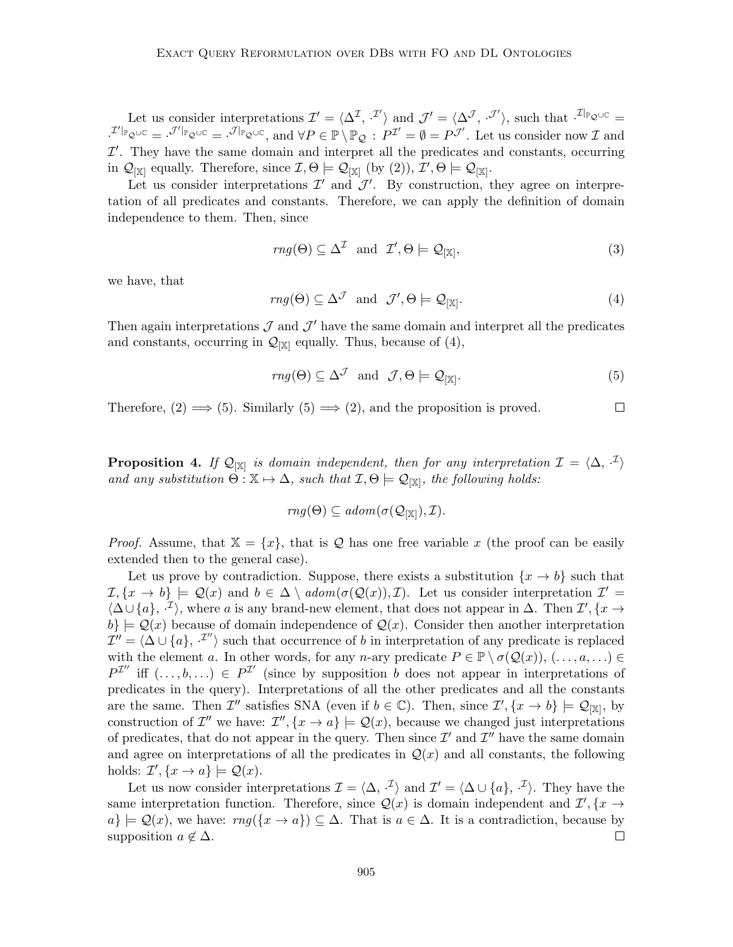Let us consider interpretations  $\mathcal{I}' = \langle \Delta^{\mathcal{I}}, \cdot^{\mathcal{I}'} \rangle$  and  $\mathcal{J}' = \langle \Delta^{\mathcal{J}}, \cdot^{\mathcal{J}'} \rangle$ , such that  $\cdot^{\mathcal{I}|_{\mathbb{P}}_{\mathcal{Q}} \cup \mathbb{C}} =$  $\mathcal{I}^{\prime\parallel_{\mathbb{P}_{\mathcal{Q}}\cup\mathbb{C}}}=\mathcal{I}^{\prime\parallel_{\mathbb{P}_{\mathcal{Q}}\cup\mathbb{C}}},\text{ and }\forall P\in\mathbb{P}\setminus\mathbb{P}_{\mathcal{Q}}:\ P^{\mathcal{I}^{\prime}}=\emptyset=P^{\mathcal{J}^{\prime}}.$  Let us consider now  $\mathcal{I}$  and  $\mathcal{I}'$ . They have the same domain and interpret all the predicates and constants, occurring in  $\mathcal{Q}_{[\mathbb{X}]}$  equally. Therefore, since  $\mathcal{I}, \Theta \models \mathcal{Q}_{[\mathbb{X}]}$  (by (2)),  $\mathcal{I}', \Theta \models \mathcal{Q}_{[\mathbb{X}]}$ .

Let us consider interpretations  $\mathcal{I}'$  and  $\mathcal{J}'$ . By construction, they agree on interpretation of all predicates and constants. Therefore, we can apply the definition of domain independence to them. Then, since

$$
rng(\Theta) \subseteq \Delta^{\mathcal{I}} \text{ and } \mathcal{I}', \Theta \models \mathcal{Q}_{[\mathbb{X}]},
$$
\n(3)

we have, that

$$
rng(\Theta) \subseteq \Delta^{\mathcal{J}} \text{ and } \mathcal{J}', \Theta \models \mathcal{Q}_{[\mathbb{X}]}. \tag{4}
$$

Then again interpretations  $\mathcal J$  and  $\mathcal J'$  have the same domain and interpret all the predicates and constants, occurring in  $\mathcal{Q}_{\{X\}}$  equally. Thus, because of (4),

$$
rng(\Theta) \subseteq \Delta^{\mathcal{J}} \text{ and } \mathcal{J}, \Theta \models \mathcal{Q}_{[\mathbb{X}]}.
$$
 (5)

Therefore,  $(2) \implies (5)$ . Similarly  $(5) \implies (2)$ , and the proposition is proved.  $\Box$ 

**Proposition 4.** If  $\mathcal{Q}_{[\mathbb{X}]}$  is domain independent, then for any interpretation  $\mathcal{I} = \langle \Delta, \cdot^{\mathcal{I}} \rangle$ and any substitution  $\dot{\Theta} : \mathbb{X} \mapsto \Delta$ , such that  $\mathcal{I}, \Theta \models \mathcal{Q}_{[\mathbb{X}]},$  the following holds:

$$
rng(\Theta)\subseteq adom(\sigma(\mathcal{Q}_{[\mathbb{X}]}),\mathcal{I}).
$$

*Proof.* Assume, that  $X = \{x\}$ , that is Q has one free variable x (the proof can be easily extended then to the general case).

Let us prove by contradiction. Suppose, there exists a substitution  $\{x \to b\}$  such that  $\mathcal{I}, \{x \to b\} \models \mathcal{Q}(x)$  and  $b \in \Delta \setminus \text{adom}(\sigma(\mathcal{Q}(x)), \mathcal{I})$ . Let us consider interpretation  $\mathcal{I}' =$  $\langle \Delta \cup \{a\},\cdot^{\mathcal{I}}\rangle$ , where a is any brand-new element, that does not appear in  $\Delta$ . Then  $\mathcal{I}',\{x\}\rightarrow$  $b\} \models \mathcal{Q}(x)$  because of domain independence of  $\mathcal{Q}(x)$ . Consider then another interpretation  $\mathcal{I}'' = \langle \Delta \cup \{a\}, \cdot^{\mathcal{I}''} \rangle$  such that occurrence of b in interpretation of any predicate is replaced with the element a. In other words, for any n-ary predicate  $P \in \mathbb{P} \setminus \sigma(\mathcal{Q}(x)), (\ldots, a, \ldots) \in$  $P^{\mathcal{I}''}$  iff  $(\ldots, b, \ldots) \in P^{\mathcal{I}'}$  (since by supposition b does not appear in interpretations of predicates in the query). Interpretations of all the other predicates and all the constants are the same. Then  $\mathcal{I}''$  satisfies SNA (even if  $b \in \mathbb{C}$ ). Then, since  $\mathcal{I}', \{x \to b\} \models \mathcal{Q}_{[\mathbb{X}]},$  by construction of  $\mathcal{I}''$  we have:  $\mathcal{I}'', \{x \to a\} \models \mathcal{Q}(x)$ , because we changed just interpretations of predicates, that do not appear in the query. Then since  $\mathcal{I}'$  and  $\mathcal{I}''$  have the same domain and agree on interpretations of all the predicates in  $\mathcal{Q}(x)$  and all constants, the following holds:  $\mathcal{I}', \{x \to a\} \models \mathcal{Q}(x)$ .

Let us now consider interpretations  $\mathcal{I} = \langle \Delta, \cdot^{\mathcal{I}} \rangle$  and  $\mathcal{I}' = \langle \Delta \cup \{a\}, \cdot^{\mathcal{I}} \rangle$ . They have the same interpretation function. Therefore, since  $\mathcal{Q}(x)$  is domain independent and  $\mathcal{I}', \{x \to$  $a\} \models \mathcal{Q}(x)$ , we have:  $rng(\lbrace x \rightarrow a \rbrace) \subseteq \Delta$ . That is  $a \in \Delta$ . It is a contradiction, because by supposition  $a \notin \Delta$ .  $\Box$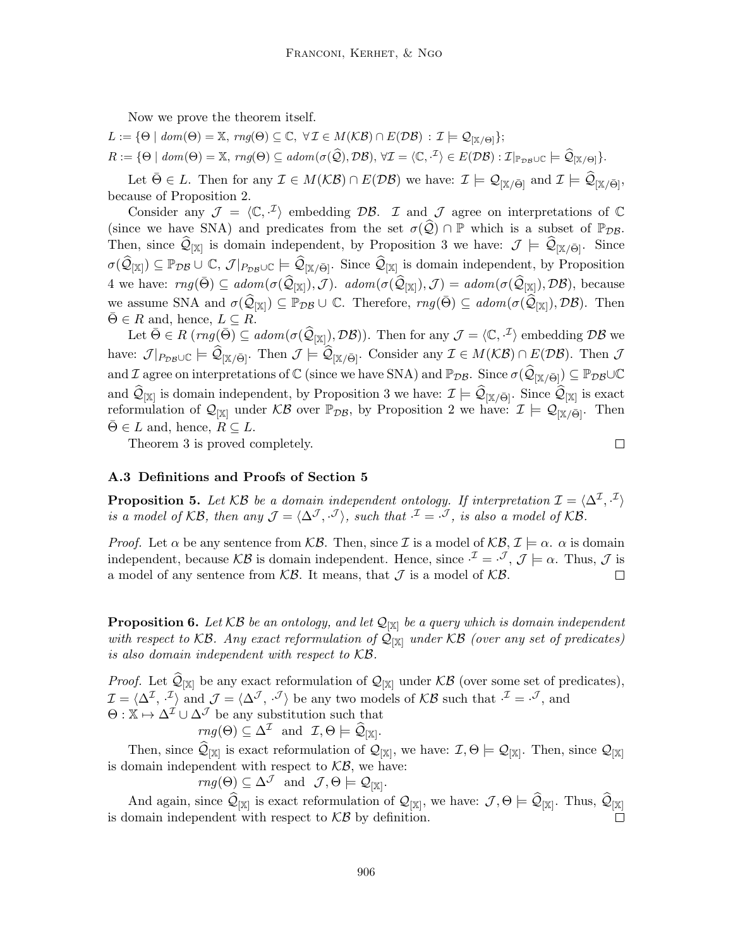Now we prove the theorem itself.

 $L := \{ \Theta \mid \text{dom}(\Theta) = \mathbb{X}, \text{ rng}(\Theta) \subseteq \mathbb{C}, \forall \mathcal{I} \in M(\mathcal{KB}) \cap E(\mathcal{DB}) : \mathcal{I} \models \mathcal{Q}_{[\mathbb{X}/\Theta]}\};$ 

 $R := \{ \Theta \mid \text{dom}(\Theta) = \mathbb{X}, \text{ rng}(\Theta) \subseteq \text{adom}(\sigma(\widehat{Q}), \mathcal{DB}), \forall \mathcal{I} = \langle \mathbb{C}, \cdot^{\mathcal{I}} \rangle \in E(\mathcal{DB}) : \mathcal{I}|_{\mathbb{P}_{\mathcal{DB}} \cup \mathbb{C}} \models \widehat{\mathcal{Q}}_{[\mathbb{X}/\Theta]}\}.$ 

Let  $\bar{\Theta} \in L$ . Then for any  $\mathcal{I} \in M(\mathcal{KB}) \cap E(\mathcal{DB})$  we have:  $\mathcal{I} \models \mathcal{Q}_{[\mathbb{X}/\bar{\Theta}]}$  and  $\mathcal{I} \models \widehat{\mathcal{Q}}_{[\mathbb{X}/\bar{\Theta}]}$ , because of Proposition 2.

Consider any  $\mathcal{J} = \langle \mathbb{C}, \cdot^{\mathcal{I}} \rangle$  embedding DB. I and J agree on interpretations of  $\mathbb{C}$ (since we have SNA) and predicates from the set  $\sigma(Q) \cap \mathbb{P}$  which is a subset of  $\mathbb{P}_{DB}$ . Then, since  $\mathcal{Q}_{[\mathbb{X}]}$  is domain independent, by Proposition 3 we have:  $\mathcal{J} \models \mathcal{Q}_{[\mathbb{X}/\bar{\Theta}]}$ . Since  $\sigma(\widehat{\mathcal{Q}}_{[\mathbb{X}]}) \subseteq \mathbb{P}_{\mathcal{DB}} \cup \mathbb{C}, \mathcal{J}|_{P_{\mathcal{DB}} \cup \mathbb{C}} \models \widehat{\mathcal{Q}}_{[\mathbb{X}/\bar{\Theta}]}$ . Since  $\widehat{\mathcal{Q}}_{[\mathbb{X}]}$  is domain independent, by Proposition 4 we have:  $rng(\bar{\Theta}) \subseteq adom(\sigma(\widehat{\mathcal{Q}}_{[\mathbb{X}]}), \mathcal{J})$ .  $adom(\sigma(\widehat{\mathcal{Q}}_{[\mathbb{X}]}), \mathcal{J}) = adom(\sigma(\widehat{\mathcal{Q}}_{[\mathbb{X}]}), \mathcal{DB})$ , because we assume SNA and  $\sigma(\widehat{\mathcal{Q}}_{[\mathbb{X}]}) \subseteq \mathbb{P}_{\mathcal{DB}} \cup \mathbb{C}$ . Therefore,  $\text{rng}(\bar{\Theta}) \subseteq \text{adom}(\sigma(\widehat{\mathcal{Q}}_{[\mathbb{X}]}) , \mathcal{DB})$ . Then  $\Theta \in R$  and, hence,  $L \subseteq R$ .

Let  $\bar{\Theta} \in R \ ( rng(\bar{\Theta}) \subseteq adom(\sigma(\widehat{\mathcal{Q}}_{[\mathbb{X}]}) , \mathcal{DB})).$  Then for any  $\mathcal{J} = \langle \mathbb{C}, \cdot^{\mathcal{I}} \rangle$  embedding  $\mathcal{DB}$  we have:  $\mathcal{J}|_{P_{\mathcal{D}\mathcal{B}}\cup\mathbb{C}} \models \mathcal{Q}_{[\mathbb{X}/\bar{\Theta}]}$ . Then  $\mathcal{J} \models \mathcal{Q}_{[\mathbb{X}/\bar{\Theta}]}$ . Consider any  $\mathcal{I} \in M(\mathcal{KB}) \cap E(\mathcal{DB})$ . Then  $\mathcal{J}$ and  $\mathcal I$  agree on interpretations of  $\mathbb C$  (since we have SNA) and  $\mathbb P_{\mathcal{DB}}$ . Since  $\sigma(\widehat{\mathcal Q}_{[\mathbbm{X}/\bar\Theta]})\subseteq \mathbb P_{\mathcal{DB}}\cup\mathbb C$ and  $\mathcal{Q}_{[\mathbb{X}]}$  is domain independent, by Proposition 3 we have:  $\mathcal{I} \models \mathcal{Q}_{[\mathbb{X}/\bar{\Theta}]}$ . Since  $\mathcal{Q}_{[\mathbb{X}]}$  is exact reformulation of  $\mathcal{Q}_{[\mathbb{X}]}$  under  $\mathcal{KB}$  over  $\mathbb{P}_{\mathcal{DB}}$ , by Proposition 2 we have:  $\mathcal{I} \models \mathcal{Q}_{[\mathbb{X}/\bar{\Theta}]}$ . Then  $\Theta \in L$  and, hence,  $R \subseteq L$ .

Theorem 3 is proved completely.

$$
\qquad \qquad \Box
$$

#### A.3 Definitions and Proofs of Section 5

**Proposition 5.** Let  $KB$  be a domain independent ontology. If interpretation  $\mathcal{I} = \langle \Delta^{\mathcal{I}}, \cdot^{\mathcal{I}} \rangle$ is a model of KB, then any  $\mathcal{J} = \langle \Delta^{\mathcal{J}}, \cdot^{\mathcal{J}} \rangle$ , such that  $\cdot^{\mathcal{I}} = \cdot^{\mathcal{J}}$ , is also a model of KB.

*Proof.* Let  $\alpha$  be any sentence from KB. Then, since I is a model of KB,  $\mathcal{I} \models \alpha$ .  $\alpha$  is domain independent, because KB is domain independent. Hence, since  $\mathcal{I} = \mathcal{I}, \mathcal{J} \models \alpha$ . Thus,  $\mathcal{J}$  is a model of any sentence from  $\mathcal{KB}$ . It means, that  $\mathcal J$  is a model of  $\mathcal{KB}$ .  $\Box$ 

**Proposition 6.** Let KB be an ontology, and let  $\mathcal{Q}_{\vert \mathbb{X} \vert}$  be a query which is domain independent with respect to KB. Any exact reformulation of  $\mathcal{Q}_{\{X\}}$  under KB (over any set of predicates) is also domain independent with respect to KB.

*Proof.* Let  $\mathcal{Q}_{[\mathbb{X}]}$  be any exact reformulation of  $\mathcal{Q}_{[\mathbb{X}]}$  under  $\mathcal{KB}$  (over some set of predicates),  $\mathcal{I} = \langle \Delta^{\mathcal{I}}, \cdot^{\mathcal{I}} \rangle$  and  $\mathcal{J} = \langle \Delta^{\mathcal{J}}, \cdot^{\mathcal{J}} \rangle$  be any two models of KB such that  $\cdot^{\mathcal{I}} = \cdot^{\mathcal{J}}$ , and  $\Theta : \mathbb{X} \mapsto \Delta^{\mathcal{I}} \cup \Delta^{\mathcal{J}}$  be any substitution such that

 $\mathit{rng}(\Theta) \subseteq \Delta^{\mathcal{I}} \text{ and } \mathcal{I}, \Theta \models \widehat{\mathcal{Q}}_{[\mathbb{X}]}.\$ 

Then, since  $\mathcal{Q}_{[\mathbb{X}]}$  is exact reformulation of  $\mathcal{Q}_{[\mathbb{X}]}$ , we have:  $\mathcal{I}, \Theta \models \mathcal{Q}_{[\mathbb{X}]}$ . Then, since  $\mathcal{Q}_{[\mathbb{X}]}$ is domain independent with respect to  $K\mathcal{B}$ , we have:

 $rng(\Theta) \subseteq \Delta^{\mathcal{J}}$  and  $\mathcal{J}, \Theta \models \mathcal{Q}_{[\mathbb{X}]}$ .

And again, since  $\mathcal{Q}_{[\mathbb{X}]}$  is exact reformulation of  $\mathcal{Q}_{[\mathbb{X}]}$ , we have:  $\mathcal{J}, \Theta \models \mathcal{Q}_{[\mathbb{X}]}$ . Thus,  $\mathcal{Q}_{[\mathbb{X}]}$ is domain independent with respect to  $KB$  by definition.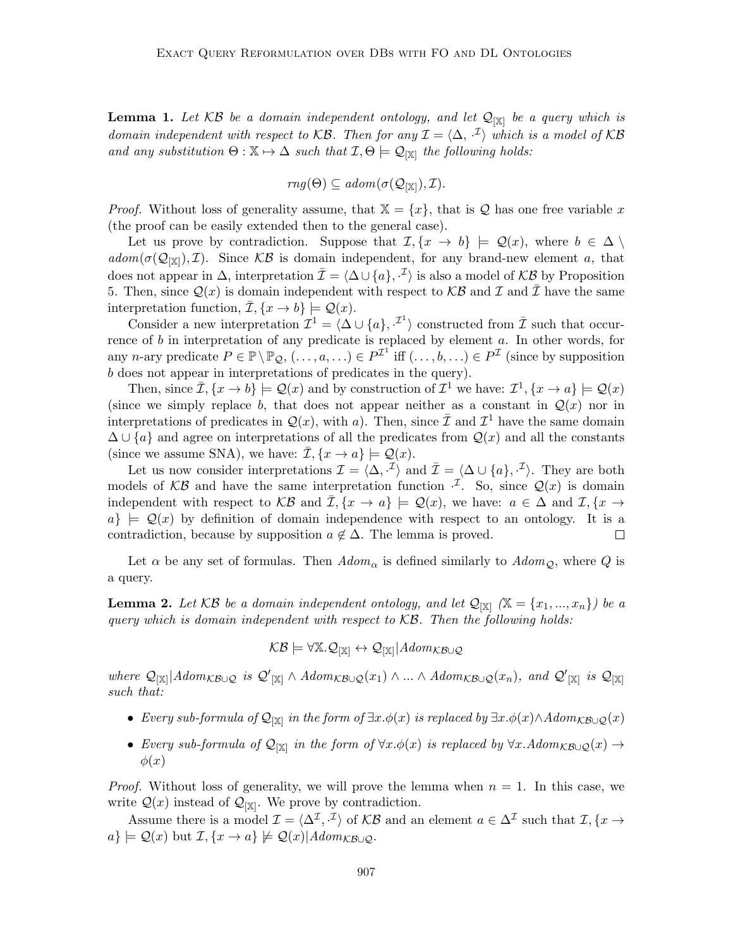**Lemma 1.** Let  $KB$  be a domain independent ontology, and let  $\mathcal{Q}_{[X]}$  be a query which is domain independent with respect to KB. Then for any  $\mathcal{I} = \langle \Delta, \cdot^{\mathcal{I}} \rangle$  which is a model of KB and any substitution  $\Theta : \mathbb{X} \mapsto \Delta$  such that  $\mathcal{I}, \Theta \models \mathcal{Q}_{|\mathbb{X}|}$  the following holds:

$$
rng(\Theta) \subseteq \mathit{adom}(\sigma(\mathcal{Q}_{[\mathbb{X}]}), \mathcal{I}).
$$

*Proof.* Without loss of generality assume, that  $X = \{x\}$ , that is Q has one free variable x (the proof can be easily extended then to the general case).

Let us prove by contradiction. Suppose that  $\mathcal{I}, \{x \to b\} \models \mathcal{Q}(x)$ , where  $b \in \Delta \setminus \mathcal{I}$  $adom(\sigma(\mathcal{Q}_{[\mathbb{X}]})$ , *T*). Since KB is domain independent, for any brand-new element a, that does not appear in  $\Delta$ , interpretation  $\bar{\mathcal{I}} = \langle \Delta \cup \{a\}, \cdot^{\bar{\mathcal{I}}}\rangle$  is also a model of KB by Proposition 5. Then, since  $\mathcal{Q}(x)$  is domain independent with respect to  $\mathcal{KB}$  and  $\mathcal I$  and  $\mathcal{\bar I}$  have the same interpretation function,  $\overline{\mathcal{I}}, \{x \to b\} \models \mathcal{Q}(x)$ .

Consider a new interpretation  $\mathcal{I}^1 = \langle \Delta \cup \{a\}, \cdot^{\mathcal{I}^1} \rangle$  constructed from  $\bar{\mathcal{I}}$  such that occurrence of  $b$  in interpretation of any predicate is replaced by element  $a$ . In other words, for any *n*-ary predicate  $P \in \mathbb{P} \setminus \mathbb{P}_{\mathcal{Q}}, (\ldots, a, \ldots) \in P^{\mathcal{I}}$  iff  $(\ldots, b, \ldots) \in P^{\mathcal{I}}$  (since by supposition b does not appear in interpretations of predicates in the query).

Then, since  $\overline{\mathcal{I}}$ ,  $\{x \to b\} \models \mathcal{Q}(x)$  and by construction of  $\mathcal{I}^1$  we have:  $\mathcal{I}^1$ ,  $\{x \to a\} \models \mathcal{Q}(x)$ (since we simply replace b, that does not appear neither as a constant in  $\mathcal{Q}(x)$  nor in interpretations of predicates in  $\mathcal{Q}(x)$ , with a). Then, since  $\overline{\mathcal{I}}$  and  $\mathcal{I}^1$  have the same domain  $\Delta \cup \{a\}$  and agree on interpretations of all the predicates from  $\mathcal{Q}(x)$  and all the constants (since we assume SNA), we have:  $\overline{\mathcal{I}}, {\lbrace x \to a \rbrace} \models \mathcal{Q}(x)$ .

Let us now consider interpretations  $\mathcal{I} = \langle \Delta, \cdot^{\mathcal{I}} \rangle$  and  $\bar{\mathcal{I}} = \langle \Delta \cup \{a\}, \cdot^{\mathcal{I}} \rangle$ . They are both models of KB and have the same interpretation function  $\cdot^{\mathcal{I}}$ . So, since  $\mathcal{Q}(x)$  is domain independent with respect to  $\mathcal{KB}$  and  $\mathcal{I}, \{x \to a\} \models \mathcal{Q}(x)$ , we have:  $a \in \Delta$  and  $\mathcal{I}, \{x \to a\}$  $a\} \models \mathcal{Q}(x)$  by definition of domain independence with respect to an ontology. It is a contradiction, because by supposition  $a \notin \Delta$ . The lemma is proved.  $\Box$ 

Let  $\alpha$  be any set of formulas. Then  $Adom_{\alpha}$  is defined similarly to  $Adom_{\mathcal{Q}}$ , where Q is a query.

**Lemma 2.** Let KB be a domain independent ontology, and let  $\mathcal{Q}_{[\mathbb{X}]}(\mathbb{X} = \{x_1, ..., x_n\})$  be a query which is domain independent with respect to  $KB$ . Then the following holds:

 $KB \models \forall \mathbb{X}. \mathcal{Q}_{[\mathbb{X}]} \leftrightarrow \mathcal{Q}_{[\mathbb{X}]} | Adom_{\mathcal{KB}\cup\mathcal{Q}}$ 

where  $\mathcal{Q}_{[\mathbb{X}]}|Adom_{\mathcal{KB}\cup\mathcal{Q}}$  is  $\mathcal{Q'}_{[\mathbb{X}]} \wedge Adom_{\mathcal{KB}\cup\mathcal{Q}}(x_1) \wedge ... \wedge Adom_{\mathcal{KB}\cup\mathcal{Q}}(x_n)$ , and  $\mathcal{Q'}_{[\mathbb{X}]}$  is  $\mathcal{Q}_{[\mathbb{X}]}$ such that:

- Every sub-formula of  $\mathcal{Q}_{[\mathbb{X}]}$  in the form of  $\exists x.\phi(x)$  is replaced by  $\exists x.\phi(x)\wedge Adom_{\mathcal{KB}\cup\mathcal{Q}}(x)$
- Every sub-formula of  $\mathcal{Q}_{[\mathbb{X}]}$  in the form of  $\forall x.\phi(x)$  is replaced by  $\forall x. Adom_{\mathcal{KB}\cup\mathcal{Q}}(x) \rightarrow$  $\phi(x)$

*Proof.* Without loss of generality, we will prove the lemma when  $n = 1$ . In this case, we write  $Q(x)$  instead of  $Q_{[X]}$ . We prove by contradiction.

Assume there is a model  $\mathcal{I} = \langle \Delta^{\mathcal{I}}, \cdot^{\mathcal{I}} \rangle$  of  $\mathcal{KB}$  and an element  $a \in \Delta^{\mathcal{I}}$  such that  $\mathcal{I}, \{x \to \bot\}$  $a\} \models \mathcal{Q}(x)$  but  $\mathcal{I}, \{x \rightarrow a\} \not\models \mathcal{Q}(x)|Adom_{\mathcal{KB}\cup\mathcal{O}}.$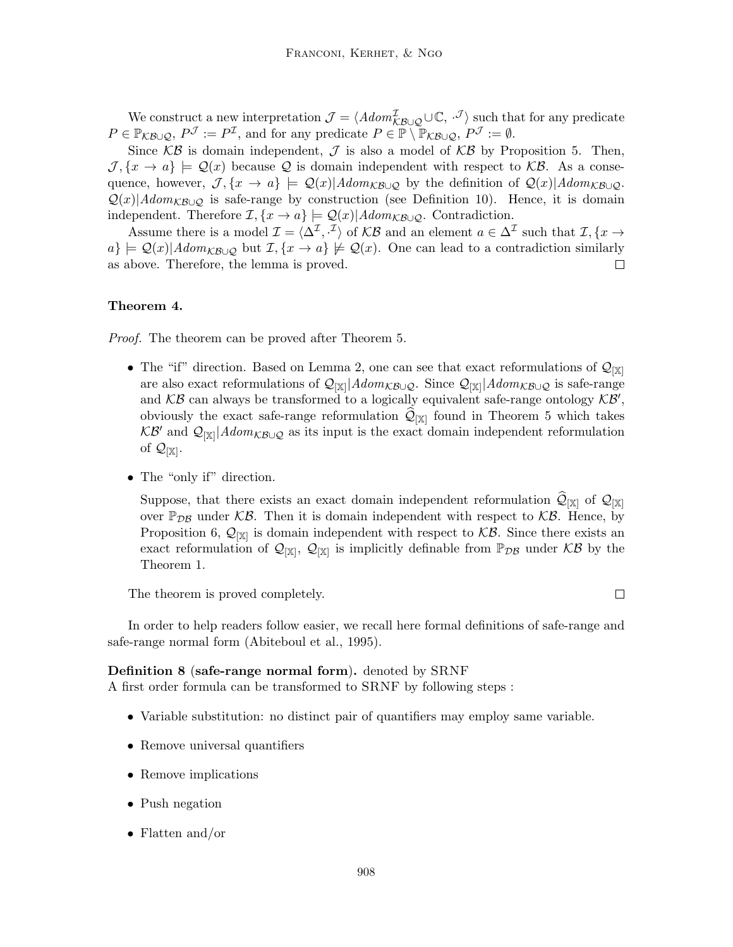We construct a new interpretation  $\mathcal{J} = \langle Adom_{\mathcal{KB}\cup\mathcal{Q}}^{\mathcal{I}} \cup \mathbb{C}, \cdot^{\mathcal{J}}\rangle$  such that for any predicate  $P \in \mathbb{P}_{\mathcal{KB} \cup \mathcal{Q}}, P^{\mathcal{J}} := P^{\mathcal{I}},$  and for any predicate  $P \in \mathbb{P} \setminus \mathbb{P}_{\mathcal{KB} \cup \mathcal{Q}}, P^{\mathcal{J}} := \emptyset.$ 

Since  $KB$  is domain independent,  $J$  is also a model of  $KB$  by Proposition 5. Then,  $\mathcal{J}, \{x \to a\} \models \mathcal{Q}(x)$  because Q is domain independent with respect to KB. As a consequence, however,  $\mathcal{J}, \{x \to a\} \models \mathcal{Q}(x) | Adom_{\mathcal{KB} \cup \mathcal{Q}}$  by the definition of  $\mathcal{Q}(x) | Adom_{\mathcal{KB} \cup \mathcal{Q}}$ .  $Q(x)|Adom_{K\mathcal{B}\cup\mathcal{O}}$  is safe-range by construction (see Definition 10). Hence, it is domain independent. Therefore  $\mathcal{I}, \{x \to a\} \models \mathcal{Q}(x) | Adom_{\mathcal{KB} \cup \mathcal{Q}}$ . Contradiction.

Assume there is a model  $\mathcal{I} = \langle \Delta^{\mathcal{I}}, \cdot^{\mathcal{I}} \rangle$  of  $\mathcal{KB}$  and an element  $a \in \Delta^{\mathcal{I}}$  such that  $\mathcal{I}, \{x \to \bot\}$  $a\} \models \mathcal{Q}(x) | Adom_{\mathcal{KB} \cup \mathcal{Q}} \text{ but } \mathcal{I}, \{x \to a\} \not\models \mathcal{Q}(x)$ . One can lead to a contradiction similarly as above. Therefore, the lemma is proved. П

#### Theorem 4.

Proof. The theorem can be proved after Theorem 5.

- The "if" direction. Based on Lemma 2, one can see that exact reformulations of  $\mathcal{Q}_{\lvert \mathbb{X}\rvert}$ are also exact reformulations of  $\mathcal{Q}_{[\mathbb{X}]}|Adom_{\mathcal{KB}\cup\mathcal{Q}}$ . Since  $\mathcal{Q}_{[\mathbb{X}]}|Adom_{\mathcal{KB}\cup\mathcal{Q}}$  is safe-range and  $KB$  can always be transformed to a logically equivalent safe-range ontology  $KB'$ , obviously the exact safe-range reformulation  $\mathcal{Q}_{[X]}$  found in Theorem 5 which takes  $KB'$  and  $\mathcal{Q}_{[\mathbb{X}]}|Adom_{KB\cup\mathcal{Q}}$  as its input is the exact domain independent reformulation of  $\mathcal{Q}_{[\mathbb{X}]}$ .
- The "only if" direction.

Suppose, that there exists an exact domain independent reformulation  $\mathcal{Q}_{[X]}$  of  $\mathcal{Q}_{[X]}$ over  $\mathbb{P}_{\mathcal{DB}}$  under KB. Then it is domain independent with respect to KB. Hence, by Proposition 6,  $\mathcal{Q}_{[\mathbb{X}]}$  is domain independent with respect to  $\mathcal{KB}$ . Since there exists an exact reformulation of  $\mathcal{Q}_{[\mathbb{X}]}, \mathcal{Q}_{[\mathbb{X}]}$  is implicitly definable from  $\mathbb{P}_{\mathcal{D}\mathcal{B}}$  under  $\mathcal{KB}$  by the Theorem 1.

The theorem is proved completely.

In order to help readers follow easier, we recall here formal definitions of safe-range and safe-range normal form (Abiteboul et al., 1995).

#### Definition 8 (safe-range normal form). denoted by SRNF

A first order formula can be transformed to SRNF by following steps :

- Variable substitution: no distinct pair of quantifiers may employ same variable.
- Remove universal quantifiers
- Remove implications
- Push negation
- Flatten and/or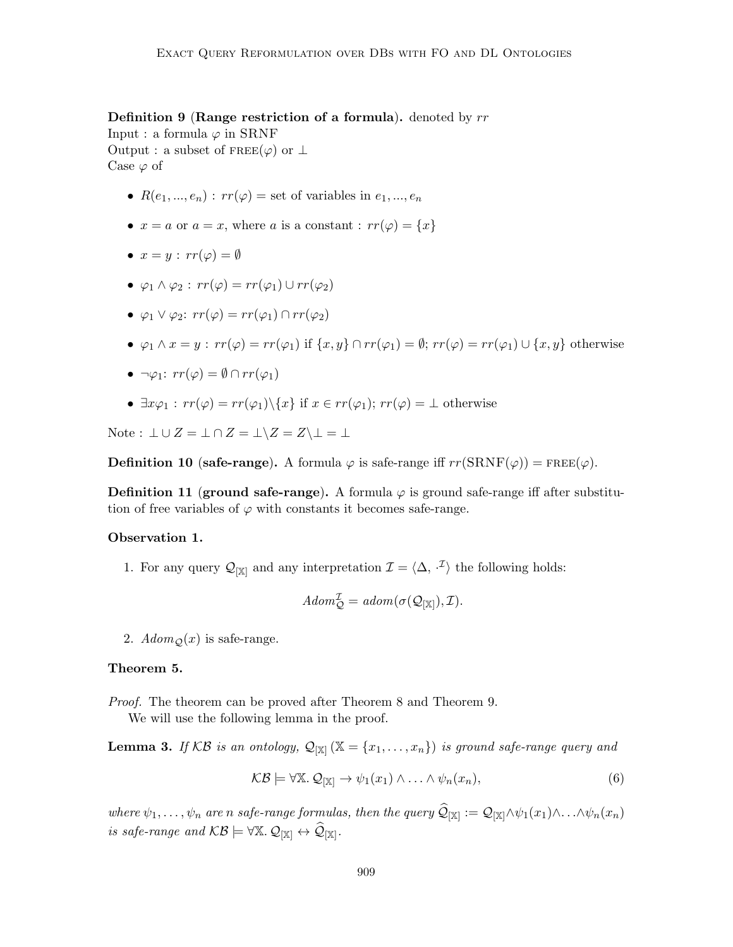**Definition 9 (Range restriction of a formula).** denoted by  $rr$ 

Input : a formula  $\varphi$  in SRNF Output : a subset of  $\text{FREE}(\varphi)$  or  $\perp$ Case  $\varphi$  of

- $R(e_1, ..., e_n) : rr(\varphi) = \text{set of variables in } e_1, ..., e_n$
- $x = a$  or  $a = x$ , where a is a constant :  $rr(\varphi) = \{x\}$
- $x = y : rr(\varphi) = \emptyset$
- $\varphi_1 \wedge \varphi_2 : rr(\varphi) = rr(\varphi_1) \cup rr(\varphi_2)$
- $\varphi_1 \vee \varphi_2$ :  $rr(\varphi) = rr(\varphi_1) \cap rr(\varphi_2)$
- $\varphi_1 \wedge x = y : rr(\varphi) = rr(\varphi_1)$  if  $\{x, y\} \cap rr(\varphi_1) = \emptyset; rr(\varphi) = rr(\varphi_1) \cup \{x, y\}$  otherwise
- $\neg \varphi_1: rr(\varphi) = \emptyset \cap rr(\varphi_1)$
- $\exists x \varphi_1 : rr(\varphi) = rr(\varphi_1) \setminus \{x\}$  if  $x \in rr(\varphi_1); rr(\varphi) = \bot$  otherwise

Note :  $\bot \cup Z = \bot \cap Z = \bot \setminus Z = Z \setminus \bot = \bot$ 

**Definition 10 (safe-range).** A formula  $\varphi$  is safe-range iff  $rr(SRNF(\varphi)) = \text{FREE}(\varphi)$ .

**Definition 11 (ground safe-range).** A formula  $\varphi$  is ground safe-range iff after substitution of free variables of  $\varphi$  with constants it becomes safe-range.

# Observation 1.

1. For any query  $\mathcal{Q}_{[\mathbb{X}]}$  and any interpretation  $\mathcal{I} = \langle \Delta, \cdot^{\mathcal{I}} \rangle$  the following holds:

$$
\mathit{Adom}^{\mathcal{I}}_{\mathcal{Q}}=\mathit{adom}(\sigma(\mathcal{Q}_{[\mathbb{X}]}),\mathcal{I}).
$$

2.  $Adom_{\mathcal{O}}(x)$  is safe-range.

#### Theorem 5.

Proof. The theorem can be proved after Theorem 8 and Theorem 9.

We will use the following lemma in the proof.

**Lemma 3.** If KB is an ontology,  $\mathcal{Q}_{[\mathbb{X}]}(\mathbb{X} = \{x_1, \ldots, x_n\})$  is ground safe-range query and

$$
\mathcal{KB} \models \forall \mathbb{X}. \mathcal{Q}_{|\mathbb{X}|} \rightarrow \psi_1(x_1) \land \ldots \land \psi_n(x_n),
$$
\n
$$
(6)
$$

where  $\psi_1,\ldots,\psi_n$  are n safe-range formulas, then the query  $\mathcal{Q}_{[\mathbb{X}]}:=\mathcal{Q}_{[\mathbb{X}]}\wedge\psi_1(x_1)\wedge\ldots\wedge\psi_n(x_n)$ is safe-range and  $\mathcal{KB} \models \forall \mathbb{X}.\mathcal{Q}_{[\mathbb{X}]}\leftrightarrow \widehat{\mathcal{Q}}_{[\mathbb{X}]}$ .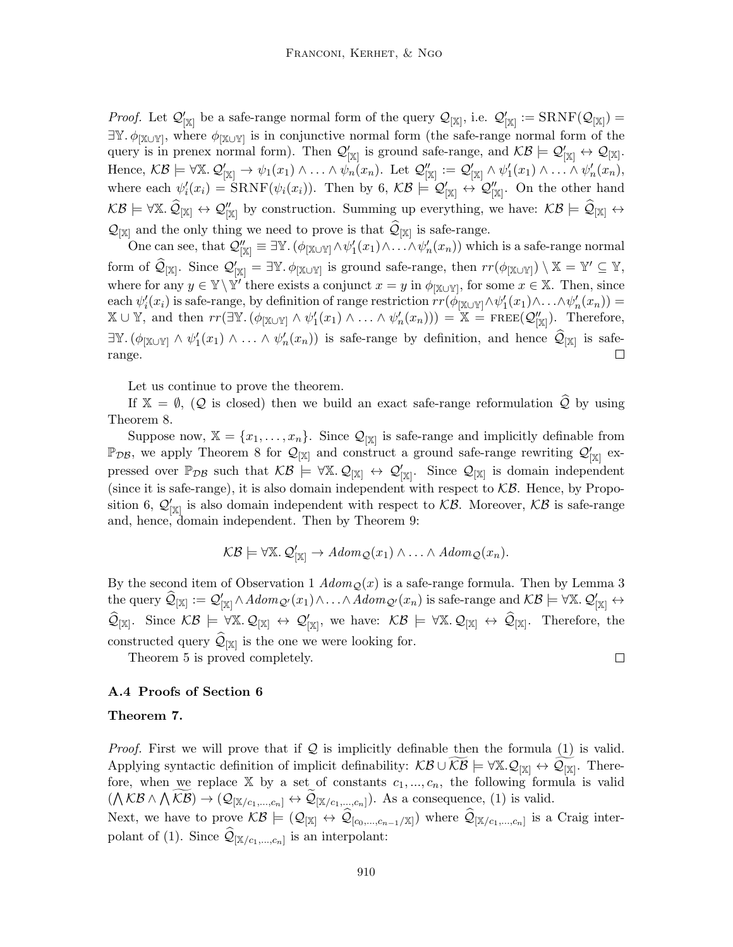*Proof.* Let  $\mathcal{Q}'_{[\mathbb{X}]}$  be a safe-range normal form of the query  $\mathcal{Q}_{[\mathbb{X}]}$ , i.e.  $\mathcal{Q}'_{[\mathbb{X}]} := \text{SRNF}(\mathcal{Q}_{[\mathbb{X}]}) =$  $\exists Y. \phi_{[X\cup Y]}$ , where  $\phi_{[X\cup Y]}$  is in conjunctive normal form (the safe-range normal form of the query is in prenex normal form). Then  $\mathcal{Q}_{[\mathbb{X}]}'$  is ground safe-range, and  $\mathcal{KB} \models \mathcal{Q}_{[\mathbb{X}]}' \leftrightarrow \mathcal{Q}_{[\mathbb{X}]}$ . Hence,  $\mathcal{KB} \models \forall \mathbb{X}.\ \mathcal{Q}'_{|\mathbb{X}|} \rightarrow \psi_1(x_1) \land \ldots \land \psi_n(x_n)$ . Let  $\mathcal{Q}''_{|\mathbb{X}|} := \mathcal{Q}'_{|\mathbb{X}|} \land \psi'_1(x_1) \land \ldots \land \psi'_n(x_n)$ , where each  $\psi_i'(x_i) = \text{SRNF}(\psi_i(x_i))$ . Then by 6,  $\mathcal{KB} \models \mathcal{Q}_{|\mathbb{X}|}' \leftrightarrow \mathcal{Q}_{|\mathbb{X}|}'$ . On the other hand  $KB \models \forall \mathbb{X}. \ \hat{\mathcal{Q}}_{\mathbb{X}} \leftrightarrow \mathcal{Q}''_{\mathbb{X}}$  by construction. Summing up everything, we have:  $KB \models \hat{\mathcal{Q}}_{\mathbb{X}} \leftrightarrow$  $\mathcal{Q}_{[\mathbb{X}]}$  and the only thing we need to prove is that  $\mathcal{Q}_{[\mathbb{X}]}$  is safe-range.

One can see, that  $\mathcal{Q}_{[\mathbb{X}]}'' \equiv \exists \mathbb{Y}$ .  $(\phi_{[\mathbb{X}\cup\mathbb{Y}]}\land \psi_1'(x_1)\land \ldots \land \psi_n'(x_n))$  which is a safe-range normal form of  $\widehat{\mathcal{Q}}_{[\mathbb{X}]}$ . Since  $\mathcal{Q}'_{[\mathbb{X}]} = \exists \mathbb{Y}$ .  $\phi_{[\mathbb{X} \cup \mathbb{Y}]}$  is ground safe-range, then  $rr(\phi_{[\mathbb{X} \cup \mathbb{Y}]}) \setminus \mathbb{X} = \mathbb{Y}' \subseteq \mathbb{Y}$ , where for any  $y \in \mathbb{Y} \setminus \mathbb{Y}'$  there exists a conjunct  $x = y$  in  $\phi_{\mathbb{X} \cup \mathbb{Y}'}$ , for some  $x \in \mathbb{X}$ . Then, since each  $\psi'_i(x_i)$  is safe-range, by definition of range restriction  $rr(\phi_{\llbracket X\cup Y\rrbracket} \wedge \psi'_1(x_1) \wedge \ldots \wedge \psi'_n(x_n))$  $\mathbb{X} \cup \mathbb{Y}$ , and then  $rr(\exists \mathbb{Y}.(\phi_{\llbracket \mathbb{X} \cup \mathbb{Y} \rrbracket} \wedge \psi'_1(x_1) \wedge \ldots \wedge \psi'_n(x_n))) = \mathbb{X} = \text{FREE}(\mathcal{Q}''_{\llbracket \mathbb{X} \rrbracket}).$  Therefore,  $\exists \mathbb{Y}.(\phi_{\llbracket \mathbb{X}\cup\mathbb{Y}\rrbracket} \wedge \psi_1'(x_1) \wedge \ldots \wedge \psi_n'(x_n))$  is safe-range by definition, and hence  $\widehat{\mathcal{Q}}_{\llbracket \mathbb{X}\rrbracket}$  is saferange. П

Let us continue to prove the theorem.

If  $X = \emptyset$ ,  $(Q$  is closed) then we build an exact safe-range reformulation  $\mathcal{Q}$  by using Theorem 8.

Suppose now,  $\mathbb{X} = \{x_1, \ldots, x_n\}$ . Since  $\mathcal{Q}_{[\mathbb{X}]}$  is safe-range and implicitly definable from  $\mathbb{P}_{DB}$ , we apply Theorem 8 for  $\mathcal{Q}_{[\mathbb{X}]}$  and construct a ground safe-range rewriting  $\mathcal{Q}'_{[\mathbb{X}]}$  expressed over  $\mathbb{P}_{\mathcal{DB}}$  such that  $\mathcal{KB} \models \forall \mathbb{X}.\mathcal{Q}_{[\mathbb{X}]} \leftrightarrow \mathcal{Q}'_{[\mathbb{X}]}$ . Since  $\mathcal{Q}_{[\mathbb{X}]}$  is domain independent (since it is safe-range), it is also domain independent with respect to  $\mathcal{KB}$ . Hence, by Proposition 6,  $\mathcal{Q}_{[\mathbb{X}]}'$  is also domain independent with respect to  $\mathcal{KB}$ . Moreover,  $\mathcal{KB}$  is safe-range and, hence, domain independent. Then by Theorem 9:

$$
\mathcal{KB} \models \forall \mathbb{X}.\ Q'_{[\mathbb{X}]} \rightarrow Adom_{\mathcal{Q}}(x_1) \wedge \ldots \wedge Adom_{\mathcal{Q}}(x_n).
$$

By the second item of Observation 1  $Adom<sub>\mathcal{Q}(x)</sub>$ </sub> is a safe-range formula. Then by Lemma 3 the query  $\widehat{\mathcal{Q}}_{[\mathbb{X}]} := \mathcal{Q}'_{[\mathbb{X}]} \wedge Adom_{\mathcal{Q}'}(x_1) \wedge \ldots \wedge Adom_{\mathcal{Q}'}(x_n)$  is safe-range and  $\mathcal{KB} \models \forall \mathbb{X}.\ \mathcal{Q}'_{[\mathbb{X}]} \leftrightarrow$  $\widehat{\mathcal{Q}}_{[\mathbb{X}]}.$  Since  $\mathcal{KB} \models \forall \mathbb{X}. \mathcal{Q}_{[\mathbb{X}]} \leftrightarrow \mathcal{Q}'_{[\mathbb{X}]},$  we have:  $\mathcal{KB} \models \forall \mathbb{X}. \mathcal{Q}_{[\mathbb{X}]}\leftrightarrow \widehat{\mathcal{Q}}_{[\mathbb{X}]}.$  Therefore, the constructed query  $\mathcal{Q}_{[\mathbb{X}]}$  is the one we were looking for.

 $\Box$ 

Theorem 5 is proved completely.

## A.4 Proofs of Section 6

#### Theorem 7.

*Proof.* First we will prove that if  $Q$  is implicitly definable then the formula (1) is valid. Applying syntactic definition of implicit definability:  $\mathcal{KB} \cup \widetilde{\mathcal{KB}} \models \forall \mathbb{X}. \mathcal{Q}_{[\mathbb{X}]}\leftrightarrow \widetilde{\mathcal{Q}_{[\mathbb{X}]}}$ . Therefore, when we replace  $X$  by a set of constants  $c_1, ..., c_n$ , the following formula is valid  $(\bigwedge \mathcal{KB} \wedge \bigwedge \mathcal{KB}) \rightarrow (\mathcal{Q}_{[\mathbb{X}/c_1,\dots,c_n]} \leftrightarrow \mathcal{Q}_{[\mathbb{X}/c_1,\dots,c_n]}).$  As a consequence, (1) is valid. Next, we have to prove  $\mathcal{KB} \models (\mathcal{Q}_{[\mathbb{X}]} \leftrightarrow \mathcal{Q}_{[c_0,...,c_{n-1}/\mathbb{X}]})$  where  $\mathcal{Q}_{[\mathbb{X}/c_1,...,c_n]}$  is a Craig interpolant of (1). Since  $\mathcal{Q}_{[\mathbb{X}/c_1,\dots,c_n]}$  is an interpolant: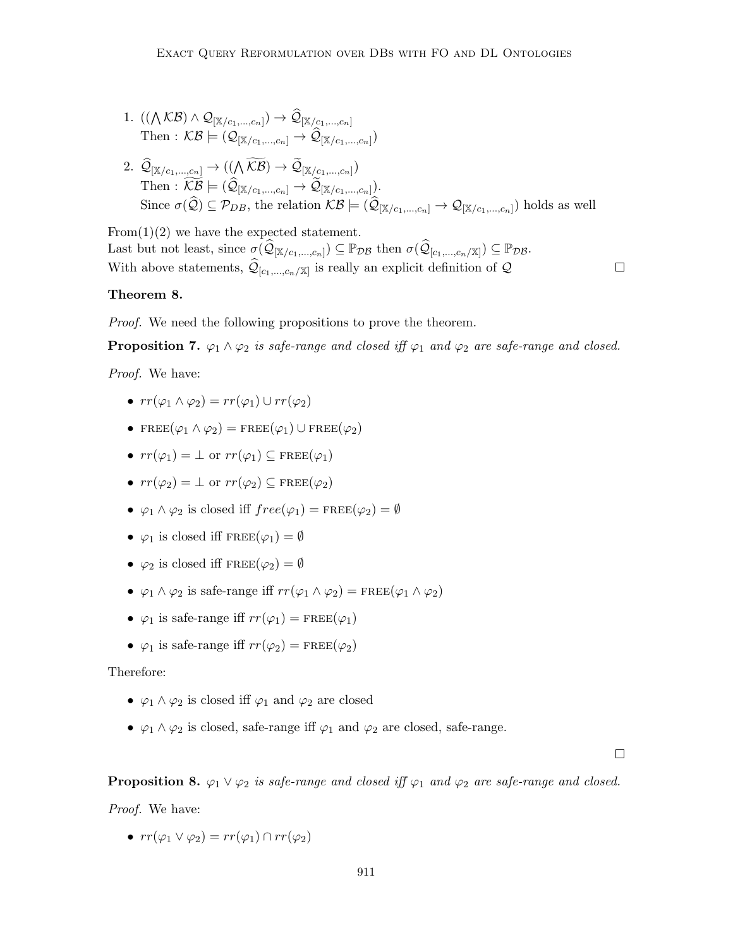$1. \ \left( (\bigwedge \mathcal{KB}) \wedge \mathcal{Q}_{[\mathbb{X}/c_1,...,c_n]} \right) \rightarrow \mathcal{Q}_{[\mathbb{X}/c_1,...,c_n]}$ Then :  $\mathcal{KB} \models (\mathcal{Q}_{[\mathbb{X}/c_1,\ldots,c_n]} \rightarrow \mathcal{Q}_{[\mathbb{X}/c_1,\ldots,c_n]})$  $2. \ \ \mathcal{Q}_{[\mathbb{X}/c_1,...,c_n]} \rightarrow ((\bigwedge \mathcal{KB}) \rightarrow \mathcal{Q}_{[\mathbb{X}/c_1,...,c_n]})$ Then :  $\mathcal{KB} \models (\mathcal{Q}_{[\mathbb{X}/c_1,\dots,c_n]} \to \mathcal{Q}_{[\mathbb{X}/c_1,\dots,c_n]}).$ Since  $\sigma(Q) \subseteq \mathcal{P}_{DB}$ , the relation  $KB \models (Q_{[\mathbb{X}/c_1,\dots,c_n]} \to Q_{[\mathbb{X}/c_1,\dots,c_n]})$  holds as well

From(1)(2) we have the expected statement. Last but not least, since  $\sigma(\widehat{\mathcal{Q}}_{[\mathbb{X}/c_1,\dots,c_n]}) \subseteq \mathbb{P}_{\mathcal{DB}}$  then  $\sigma(\widehat{\mathcal{Q}}_{[c_1,\dots,c_n/\mathbb{X}]}) \subseteq \mathbb{P}_{\mathcal{DB}}$ . With above statements,  $\mathcal{Q}_{[c_1,\ldots,c_n/\mathbb{X}]}$  is really an explicit definition of  $\mathcal Q$ 

#### Theorem 8.

Proof. We need the following propositions to prove the theorem.

**Proposition 7.**  $\varphi_1 \wedge \varphi_2$  is safe-range and closed iff  $\varphi_1$  and  $\varphi_2$  are safe-range and closed.

Proof. We have:

- $rr(\varphi_1 \wedge \varphi_2) = rr(\varphi_1) \cup rr(\varphi_2)$
- FREE $(\varphi_1 \wedge \varphi_2)$  = FREE $(\varphi_1)$  U FREE $(\varphi_2)$
- $rr(\varphi_1) = \perp$  or  $rr(\varphi_1) \subset \text{FREE}(\varphi_1)$
- $rr(\varphi_2) = \perp$  or  $rr(\varphi_2) \subset \text{FREE}(\varphi_2)$
- $\varphi_1 \wedge \varphi_2$  is closed iff  $free(\varphi_1) = \text{FREE}(\varphi_2) = \emptyset$
- $\varphi_1$  is closed iff  $\text{FREE}(\varphi_1) = \emptyset$
- $\varphi_2$  is closed iff  $\text{FREE}(\varphi_2) = \emptyset$
- $\varphi_1 \wedge \varphi_2$  is safe-range iff  $rr(\varphi_1 \wedge \varphi_2) = \text{FREE}(\varphi_1 \wedge \varphi_2)$
- $\varphi_1$  is safe-range iff  $rr(\varphi_1) = \text{FREE}(\varphi_1)$
- $\varphi_1$  is safe-range iff  $rr(\varphi_2) = \text{FREE}(\varphi_2)$

#### Therefore:

- $\varphi_1 \wedge \varphi_2$  is closed iff  $\varphi_1$  and  $\varphi_2$  are closed
- $\varphi_1 \wedge \varphi_2$  is closed, safe-range iff  $\varphi_1$  and  $\varphi_2$  are closed, safe-range.

 $\Box$ 

 $\Box$ 

## **Proposition 8.**  $\varphi_1 \vee \varphi_2$  is safe-range and closed iff  $\varphi_1$  and  $\varphi_2$  are safe-range and closed.

Proof. We have:

•  $rr(\varphi_1 \vee \varphi_2) = rr(\varphi_1) \cap rr(\varphi_2)$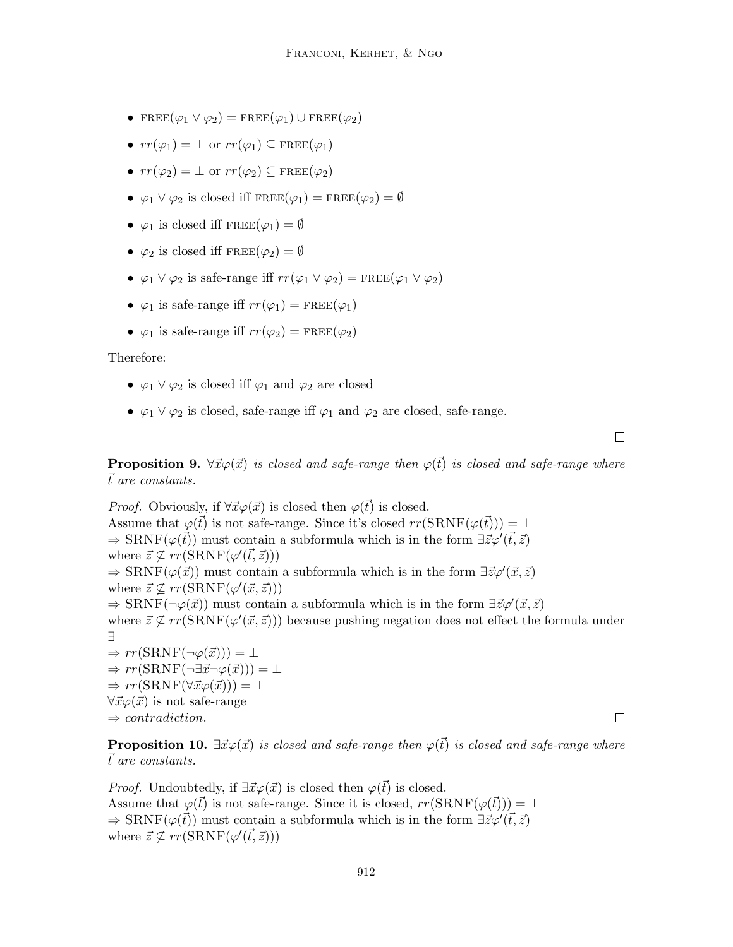- FREE $(\varphi_1 \vee \varphi_2)$  = FREE $(\varphi_1)$  U FREE $(\varphi_2)$
- $rr(\varphi_1) = \perp$  or  $rr(\varphi_1) \subseteq \text{FREE}(\varphi_1)$
- $rr(\varphi_2) = \perp$  or  $rr(\varphi_2) \subseteq \text{FREE}(\varphi_2)$
- $\varphi_1 \vee \varphi_2$  is closed iff  $\text{FREE}(\varphi_1) = \text{FREE}(\varphi_2) = \emptyset$
- $\varphi_1$  is closed iff  $\text{FREE}(\varphi_1) = \emptyset$
- $\varphi_2$  is closed iff  $\text{FREE}(\varphi_2) = \emptyset$
- $\varphi_1 \vee \varphi_2$  is safe-range iff  $rr(\varphi_1 \vee \varphi_2) = \text{FREE}(\varphi_1 \vee \varphi_2)$
- $\varphi_1$  is safe-range iff  $rr(\varphi_1) = \text{FREE}(\varphi_1)$
- $\varphi_1$  is safe-range iff  $rr(\varphi_2) = \text{FREE}(\varphi_2)$

Therefore:

- $\varphi_1 \vee \varphi_2$  is closed iff  $\varphi_1$  and  $\varphi_2$  are closed
- $\varphi_1 \vee \varphi_2$  is closed, safe-range iff  $\varphi_1$  and  $\varphi_2$  are closed, safe-range.

 $\Box$ 

**Proposition 9.**  $\forall \vec{x} \varphi(\vec{x})$  is closed and safe-range then  $\varphi(\vec{t})$  is closed and safe-range where  $\vec{t}$  are constants.

*Proof.* Obviously, if  $\forall \vec{x} \varphi(\vec{x})$  is closed then  $\varphi(\vec{t})$  is closed. Assume that  $\varphi(\vec{t})$  is not safe-range. Since it's closed  $rr(SRNF(\varphi(\vec{t}))) = \bot$  $\Rightarrow$  SRNF( $\varphi(\vec{t})$ ) must contain a subformula which is in the form  $\exists \vec{z} \varphi'(\vec{t}, \vec{z})$ where  $\vec{z} \nsubseteq rr(SRNF(\varphi'(\vec{t}, \vec{z})))$  $\Rightarrow$  SRNF( $\varphi(\vec{x})$ ) must contain a subformula which is in the form  $\exists \vec{z} \varphi'(\vec{x}, \vec{z})$ where  $\vec{z} \nsubseteq rr(SRNF(\varphi'(\vec{x}, \vec{z})))$  $\Rightarrow$  SRNF(¬ $\varphi(\vec{x})$ ) must contain a subformula which is in the form  $\exists \vec{z} \varphi'(\vec{x}, \vec{z})$ where  $\vec{z} \nsubseteq rr(SRNF(\varphi'(\vec{x}, \vec{z})))$  because pushing negation does not effect the formula under ∃  $\Rightarrow rr(SRNF(\neg \varphi(\vec{x}))) = \bot$  $\Rightarrow rr(SRNF(\neg \exists \vec{x} \neg \varphi(\vec{x}))) = \bot$  $\Rightarrow rr(SRNF(\forall \vec{x} \varphi(\vec{x}))) = \bot$  $\forall \vec{x} \varphi(\vec{x})$  is not safe-range  $\Rightarrow$  contradiction.

**Proposition 10.**  $\exists \vec{x} \varphi(\vec{x})$  is closed and safe-range then  $\varphi(\vec{t})$  is closed and safe-range where  $\vec{t}$  are constants.

*Proof.* Undoubtedly, if  $\exists \vec{x} \varphi(\vec{x})$  is closed then  $\varphi(\vec{t})$  is closed. Assume that  $\varphi(\vec{t})$  is not safe-range. Since it is closed,  $rr(SRNF(\varphi(\vec{t}))) = \bot$  $\Rightarrow$  SRNF( $\varphi(\vec{t})$ ) must contain a subformula which is in the form  $\exists \vec{z} \varphi'(\vec{t}, \vec{z})$ where  $\vec{z} \nsubseteq rr(SRNF(\varphi'(\vec{t}, \vec{z})))$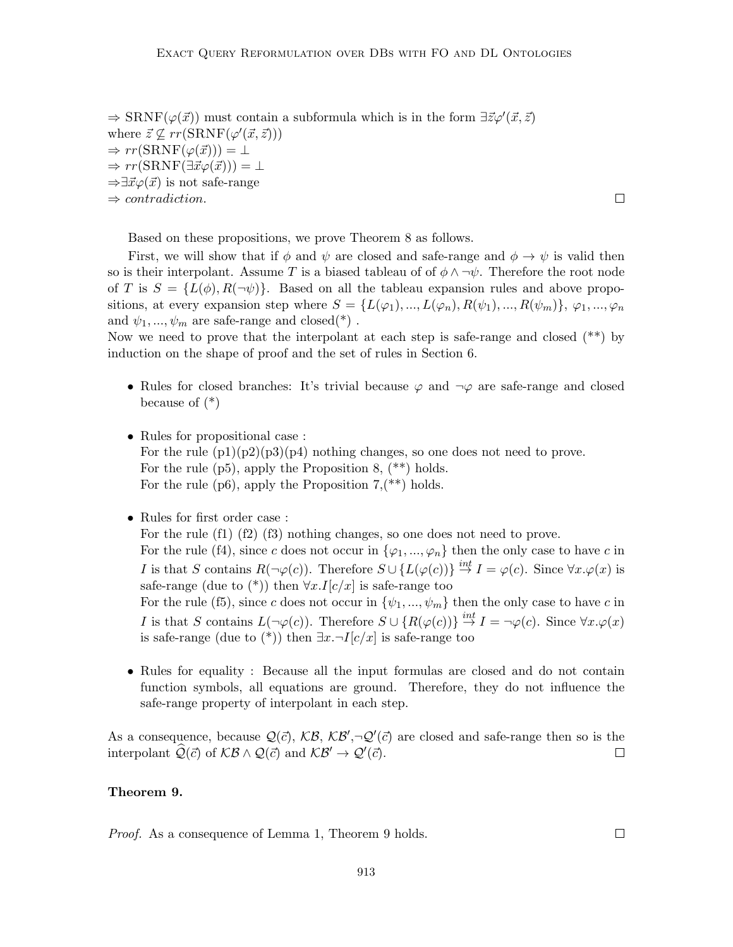$\Rightarrow$  SRNF( $\varphi(\vec{x})$ ) must contain a subformula which is in the form  $\exists \vec{z} \varphi'(\vec{x}, \vec{z})$ where  $\vec{z} \nsubseteq rr(SRNF(\varphi'(\vec{x}, \vec{z})))$  $\Rightarrow rr(SRNF(\varphi(\vec{x}))) = \bot$  $\Rightarrow rr(SRNF(\exists \vec{x} \varphi(\vec{x}))) = \bot$  $\Rightarrow \exists \vec{x} \varphi(\vec{x})$  is not safe-range  $\Rightarrow$  contradiction.

 $\Box$ 

Based on these propositions, we prove Theorem 8 as follows.

First, we will show that if  $\phi$  and  $\psi$  are closed and safe-range and  $\phi \to \psi$  is valid then so is their interpolant. Assume T is a biased tableau of of  $\phi \land \neg \psi$ . Therefore the root node of T is  $S = \{L(\phi), R(\neg \psi)\}\$ . Based on all the tableau expansion rules and above propositions, at every expansion step where  $S = \{L(\varphi_1),..., L(\varphi_n), R(\psi_1),..., R(\psi_m)\}, \varphi_1,..., \varphi_n$ and  $\psi_1, \ldots, \psi_m$  are safe-range and closed(\*).

Now we need to prove that the interpolant at each step is safe-range and closed (\*\*) by induction on the shape of proof and the set of rules in Section 6.

- Rules for closed branches: It's trivial because  $\varphi$  and  $\neg \varphi$  are safe-range and closed because of (\*)
- Rules for propositional case :

For the rule  $(p1)(p2)(p3)(p4)$  nothing changes, so one does not need to prove. For the rule  $(p5)$ , apply the Proposition 8,  $(**)$  holds. For the rule  $(p6)$ , apply the Proposition 7,  $(**)$  holds.

• Rules for first order case :

For the rule (f1) (f2) (f3) nothing changes, so one does not need to prove. For the rule (f4), since c does not occur in  $\{\varphi_1, ..., \varphi_n\}$  then the only case to have c in I is that S contains  $R(\neg \varphi(c))$ . Therefore  $S \cup \{L(\varphi(c))\} \stackrel{int}{\rightarrow} I = \varphi(c)$ . Since  $\forall x \cdot \varphi(x)$  is safe-range (due to  $(*)$ ) then  $\forall x . I[c/x]$  is safe-range too For the rule (f5), since c does not occur in  $\{\psi_1, ..., \psi_m\}$  then the only case to have c in I is that S contains  $L(\neg \varphi(c))$ . Therefore  $S \cup \{R(\varphi(c))\} \stackrel{int}{\rightarrow} I = \neg \varphi(c)$ . Since  $\forall x \cdot \varphi(x)$ is safe-range (due to  $(*)$ ) then  $\exists x.\neg I[c/x]$  is safe-range too

• Rules for equality : Because all the input formulas are closed and do not contain function symbols, all equations are ground. Therefore, they do not influence the safe-range property of interpolant in each step.

As a consequence, because  $\mathcal{Q}(\vec{c})$ ,  $\mathcal{KB}, \mathcal{KB}', \neg \mathcal{Q}'(\vec{c})$  are closed and safe-range then so is the interpolant  $\widehat{Q}(\vec{c})$  of  $\mathcal{KB} \wedge \mathcal{Q}(\vec{c})$  and  $\mathcal{KB}' \to \mathcal{Q}'(\vec{c})$ .  $\Box$ 

#### Theorem 9.

Proof. As a consequence of Lemma 1, Theorem 9 holds.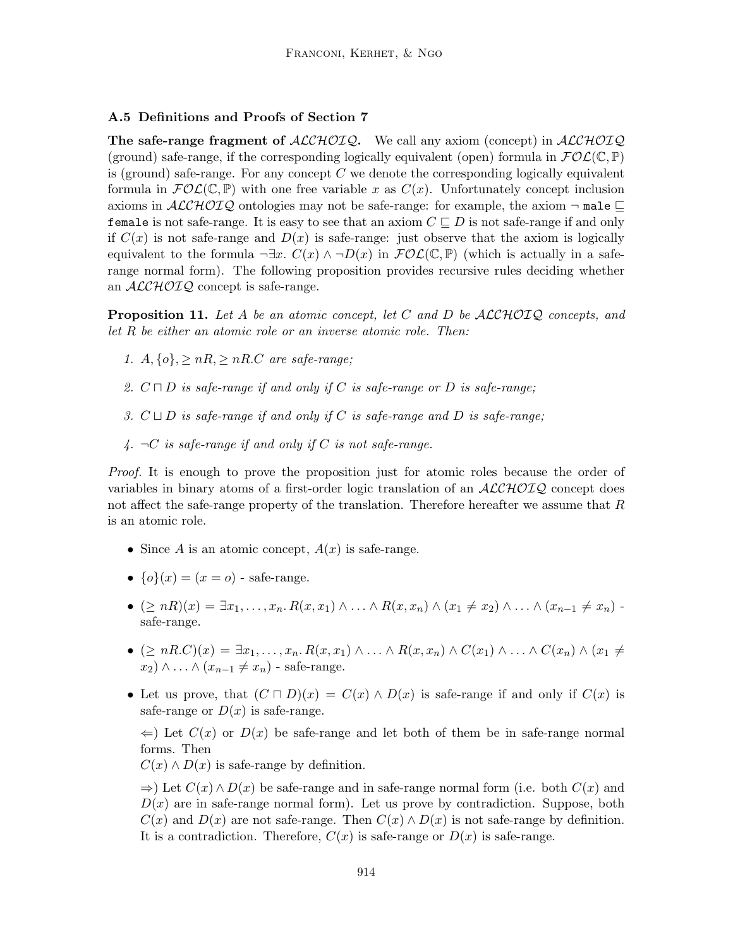## A.5 Definitions and Proofs of Section 7

The safe-range fragment of  $ALCHOIO$ . We call any axiom (concept) in  $ALCHOIO$ (ground) safe-range, if the corresponding logically equivalent (open) formula in  $\mathcal{FOL}(\mathbb{C}, \mathbb{P})$ is (ground) safe-range. For any concept  $C$  we denote the corresponding logically equivalent formula in  $\mathcal{FOL}(\mathbb{C}, \mathbb{P})$  with one free variable x as  $C(x)$ . Unfortunately concept inclusion axioms in  $ALCHOTQ$  ontologies may not be safe-range: for example, the axiom  $\neg$  male  $\sqsubseteq$ female is not safe-range. It is easy to see that an axiom  $C \subseteq D$  is not safe-range if and only if  $C(x)$  is not safe-range and  $D(x)$  is safe-range: just observe that the axiom is logically equivalent to the formula  $\neg \exists x \cdot C(x) \wedge \neg D(x)$  in  $\mathcal{FOL}(\mathbb{C}, \mathbb{P})$  (which is actually in a saferange normal form). The following proposition provides recursive rules deciding whether an  $\mathcal{ALCHOIQ}$  concept is safe-range.

**Proposition 11.** Let A be an atomic concept, let C and D be  $ALCHOTQ$  concepts, and let R be either an atomic role or an inverse atomic role. Then:

- 1.  $A, \{o\}, \geq nR, \geq nR.C$  are safe-range;
- 2.  $C \sqcap D$  is safe-range if and only if C is safe-range or D is safe-range;
- 3.  $C \sqcup D$  is safe-range if and only if C is safe-range and D is safe-range;
- 4.  $\neg C$  is safe-range if and only if C is not safe-range.

Proof. It is enough to prove the proposition just for atomic roles because the order of variables in binary atoms of a first-order logic translation of an  $\mathcal{ALCHOLQ}$  concept does not affect the safe-range property of the translation. Therefore hereafter we assume that R is an atomic role.

- Since A is an atomic concept,  $A(x)$  is safe-range.
- $\{o\}(x) = (x = o)$  safe-range.
- $(\geq nR)(x) = \exists x_1, \ldots, x_n \ldotp R(x, x_1) \wedge \ldots \wedge R(x, x_n) \wedge (x_1 \neq x_2) \wedge \ldots \wedge (x_{n-1} \neq x_n)$ safe-range.
- $(\geq nR.C)(x) = \exists x_1, \ldots, x_n \ldotp R(x, x_1) \wedge \ldots \wedge R(x, x_n) \wedge C(x_1) \wedge \ldots \wedge C(x_n) \wedge (x_1 \neq$  $x_2$ ) ∧ ... ∧  $(x_{n-1} \neq x_n)$  - safe-range.
- Let us prove, that  $(C \sqcap D)(x) = C(x) \wedge D(x)$  is safe-range if and only if  $C(x)$  is safe-range or  $D(x)$  is safe-range.

 $\Leftarrow$ ) Let  $C(x)$  or  $D(x)$  be safe-range and let both of them be in safe-range normal forms. Then

 $C(x) \wedge D(x)$  is safe-range by definition.

 $\Rightarrow$ ) Let  $C(x) \wedge D(x)$  be safe-range and in safe-range normal form (i.e. both  $C(x)$  and  $D(x)$  are in safe-range normal form). Let us prove by contradiction. Suppose, both  $C(x)$  and  $D(x)$  are not safe-range. Then  $C(x) \wedge D(x)$  is not safe-range by definition. It is a contradiction. Therefore,  $C(x)$  is safe-range or  $D(x)$  is safe-range.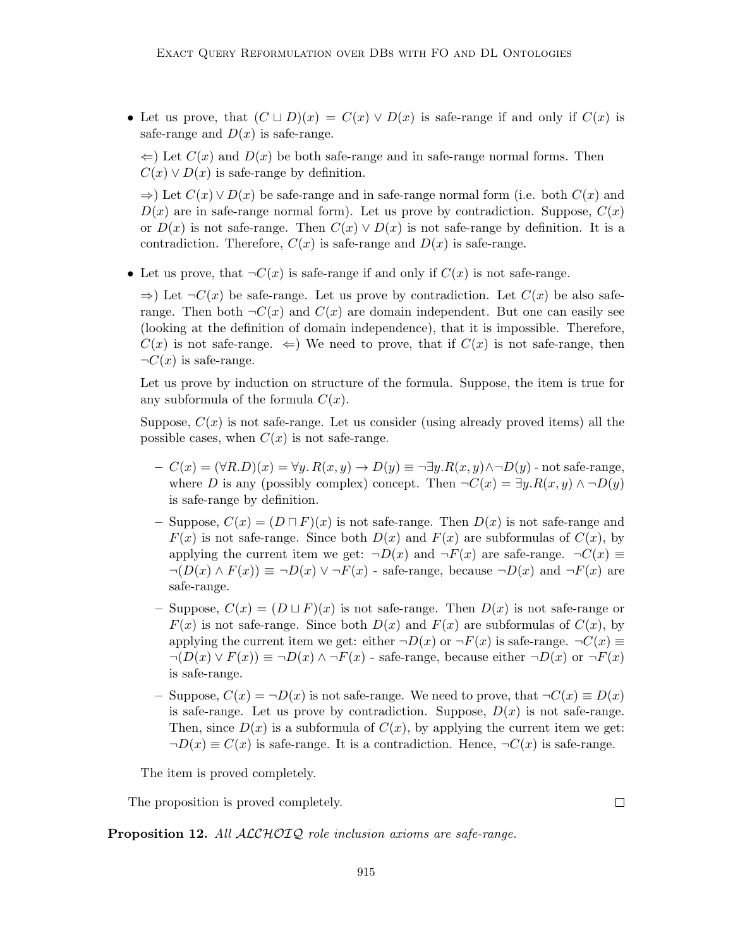• Let us prove, that  $(C \sqcup D)(x) = C(x) \vee D(x)$  is safe-range if and only if  $C(x)$  is safe-range and  $D(x)$  is safe-range.

 $\Leftarrow$ ) Let  $C(x)$  and  $D(x)$  be both safe-range and in safe-range normal forms. Then  $C(x) \vee D(x)$  is safe-range by definition.

 $\Rightarrow$ ) Let  $C(x) \vee D(x)$  be safe-range and in safe-range normal form (i.e. both  $C(x)$  and  $D(x)$  are in safe-range normal form). Let us prove by contradiction. Suppose,  $C(x)$ or  $D(x)$  is not safe-range. Then  $C(x) \vee D(x)$  is not safe-range by definition. It is a contradiction. Therefore,  $C(x)$  is safe-range and  $D(x)$  is safe-range.

• Let us prove, that  $\neg C(x)$  is safe-range if and only if  $C(x)$  is not safe-range.

 $\Rightarrow$ ) Let  $\neg C(x)$  be safe-range. Let us prove by contradiction. Let  $C(x)$  be also saferange. Then both  $\neg C(x)$  and  $C(x)$  are domain independent. But one can easily see (looking at the definition of domain independence), that it is impossible. Therefore,  $C(x)$  is not safe-range.  $\Leftarrow$ ) We need to prove, that if  $C(x)$  is not safe-range, then  $\neg C(x)$  is safe-range.

Let us prove by induction on structure of the formula. Suppose, the item is true for any subformula of the formula  $C(x)$ .

Suppose,  $C(x)$  is not safe-range. Let us consider (using already proved items) all the possible cases, when  $C(x)$  is not safe-range.

- $-C(x) = (\forall R.D)(x) = \forall y. R(x, y) \rightarrow D(y) \equiv \neg \exists y. R(x, y) \land \neg D(y)$  not safe-range, where D is any (possibly complex) concept. Then  $\neg C(x) = \exists y.R(x,y) \land \neg D(y)$ is safe-range by definition.
- Suppose,  $C(x) = (D \sqcap F)(x)$  is not safe-range. Then  $D(x)$  is not safe-range and  $F(x)$  is not safe-range. Since both  $D(x)$  and  $F(x)$  are subformulas of  $C(x)$ , by applying the current item we get:  $\neg D(x)$  and  $\neg F(x)$  are safe-range.  $\neg C(x) \equiv$  $\neg(D(x) \wedge F(x)) \equiv \neg D(x) \vee \neg F(x)$  - safe-range, because  $\neg D(x)$  and  $\neg F(x)$  are safe-range.
- Suppose,  $C(x) = (D \sqcup F)(x)$  is not safe-range. Then  $D(x)$  is not safe-range or  $F(x)$  is not safe-range. Since both  $D(x)$  and  $F(x)$  are subformulas of  $C(x)$ , by applying the current item we get: either  $\neg D(x)$  or  $\neg F(x)$  is safe-range.  $\neg C(x) \equiv$  $\neg(D(x) \lor F(x)) \equiv \neg D(x) \land \neg F(x)$  - safe-range, because either  $\neg D(x)$  or  $\neg F(x)$ is safe-range.
- Suppose,  $C(x) = \neg D(x)$  is not safe-range. We need to prove, that  $\neg C(x) \equiv D(x)$ is safe-range. Let us prove by contradiction. Suppose,  $D(x)$  is not safe-range. Then, since  $D(x)$  is a subformula of  $C(x)$ , by applying the current item we get:  $\neg D(x) \equiv C(x)$  is safe-range. It is a contradiction. Hence,  $\neg C(x)$  is safe-range.

The item is proved completely.

The proposition is proved completely.

Proposition 12. All ALCHOIQ role inclusion axioms are safe-range.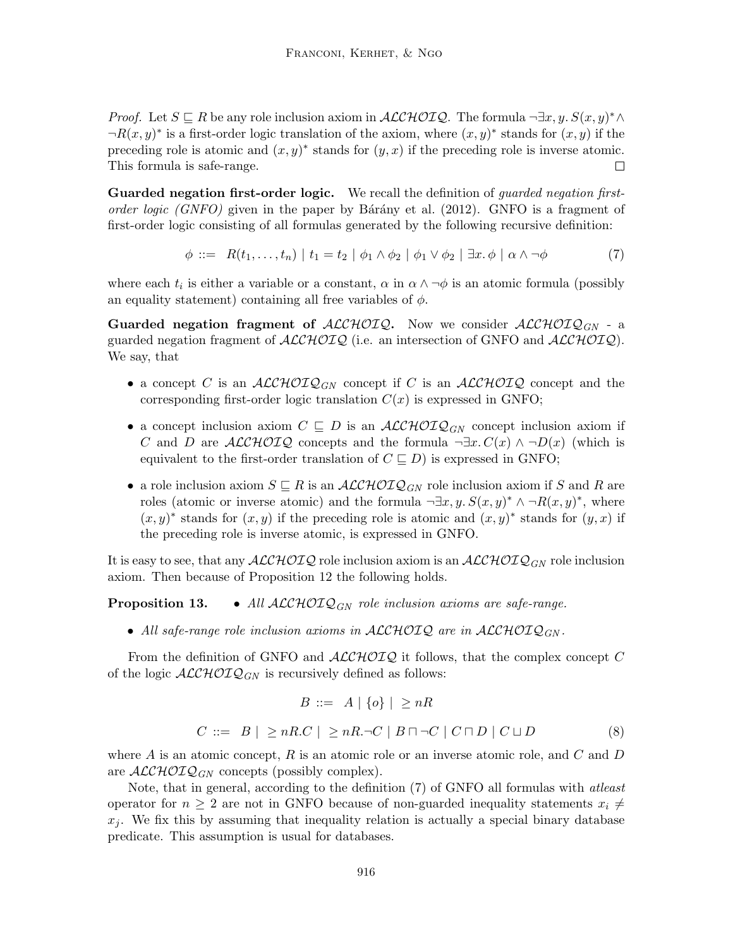*Proof.* Let  $S \subseteq R$  be any role inclusion axiom in  $\mathcal{ALCHOLQ}$ . The formula  $\neg \exists x, y, S(x, y)^* \land$  $\neg R(x, y)^*$  is a first-order logic translation of the axiom, where  $(x, y)^*$  stands for  $(x, y)$  if the preceding role is atomic and  $(x, y)^*$  stands for  $(y, x)$  if the preceding role is inverse atomic. This formula is safe-range. П

Guarded negation first-order logic. We recall the definition of *guarded negation first*order logic (GNFO) given in the paper by Barany et al.  $(2012)$ . GNFO is a fragment of first-order logic consisting of all formulas generated by the following recursive definition:

$$
\phi ::= R(t_1, \dots, t_n) | t_1 = t_2 | \phi_1 \wedge \phi_2 | \phi_1 \vee \phi_2 | \exists x. \phi | \alpha \wedge \neg \phi
$$
\n(7)

where each  $t_i$  is either a variable or a constant,  $\alpha$  in  $\alpha \wedge \neg \phi$  is an atomic formula (possibly an equality statement) containing all free variables of  $\phi$ .

**Guarded negation fragment of ALCHOIQ.** Now we consider  $ALCHOTQ_{GN}$  - a guarded negation fragment of  $\text{ALCHOLQ}$  (i.e. an intersection of GNFO and  $\text{ALCHOLQ}$ ). We say, that

- a concept C is an  $\mathcal{ALCHOLQ}_{GN}$  concept if C is an  $\mathcal{ALCHOLQ}$  concept and the corresponding first-order logic translation  $C(x)$  is expressed in GNFO;
- a concept inclusion axiom  $C \subseteq D$  is an  $\mathcal{ALCHOLQ}_{GN}$  concept inclusion axiom if C and D are  $\mathcal{ALCHOIQ}$  concepts and the formula  $\neg \exists x. C(x) \land \neg D(x)$  (which is equivalent to the first-order translation of  $C \sqsubseteq D$ ) is expressed in GNFO;
- a role inclusion axiom  $S \subseteq R$  is an  $ALCHOTQ_{GN}$  role inclusion axiom if S and R are roles (atomic or inverse atomic) and the formula  $\neg \exists x, y$ .  $S(x, y)^* \wedge \neg R(x, y)^*$ , where  $(x, y)^*$  stands for  $(x, y)$  if the preceding role is atomic and  $(x, y)^*$  stands for  $(y, x)$  if the preceding role is inverse atomic, is expressed in GNFO.

It is easy to see, that any  $\mathcal{ALCHOLQ}$  role inclusion axiom is an  $\mathcal{ALCHOLQ}_{GN}$  role inclusion axiom. Then because of Proposition 12 the following holds.

**Proposition 13.** • All  $ALCHOTQ_{GN}$  role inclusion axioms are safe-range.

• All safe-range role inclusion axioms in ALCHOIQ are in ALCHOIQ<sub>GN</sub>.

From the definition of GNFO and  $ALCHOTQ$  it follows, that the complex concept  $C$ of the logic  $\mathcal{ALCHOLQ}_{GN}$  is recursively defined as follows:

$$
B ::= A | \{o\} | \ge nR
$$
  

$$
C ::= B | \ge nR.C | \ge nR.\neg C | B \sqcap \neg C | C \sqcap D | C \sqcup D
$$
 (8)

where  $A$  is an atomic concept,  $R$  is an atomic role or an inverse atomic role, and  $C$  and  $D$ are  $\mathcal{ALCHOLQ}_{GN}$  concepts (possibly complex).

Note, that in general, according to the definition (7) of GNFO all formulas with atleast operator for  $n \geq 2$  are not in GNFO because of non-guarded inequality statements  $x_i \neq$  $x_i$ . We fix this by assuming that inequality relation is actually a special binary database predicate. This assumption is usual for databases.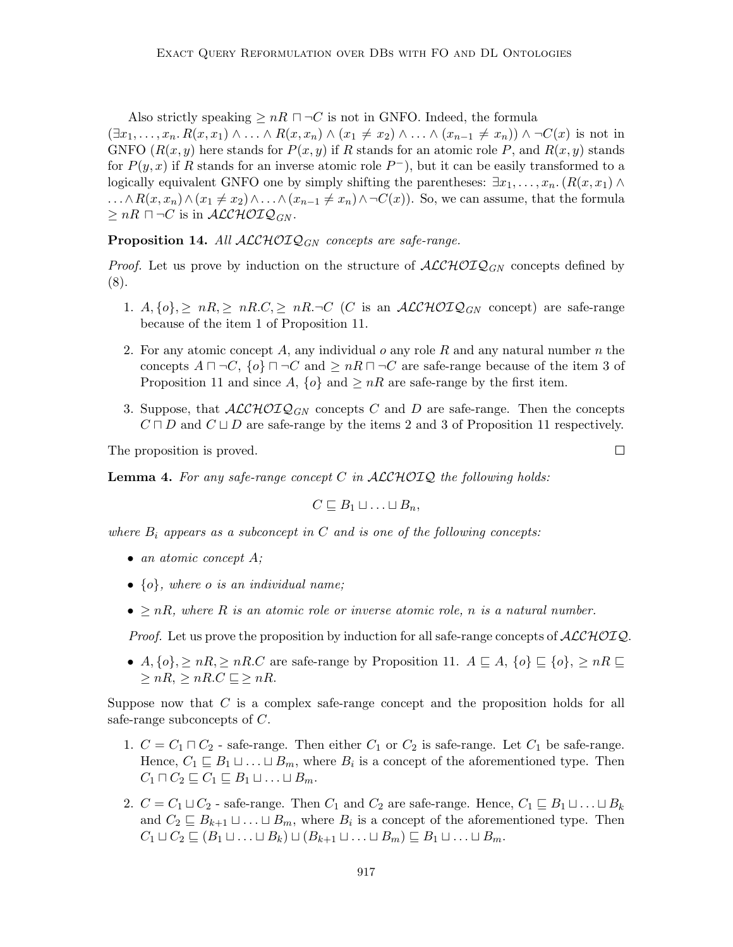Also strictly speaking  $\geq nR \sqcap \neg C$  is not in GNFO. Indeed, the formula

 $(\exists x_1, \ldots, x_n, R(x, x_1) \wedge \ldots \wedge R(x, x_n) \wedge (x_1 \neq x_2) \wedge \ldots \wedge (x_{n-1} \neq x_n)) \wedge \neg C(x)$  is not in GNFO  $(R(x, y)$  here stands for  $P(x, y)$  if R stands for an atomic role P, and  $R(x, y)$  stands for  $P(y, x)$  if R stands for an inverse atomic role  $P^{-}$ ), but it can be easily transformed to a logically equivalent GNFO one by simply shifting the parentheses:  $\exists x_1, \ldots, x_n$ .  $(R(x, x_1) \wedge$  $\dots \wedge R(x, x_n) \wedge (x_1 \neq x_2) \wedge \dots \wedge (x_{n-1} \neq x_n) \wedge \neg C(x)$ . So, we can assume, that the formula  $\geq nR \sqcap \neg C$  is in  $\mathcal{ALCHOLQ}_{GN}$ .

**Proposition 14.** All  $ALCHOIQ_{GN}$  concepts are safe-range.

*Proof.* Let us prove by induction on the structure of  $\text{ALCHOLQ}_{GN}$  concepts defined by (8).

- 1. A, {o}, ≥ nR, ≥ nR.C, ≥ nR.¬C (C is an ALCHOIQGN concept) are safe-range because of the item 1 of Proposition 11.
- 2. For any atomic concept A, any individual  $o$  any role R and any natural number n the concepts  $A \sqcap \neg C$ ,  $\{o\} \sqcap \neg C$  and  $\geq nR \sqcap \neg C$  are safe-range because of the item 3 of Proposition 11 and since A,  $\{o\}$  and  $\geq nR$  are safe-range by the first item.
- 3. Suppose, that  $\mathcal{ALCHOLQ}_{GN}$  concepts C and D are safe-range. Then the concepts  $C \sqcap D$  and  $C \sqcup D$  are safe-range by the items 2 and 3 of Proposition 11 respectively.

The proposition is proved.

**Lemma 4.** For any safe-range concept C in  $ALCHOTQ$  the following holds:

$$
C \sqsubseteq B_1 \sqcup \ldots \sqcup B_n,
$$

where  $B_i$  appears as a subconcept in C and is one of the following concepts:

- an atomic concept  $A$ ;
- $\{o\}$ , where o is an individual name;
- $\geq nR$ , where R is an atomic role or inverse atomic role, n is a natural number.

*Proof.* Let us prove the proposition by induction for all safe-range concepts of  $ALCHOTQ$ .

•  $A, \{o\}, \geq nR, \geq nR$ . C are safe-range by Proposition 11.  $A \sqsubseteq A, \{o\} \sqsubseteq \{o\}, \geq nR \sqsubseteq$  $\geq nR$ ,  $\geq nR$ .  $C \subseteq \geq nR$ .

Suppose now that C is a complex safe-range concept and the proposition holds for all safe-range subconcepts of C.

- 1.  $C = C_1 \sqcap C_2$  safe-range. Then either  $C_1$  or  $C_2$  is safe-range. Let  $C_1$  be safe-range. Hence,  $C_1 \sqsubseteq B_1 \sqcup \ldots \sqcup B_m$ , where  $B_i$  is a concept of the aforementioned type. Then  $C_1 \sqcap C_2 \sqsubseteq C_1 \sqsubseteq B_1 \sqcup \ldots \sqcup B_m.$
- 2.  $C = C_1 \sqcup C_2$  safe-range. Then  $C_1$  and  $C_2$  are safe-range. Hence,  $C_1 \sqsubseteq B_1 \sqcup \ldots \sqcup B_k$ and  $C_2 \sqsubseteq B_{k+1} \sqcup \ldots \sqcup B_m$ , where  $B_i$  is a concept of the aforementioned type. Then  $C_1 \sqcup C_2 \sqsubseteq (B_1 \sqcup \ldots \sqcup B_k) \sqcup (B_{k+1} \sqcup \ldots \sqcup B_m) \sqsubseteq B_1 \sqcup \ldots \sqcup B_m.$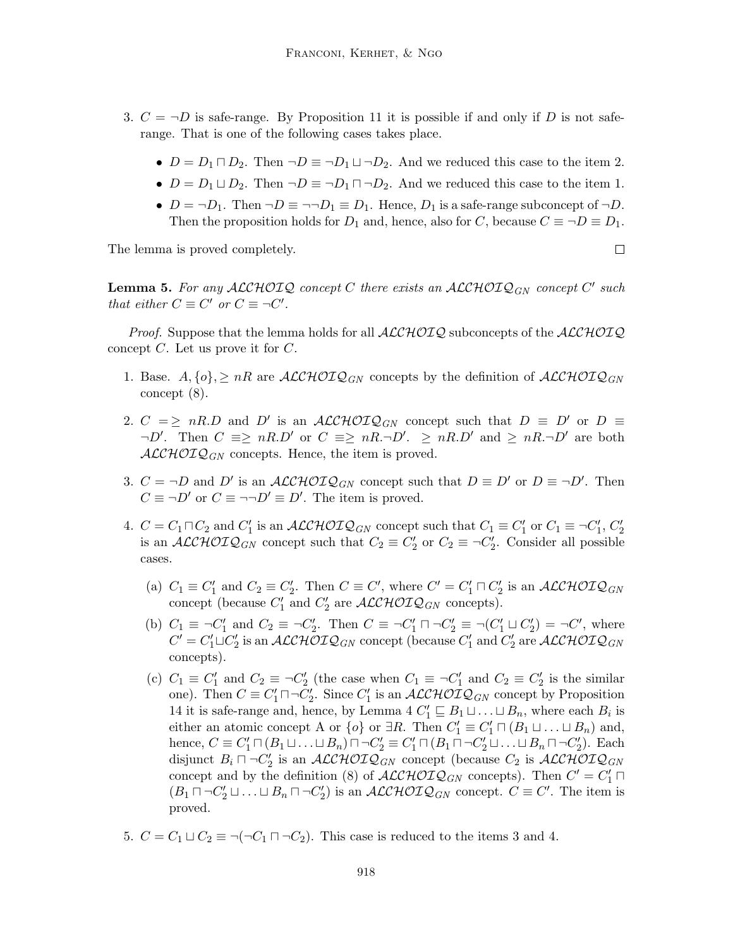- 3.  $C = \neg D$  is safe-range. By Proposition 11 it is possible if and only if D is not saferange. That is one of the following cases takes place.
	- $D = D_1 \sqcap D_2$ . Then  $\neg D \equiv \neg D_1 \sqcup \neg D_2$ . And we reduced this case to the item 2.
	- $D = D_1 \sqcup D_2$ . Then  $\neg D \equiv \neg D_1 \sqcap \neg D_2$ . And we reduced this case to the item 1.
	- $D = \neg D_1$ . Then  $\neg D \equiv \neg \neg D_1 \equiv D_1$ . Hence,  $D_1$  is a safe-range subconcept of  $\neg D$ . Then the proposition holds for  $D_1$  and, hence, also for C, because  $C \equiv \neg D \equiv D_1$ .

The lemma is proved completely.

**Lemma 5.** For any  $\mathcal{ALCHOIQ}$  concept C there exists an  $\mathcal{ALCHOIQ}_{GN}$  concept C' such that either  $C \equiv C'$  or  $C \equiv \neg C'$ .

*Proof.* Suppose that the lemma holds for all  $ALCHOTQ$  subconcepts of the  $ALCHOTQ$ concept C. Let us prove it for C.

- 1. Base.  $A, \{o\} \geq nR$  are  $\mathcal{ALCHOLQ}_{GN}$  concepts by the definition of  $\mathcal{ALCHOLQ}_{GN}$ concept (8).
- 2.  $C = \geq nR.D$  and D' is an  $\mathcal{ALCHOLQ}_{GN}$  concept such that  $D \equiv D'$  or  $D \equiv$  $\neg D'$ . Then  $C \equiv \geq nR.D'$  or  $C \equiv \geq nR.\neg D'$ .  $\geq nR.D'$  and  $\geq nR.\neg D'$  are both  $\mathcal{ALCHOLQ}_{GN}$  concepts. Hence, the item is proved.
- 3.  $C = \neg D$  and D' is an  $\mathcal{ALCHOLQ}_{GN}$  concept such that  $D \equiv D'$  or  $D \equiv \neg D'$ . Then  $C \equiv \neg D'$  or  $C \equiv \neg \neg D' \equiv D'$ . The item is proved.
- 4.  $C = C_1 \sqcap C_2$  and  $C'_1$  is an  $\mathcal{ALCHOLQ}_{GN}$  concept such that  $C_1 \equiv C'_1$  or  $C_1 \equiv \neg C'_1$ ,  $C'_2$ is an  $\mathcal{ALCHOLQ}_{GN}$  concept such that  $C_2 \equiv C_2'$  or  $C_2 \equiv \neg C_2'$ . Consider all possible cases.
	- (a)  $C_1 \equiv C'_1$  and  $C_2 \equiv C'_2$ . Then  $C \equiv C'$ , where  $C' = C'_1 \sqcap C'_2$  is an  $\mathcal{ALCHOLQ}_{GN}$ concept (because  $C'_1$  and  $C'_2$  are  $\mathcal{ALCHOLQ}_{GN}$  concepts).
	- (b)  $C_1 \equiv \neg C_1'$  and  $C_2 \equiv \neg C_2'$ . Then  $C \equiv \neg C_1' \sqcap \neg C_2' \equiv \neg (C_1' \sqcup C_2') = \neg C'$ , where  $C' = C_1' \sqcup C_2'$  is an  $\mathcal{ALCHOLQ}_{GN}$  concept (because  $C_1'$  and  $C_2'$  are  $\mathcal{ALCHOLQ}_{GN}$ concepts).
	- (c)  $C_1 \equiv C'_1$  and  $C_2 \equiv \neg C'_2$  (the case when  $C_1 \equiv \neg C'_1$  and  $C_2 \equiv C'_2$  is the similar one). Then  $C \equiv C_1' \sqcap \neg C_2'$ . Since  $C_1'$  is an  $\mathcal{ALCHOLQ}_{GN}$  concept by Proposition 14 it is safe-range and, hence, by Lemma 4  $C'_1 \sqsubseteq B_1 \sqcup \ldots \sqcup B_n$ , where each  $B_i$  is either an atomic concept A or  $\{o\}$  or  $\exists R$ . Then  $C'_1 \equiv C'_1 \sqcap (B_1 \sqcup \ldots \sqcup B_n)$  and, hence,  $C \equiv C_1' \sqcap (B_1 \sqcup \ldots \sqcup B_n) \sqcap \neg C_2' \equiv C_1' \sqcap (B_1 \sqcap \neg C_2' \sqcup \ldots \sqcup B_n \sqcap \neg C_2').$  Each disjunct  $B_i \sqcap \neg C_2'$  is an  $\mathcal{ALCHOLQ}_{GN}$  concept (because  $C_2$  is  $\mathcal{ALCHOLQ}_{GN}$ concept and by the definition (8) of  $\mathcal{ALCHOLQ}_{GN}$  concepts). Then  $C' = C'_1 \sqcap$  $(B_1 \sqcap \neg C_2' \sqcup \ldots \sqcup B_n \sqcap \neg C_2')$  is an  $\mathcal{ALCHOLQ}_{GN}$  concept.  $C \equiv C'$ . The item is proved.
- 5.  $C = C_1 \sqcup C_2 \equiv \neg(\neg C_1 \sqcap \neg C_2)$ . This case is reduced to the items 3 and 4.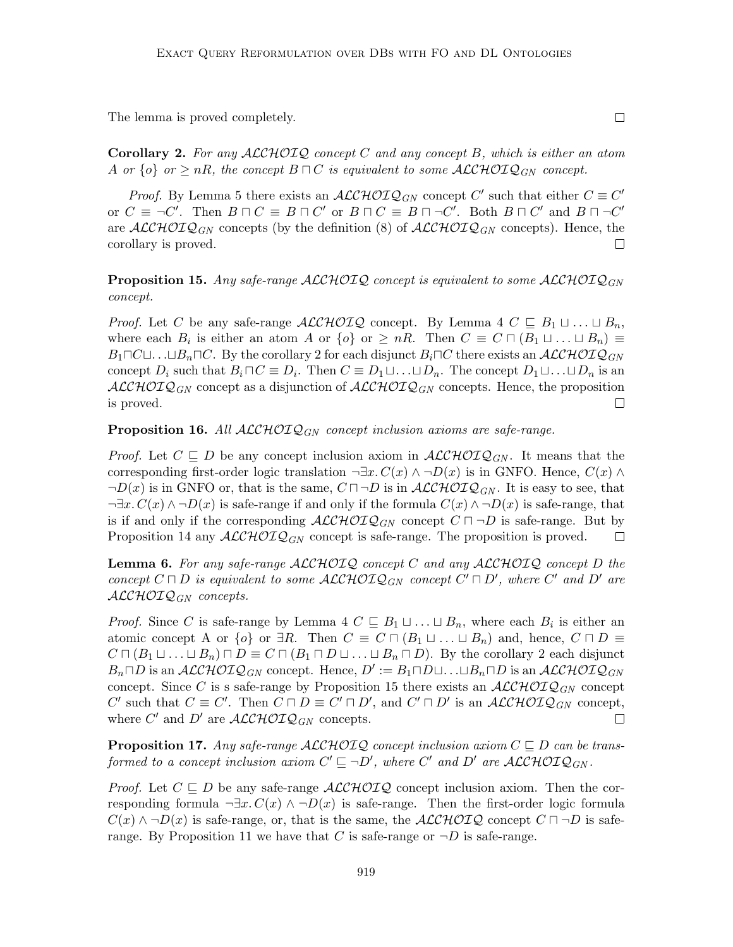The lemma is proved completely.

**Corollary 2.** For any  $ALCHOIO$  concept C and any concept B, which is either an atom A or  $\{o\}$  or  $\geq nR$ , the concept  $B \sqcap C$  is equivalent to some  $\mathcal{ALCHOLQ}_{GN}$  concept.

*Proof.* By Lemma 5 there exists an  $\mathcal{ALCHOLQ}_{GN}$  concept C' such that either  $C \equiv C'$ or  $C \equiv \neg C'$ . Then  $B \sqcap C \equiv B \sqcap C'$  or  $B \sqcap C \equiv B \sqcap \neg C'$ . Both  $B \sqcap C'$  and  $B \sqcap \neg C'$ are  $\mathcal{ALCHOLQ}_{GN}$  concepts (by the definition (8) of  $\mathcal{ALCHOLQ}_{GN}$  concepts). Hence, the corollary is proved.  $\Box$ 

**Proposition 15.** Any safe-range ALCHOIQ concept is equivalent to some ALCHOIQ<sub>GN</sub> concept.

*Proof.* Let C be any safe-range  $\mathcal{ALCHOLQ}$  concept. By Lemma 4  $C \subseteq B_1 \sqcup \ldots \sqcup B_n$ , where each  $B_i$  is either an atom A or  $\{o\}$  or  $\geq nR$ . Then  $C \equiv C \sqcap (B_1 \sqcup ... \sqcup B_n) \equiv$  $B_1 \square C \square \dots \square B_n \square C$ . By the corollary 2 for each disjunct  $B_i \square C$  there exists an  $ALCHOTQ_{GN}$ concept  $D_i$  such that  $B_i \sqcap C \equiv D_i$ . Then  $C \equiv D_1 \sqcup \ldots \sqcup D_n$ . The concept  $D_1 \sqcup \ldots \sqcup D_n$  is an  $ALCHOTQ_{GN}$  concept as a disjunction of  $ALCHOTQ_{GN}$  concepts. Hence, the proposition is proved.  $\Box$ 

**Proposition 16.** All  $ALCHOLQ_{GN}$  concept inclusion axioms are safe-range.

*Proof.* Let  $C \subseteq D$  be any concept inclusion axiom in  $\mathcal{ALCHOLQ}_{GN}$ . It means that the corresponding first-order logic translation  $\neg \exists x. C(x) \land \neg D(x)$  is in GNFO. Hence,  $C(x) \land \neg D(x)$  $\neg D(x)$  is in GNFO or, that is the same,  $C \sqcap \neg D$  is in  $\mathcal{ALCHOLQ}_{GN}$ . It is easy to see, that  $\neg \exists x. C(x) \land \neg D(x)$  is safe-range if and only if the formula  $C(x) \land \neg D(x)$  is safe-range, that is if and only if the corresponding  $\mathcal{ALCHOLQ}_{GN}$  concept  $C \sqcap \neg D$  is safe-range. But by Proposition 14 any  $\mathcal{ALCHOLQ}_{GN}$  concept is safe-range. The proposition is proved.  $\Box$ 

**Lemma 6.** For any safe-range  $ALCHOIQ$  concept C and any  $ALCHOIQ$  concept D the concept  $C \sqcap D$  is equivalent to some  $\mathcal{ALCHOLQ}_{GN}$  concept  $C' \sqcap D'$ , where  $C'$  and  $D'$  are  $ALCHOTQ_{GN}$  concepts.

*Proof.* Since C is safe-range by Lemma 4  $C \subseteq B_1 \sqcup ... \sqcup B_n$ , where each  $B_i$  is either an atomic concept A or  $\{o\}$  or  $\exists R$ . Then  $C \equiv C \sqcap (B_1 \sqcup ... \sqcup B_n)$  and, hence,  $C \sqcap D \equiv$  $C \sqcap (B_1 \sqcup \ldots \sqcup B_n) \sqcap D \equiv C \sqcap (B_1 \sqcap D \sqcup \ldots \sqcup B_n \sqcap D)$ . By the corollary 2 each disjunct  $B_n \Box D$  is an  $\mathcal{ALCHOLQ}_{GN}$  concept. Hence,  $D' := B_1 \Box D \Box \dots \Box B_n \Box D$  is an  $\mathcal{ALCHOLQ}_{GN}$ concept. Since C is s safe-range by Proposition 15 there exists an  $\mathcal{ALCHOLQ}_{GN}$  concept C' such that  $C \equiv C'$ . Then  $C \sqcap D \equiv C' \sqcap D'$ , and  $C' \sqcap D'$  is an  $\mathcal{ALCHOLQ}_{GN}$  concept, where  $C'$  and  $D'$  are  $\mathcal{ALCHOLQ}_{GN}$  concepts.  $\Box$ 

**Proposition 17.** Any safe-range  $ALCHOIQ$  concept inclusion axiom  $C \subseteq D$  can be transformed to a concept inclusion axiom  $C' \sqsubseteq \neg D'$ , where  $C'$  and  $D'$  are  $\mathcal{ALCHOLQ}_{GN}$ .

*Proof.* Let  $C \subseteq D$  be any safe-range  $\text{ALCHOLQ}$  concept inclusion axiom. Then the corresponding formula  $\neg \exists x. C(x) \land \neg D(x)$  is safe-range. Then the first-order logic formula  $C(x) \wedge \neg D(x)$  is safe-range, or, that is the same, the  $\mathcal{ALCHOLQ}$  concept  $C \sqcap \neg D$  is saferange. By Proposition 11 we have that C is safe-range or  $\neg D$  is safe-range.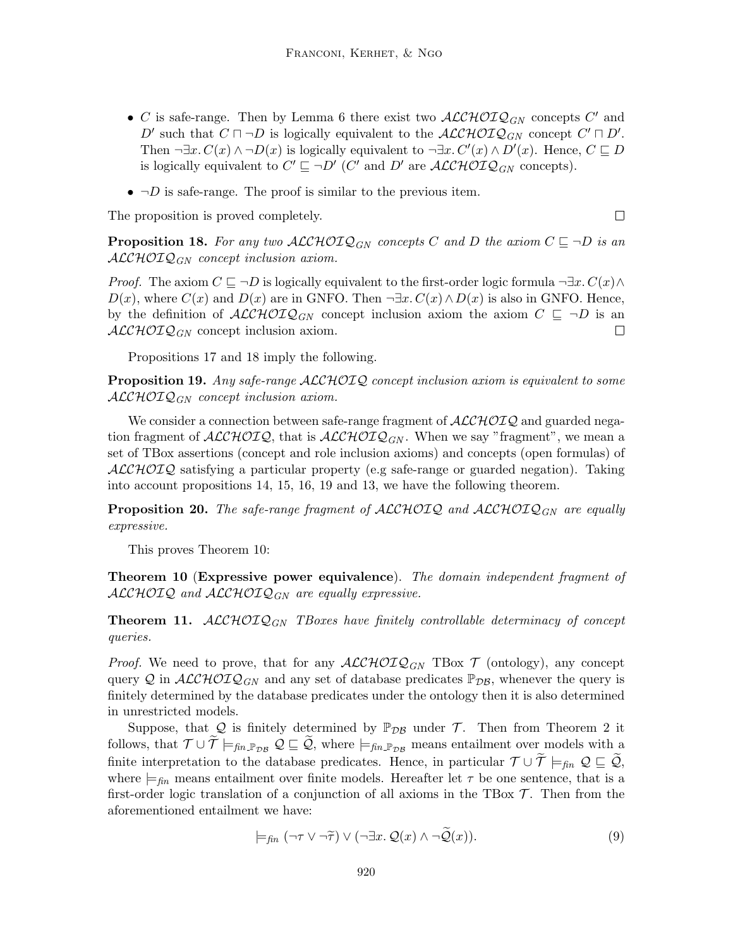- C is safe-range. Then by Lemma 6 there exist two  $\mathcal{ALCHOLQ}_{GN}$  concepts C' and D' such that  $C \sqcap \neg D$  is logically equivalent to the  $\mathcal{ALCHOLQ}_{GN}$  concept  $C' \sqcap D'$ . Then  $\neg \exists x. C(x) \land \neg D(x)$  is logically equivalent to  $\neg \exists x. C'(x) \land D'(x)$ . Hence,  $C \sqsubseteq D$ is logically equivalent to  $C' \sqsubseteq \neg D'$  (C' and D' are  $\mathcal{ALCHOLQ}_{GN}$  concepts).
- $\neg D$  is safe-range. The proof is similar to the previous item.

The proposition is proved completely.

 $\Box$ 

**Proposition 18.** For any two  $\mathcal{ALCHOLQ}_{GN}$  concepts C and D the axiom  $C \sqsubseteq \neg D$  is an  $\mathcal{ALCHOLQ}_{GN}$  concept inclusion axiom.

*Proof.* The axiom  $C \sqsubseteq \neg D$  is logically equivalent to the first-order logic formula  $\neg \exists x. C(x) \land \exists x \land C(x)$  $D(x)$ , where  $C(x)$  and  $D(x)$  are in GNFO. Then  $\neg \exists x. C(x) \wedge D(x)$  is also in GNFO. Hence, by the definition of  $\mathcal{ALCHOLQ}_{GN}$  concept inclusion axiom the axiom  $C \subseteq \neg D$  is an  $\mathcal{ALCHOLQ}_{GN}$  concept inclusion axiom.  $\Box$ 

Propositions 17 and 18 imply the following.

Proposition 19. Any safe-range ALCHOIQ concept inclusion axiom is equivalent to some  $\mathcal{ALCHOLQ}_{GN}$  concept inclusion axiom.

We consider a connection between safe-range fragment of  $\mathcal{ALCHOLQ}$  and guarded negation fragment of  $\text{ALCHOLQ}$ , that is  $\text{ALCHOLQ}_{GN}$ . When we say "fragment", we mean a set of TBox assertions (concept and role inclusion axioms) and concepts (open formulas) of  $ALCHOTQ$  satisfying a particular property (e.g safe-range or guarded negation). Taking into account propositions 14, 15, 16, 19 and 13, we have the following theorem.

**Proposition 20.** The safe-range fragment of  $\text{ALCHOLQ}$  and  $\text{ALCHOLQ}_{GN}$  are equally expressive.

This proves Theorem 10:

Theorem 10 (Expressive power equivalence). The domain independent fragment of  $\mathcal{ALCHOLQ}$  and  $\mathcal{ALCHOLQ}_{GN}$  are equally expressive.

**Theorem 11.**  $\mathcal{ALCHOLQ}_{GN}$  TBoxes have finitely controllable determinacy of concept queries.

*Proof.* We need to prove, that for any  $\text{ALCHOLQ}_{GN}$  TBox  $\mathcal T$  (ontology), any concept query Q in  $\mathcal{ALCHOLQ}_{GN}$  and any set of database predicates  $\mathbb{P}_{DB}$ , whenever the query is finitely determined by the database predicates under the ontology then it is also determined in unrestricted models.

Suppose, that Q is finitely determined by  $\mathbb{P}_{DB}$  under T. Then from Theorem 2 it follows, that  $\mathcal{T} \cup \widetilde{\mathcal{T}} \models_{fin\mathbb{P}_{\mathcal{DB}}} \mathcal{Q} \sqsubseteq \widetilde{\mathcal{Q}}$ , where  $\models_{fin\mathbb{P}_{\mathcal{DB}}}$  means entailment over models with a finite interpretation to the database predicates. Hence, in particular  $\mathcal{T} \cup \mathcal{T} \models_{\text{fin}} \mathcal{Q} \sqsubseteq \mathcal{Q}$ , where  $\models$ <sub>fin</sub> means entailment over finite models. Hereafter let  $\tau$  be one sentence, that is a first-order logic translation of a conjunction of all axioms in the TBox  $\mathcal T$ . Then from the aforementioned entailment we have:

$$
\models_{fin} (\neg \tau \lor \neg \widetilde{\tau}) \lor (\neg \exists x. \mathcal{Q}(x) \land \neg \mathcal{Q}(x)). \tag{9}
$$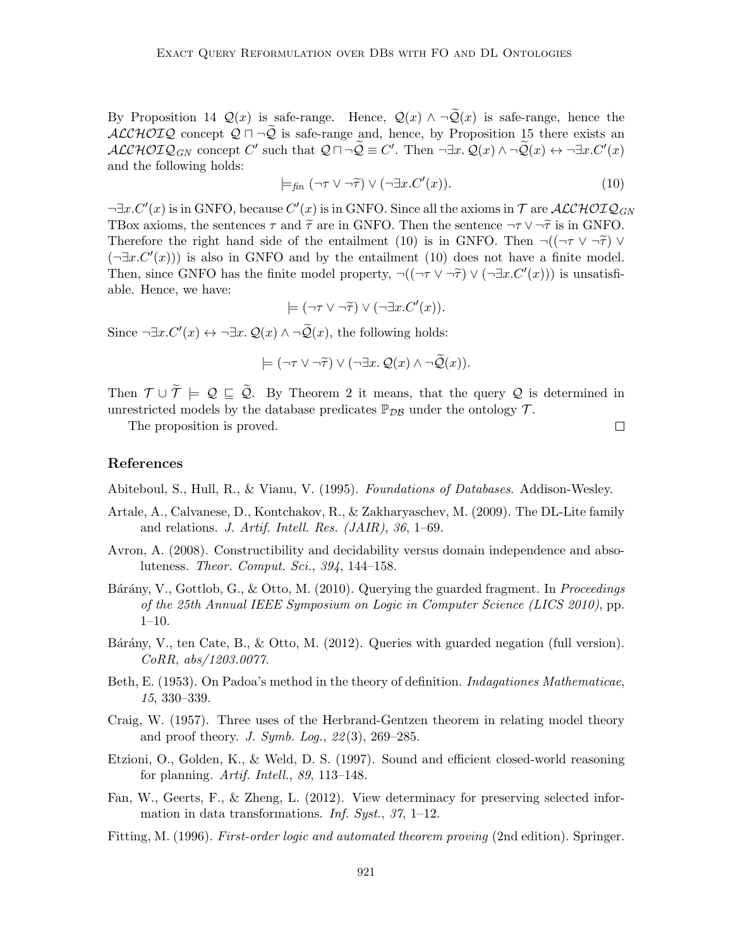By Proposition 14  $\mathcal{Q}(x)$  is safe-range. Hence,  $\mathcal{Q}(x) \wedge \neg \widetilde{\mathcal{Q}}(x)$  is safe-range, hence the ALCHOIQ concept  $Q \sqcap \neg Q$  is safe-range and, hence, by Proposition 15 there exists an  $\mathcal{ALCHOTQ}_{GN}$  concept C' such that  $\mathcal{Q} \sqcap \neg \widetilde{\mathcal{Q}} \equiv C'$ . Then  $\neg \exists x. \mathcal{Q}(x) \land \neg \widetilde{\mathcal{Q}}(x) \leftrightarrow \neg \exists x. C'(x)$ and the following holds:

$$
\models_{\text{fin}} (\neg \tau \lor \neg \widetilde{\tau}) \lor (\neg \exists x. C'(x)). \tag{10}
$$

 $\neg \exists x. C'(x)$  is in GNFO, because  $C'(x)$  is in GNFO. Since all the axioms in  $\mathcal T$  are  $\mathcal{ALCHOLQ}_{GN}$ TBox axioms, the sentences  $\tau$  and  $\tilde{\tau}$  are in GNFO. Then the sentence  $\neg \tau \vee \neg \tilde{\tau}$  is in GNFO. Therefore the right hand side of the entailment (10) is in GNFO. Then  $\neg((\neg \tau \vee \neg \tilde{\tau}) \vee \tau)$  $(\neg \exists x. C'(x))$  is also in GNFO and by the entailment (10) does not have a finite model. Then, since GNFO has the finite model property,  $\neg((\neg \tau \lor \neg \tilde{\tau}) \lor (\neg \exists x.C'(x)))$  is unsatisfi-<br>able. Hence we have: able. Hence, we have:

$$
\models (\neg \tau \vee \neg \widetilde{\tau}) \vee (\neg \exists x. C'(x)).
$$

Since  $\neg \exists x. C'(x) \leftrightarrow \neg \exists x. Q(x) \land \neg \widetilde{Q}(x)$ , the following holds:

$$
\models (\neg \tau \vee \neg \widetilde{\tau}) \vee (\neg \exists x. \mathcal{Q}(x) \wedge \neg \widetilde{\mathcal{Q}}(x)).
$$

Then  $\mathcal{T} \cup \widetilde{\mathcal{T}} \models \mathcal{Q} \sqsubseteq \widetilde{\mathcal{Q}}$ . By Theorem 2 it means, that the query  $\mathcal{Q}$  is determined in unrestricted models by the database predicates  $\mathbb{P}_{DB}$  under the ontology  $\mathcal{T}$ .

The proposition is proved.

#### References

Abiteboul, S., Hull, R., & Vianu, V. (1995). Foundations of Databases. Addison-Wesley.

- Artale, A., Calvanese, D., Kontchakov, R., & Zakharyaschev, M. (2009). The DL-Lite family and relations. J. Artif. Intell. Res. (JAIR), 36, 1–69.
- Avron, A. (2008). Constructibility and decidability versus domain independence and absoluteness. Theor. Comput. Sci., 394, 144–158.
- Bárány, V., Gottlob, G., & Otto, M. (2010). Querying the guarded fragment. In *Proceedings* of the 25th Annual IEEE Symposium on Logic in Computer Science (LICS 2010), pp.  $1-10.$
- Bárány, V., ten Cate, B., & Otto, M. (2012). Queries with guarded negation (full version). CoRR, abs/1203.0077.
- Beth, E. (1953). On Padoa's method in the theory of definition. *Indagationes Mathematicae*, 15, 330–339.
- Craig, W. (1957). Three uses of the Herbrand-Gentzen theorem in relating model theory and proof theory. J. Symb. Log.,  $22(3)$ ,  $269-285$ .
- Etzioni, O., Golden, K., & Weld, D. S. (1997). Sound and efficient closed-world reasoning for planning. Artif. Intell., 89, 113–148.
- Fan, W., Geerts, F., & Zheng, L. (2012). View determinacy for preserving selected information in data transformations. Inf. Syst., 37, 1–12.
- Fitting, M. (1996). First-order logic and automated theorem proving (2nd edition). Springer.